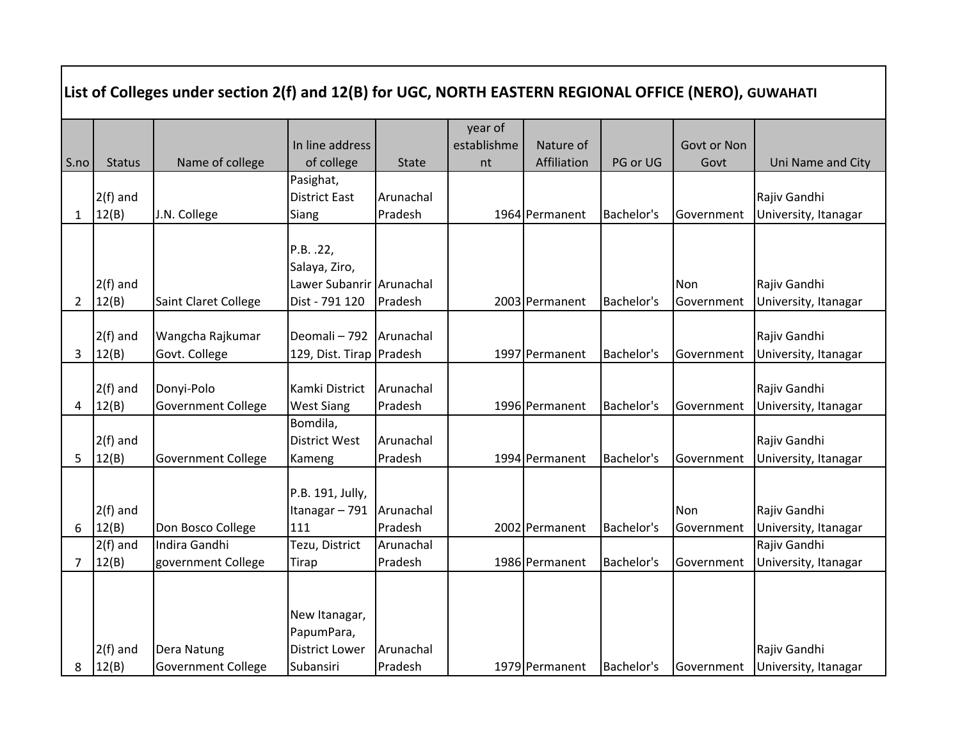|                |                     | List of Colleges under section 2(f) and 12(B) for UGC, NORTH EASTERN REGIONAL OFFICE (NERO), GUWAHATI |                                                                          |              |             |                |            |             |                                      |
|----------------|---------------------|-------------------------------------------------------------------------------------------------------|--------------------------------------------------------------------------|--------------|-------------|----------------|------------|-------------|--------------------------------------|
|                |                     |                                                                                                       |                                                                          |              | year of     |                |            |             |                                      |
|                |                     |                                                                                                       | In line address                                                          |              | establishme | Nature of      |            | Govt or Non |                                      |
| S.no           | <b>Status</b>       | Name of college                                                                                       | of college                                                               | <b>State</b> | nt          | Affiliation    | PG or UG   | Govt        | Uni Name and City                    |
|                | $2(f)$ and          |                                                                                                       | Pasighat,<br><b>District East</b>                                        | Arunachal    |             |                | Bachelor's |             | Rajiv Gandhi                         |
| $\mathbf{1}$   | 12(B)               | J.N. College                                                                                          | Siang                                                                    | Pradesh      |             | 1964 Permanent |            | Government  | University, Itanagar                 |
|                | $2(f)$ and          |                                                                                                       | P.B. .22,<br>Salaya, Ziro,<br>Lawer Subanrir Arunachal<br>Dist - 791 120 | Pradesh      |             | 2003 Permanent | Bachelor's | Non         | Rajiv Gandhi                         |
| $\overline{2}$ | 12(B)               | Saint Claret College                                                                                  |                                                                          |              |             |                |            | Government  | University, Itanagar                 |
| 3              | $2(f)$ and<br>12(B) | Wangcha Rajkumar<br>Govt. College                                                                     | Deomali-792<br>129, Dist. Tirap Pradesh                                  | Arunachal    |             | 1997 Permanent | Bachelor's | Government  | Rajiv Gandhi<br>University, Itanagar |
|                | $2(f)$ and          | Donyi-Polo                                                                                            | Kamki District                                                           | Arunachal    |             |                |            |             | Rajiv Gandhi                         |
| 4              | 12(B)               | <b>Government College</b>                                                                             | <b>West Siang</b>                                                        | Pradesh      |             | 1996 Permanent | Bachelor's | Government  | University, Itanagar                 |
|                |                     |                                                                                                       | Bomdila,                                                                 |              |             |                |            |             |                                      |
|                | $2(f)$ and          |                                                                                                       | <b>District West</b>                                                     | Arunachal    |             |                |            |             | Rajiv Gandhi                         |
| 5              | 12(B)               | <b>Government College</b>                                                                             | Kameng                                                                   | Pradesh      |             | 1994 Permanent | Bachelor's | Government  | University, Itanagar                 |
|                | $2(f)$ and          |                                                                                                       | P.B. 191, Jully,<br>Itanagar-791                                         | Arunachal    |             |                |            | Non         | Rajiv Gandhi                         |
| 6              | 12(B)               | Don Bosco College                                                                                     | 111                                                                      | Pradesh      |             | 2002 Permanent | Bachelor's | Government  | University, Itanagar                 |
|                | $2(f)$ and          | Indira Gandhi                                                                                         | Tezu, District                                                           | Arunachal    |             |                |            |             | Rajiv Gandhi                         |
| 7              | 12(B)               | government College                                                                                    | <b>Tirap</b>                                                             | Pradesh      |             | 1986 Permanent | Bachelor's | Government  | University, Itanagar                 |
|                |                     |                                                                                                       | New Itanagar,<br>PapumPara,                                              |              |             |                |            |             |                                      |
|                | $2(f)$ and          | Dera Natung                                                                                           | <b>District Lower</b>                                                    | Arunachal    |             |                |            |             | Rajiv Gandhi                         |
| 8              | 12(B)               | <b>Government College</b>                                                                             | Subansiri                                                                | Pradesh      |             | 1979 Permanent | Bachelor's | Government  | University, Itanagar                 |

Г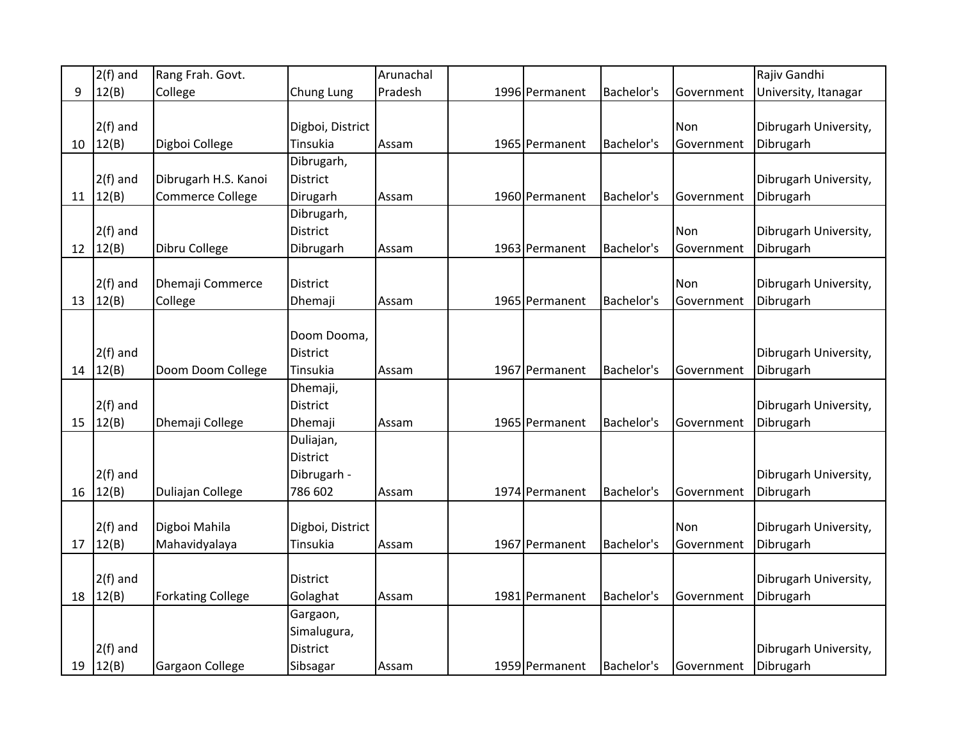|    | $2(f)$ and   | Rang Frah. Govt.         |                  | Arunachal |                |            |            | Rajiv Gandhi          |
|----|--------------|--------------------------|------------------|-----------|----------------|------------|------------|-----------------------|
| 9  | 12(B)        | College                  | Chung Lung       | Pradesh   | 1996 Permanent | Bachelor's | Government | University, Itanagar  |
|    |              |                          |                  |           |                |            |            |                       |
|    | $2(f)$ and   |                          | Digboi, District |           |                |            | Non        | Dibrugarh University, |
| 10 | 12(B)        | Digboi College           | Tinsukia         | Assam     | 1965 Permanent | Bachelor's | Government | Dibrugarh             |
|    |              |                          | Dibrugarh,       |           |                |            |            |                       |
|    | $2(f)$ and   | Dibrugarh H.S. Kanoi     | District         |           |                |            |            | Dibrugarh University, |
| 11 | 12(B)        | <b>Commerce College</b>  | Dirugarh         | Assam     | 1960 Permanent | Bachelor's | Government | Dibrugarh             |
|    |              |                          | Dibrugarh,       |           |                |            |            |                       |
|    | $2(f)$ and   |                          | <b>District</b>  |           |                |            | Non        | Dibrugarh University, |
| 12 | 12(B)        | Dibru College            | Dibrugarh        | Assam     | 1963 Permanent | Bachelor's | Government | Dibrugarh             |
|    |              |                          |                  |           |                |            |            |                       |
|    | $2(f)$ and   | Dhemaji Commerce         | <b>District</b>  |           |                |            | Non        | Dibrugarh University, |
|    | 13   $12(B)$ | College                  | Dhemaji          | Assam     | 1965 Permanent | Bachelor's | Government | Dibrugarh             |
|    |              |                          |                  |           |                |            |            |                       |
|    |              |                          | Doom Dooma,      |           |                |            |            |                       |
|    | $2(f)$ and   |                          | <b>District</b>  |           |                |            |            | Dibrugarh University, |
|    | 14   12(B)   | Doom Doom College        | Tinsukia         | Assam     | 1967 Permanent | Bachelor's | Government | Dibrugarh             |
|    |              |                          | Dhemaji,         |           |                |            |            |                       |
|    | $2(f)$ and   |                          | <b>District</b>  |           |                |            |            | Dibrugarh University, |
| 15 | 12(B)        | Dhemaji College          | Dhemaji          | Assam     | 1965 Permanent | Bachelor's | Government | Dibrugarh             |
|    |              |                          | Duliajan,        |           |                |            |            |                       |
|    |              |                          | <b>District</b>  |           |                |            |            |                       |
|    | $2(f)$ and   |                          | Dibrugarh -      |           |                |            |            | Dibrugarh University, |
| 16 | 12(B)        | Duliajan College         | 786 602          | Assam     | 1974 Permanent | Bachelor's | Government | Dibrugarh             |
|    |              |                          |                  |           |                |            |            |                       |
|    | $2(f)$ and   | Digboi Mahila            | Digboi, District |           |                |            | Non        | Dibrugarh University, |
| 17 | 12(B)        | Mahavidyalaya            | Tinsukia         | Assam     | 1967 Permanent | Bachelor's | Government | Dibrugarh             |
|    |              |                          |                  |           |                |            |            |                       |
|    | $2(f)$ and   |                          | <b>District</b>  |           |                |            |            | Dibrugarh University, |
| 18 | 12(B)        | <b>Forkating College</b> | Golaghat         | Assam     | 1981 Permanent | Bachelor's | Government | Dibrugarh             |
|    |              |                          | Gargaon,         |           |                |            |            |                       |
|    |              |                          | Simalugura,      |           |                |            |            |                       |
|    | $2(f)$ and   |                          | <b>District</b>  |           |                |            |            | Dibrugarh University, |
|    | 19   $12(B)$ | Gargaon College          | Sibsagar         | Assam     | 1959 Permanent | Bachelor's | Government | Dibrugarh             |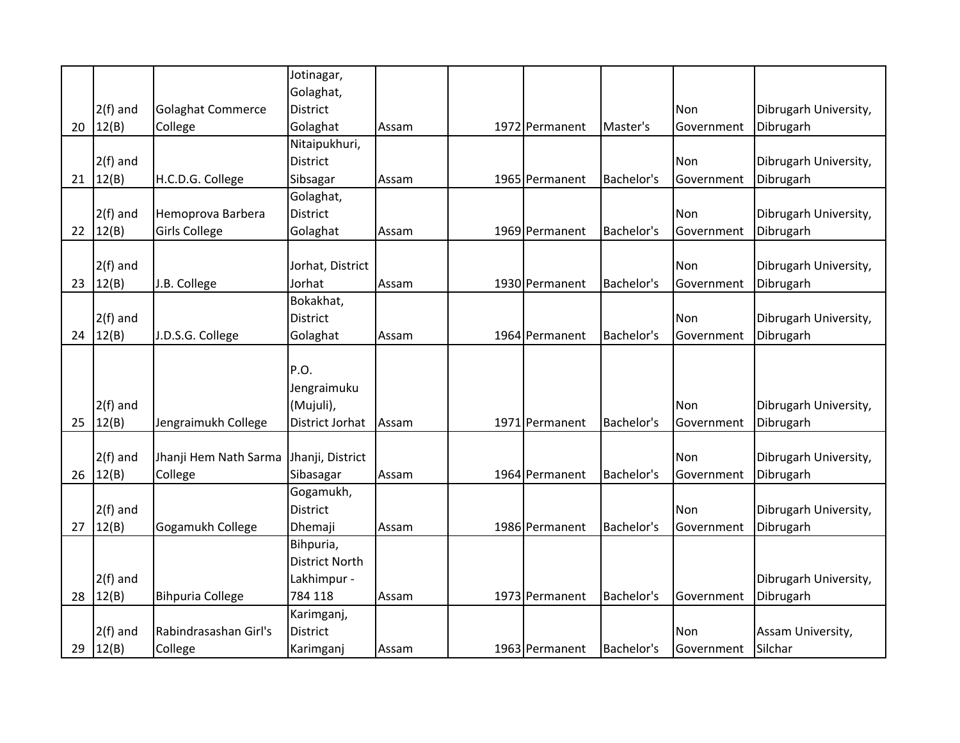|    |              |                          | Jotinagar,            |       |                |            |            |                       |
|----|--------------|--------------------------|-----------------------|-------|----------------|------------|------------|-----------------------|
|    |              |                          | Golaghat,             |       |                |            |            |                       |
|    | $2(f)$ and   | <b>Golaghat Commerce</b> | <b>District</b>       |       |                |            | Non        | Dibrugarh University, |
| 20 | 12(B)        | College                  | Golaghat              | Assam | 1972 Permanent | Master's   | Government | Dibrugarh             |
|    |              |                          | Nitaipukhuri,         |       |                |            |            |                       |
|    | $2(f)$ and   |                          | <b>District</b>       |       |                |            | Non        | Dibrugarh University, |
| 21 | 12(B)        | H.C.D.G. College         | Sibsagar              | Assam | 1965 Permanent | Bachelor's | Government | Dibrugarh             |
|    |              |                          | Golaghat,             |       |                |            |            |                       |
|    | $2(f)$ and   | Hemoprova Barbera        | <b>District</b>       |       |                |            | Non        | Dibrugarh University, |
|    | 22   $12(B)$ | <b>Girls College</b>     | Golaghat              | Assam | 1969 Permanent | Bachelor's | Government | Dibrugarh             |
|    |              |                          |                       |       |                |            |            |                       |
|    | $2(f)$ and   |                          | Jorhat, District      |       |                |            | Non        | Dibrugarh University, |
| 23 | 12(B)        | J.B. College             | Jorhat                | Assam | 1930 Permanent | Bachelor's | Government | Dibrugarh             |
|    |              |                          | Bokakhat,             |       |                |            |            |                       |
|    | $2(f)$ and   |                          | <b>District</b>       |       |                |            | Non        | Dibrugarh University, |
| 24 | 12(B)        | J.D.S.G. College         | Golaghat              | Assam | 1964 Permanent | Bachelor's | Government | Dibrugarh             |
|    |              |                          |                       |       |                |            |            |                       |
|    |              |                          | P.O.                  |       |                |            |            |                       |
|    |              |                          | Jengraimuku           |       |                |            |            |                       |
|    | $2(f)$ and   |                          | (Mujuli),             |       |                |            | <b>Non</b> | Dibrugarh University, |
| 25 | 12(B)        | Jengraimukh College      | District Jorhat       | Assam | 1971 Permanent | Bachelor's | Government | Dibrugarh             |
|    |              |                          |                       |       |                |            |            |                       |
|    | $2(f)$ and   | Jhanji Hem Nath Sarma    | Jhanji, District      |       |                |            | Non        | Dibrugarh University, |
| 26 | 12(B)        | College                  | Sibasagar             | Assam | 1964 Permanent | Bachelor's | Government | Dibrugarh             |
|    |              |                          | Gogamukh,             |       |                |            |            |                       |
|    | $2(f)$ and   |                          | <b>District</b>       |       |                |            | Non        | Dibrugarh University, |
| 27 | 12(B)        | Gogamukh College         | Dhemaji               | Assam | 1986 Permanent | Bachelor's | Government | Dibrugarh             |
|    |              |                          | Bihpuria,             |       |                |            |            |                       |
|    |              |                          | <b>District North</b> |       |                |            |            |                       |
|    | $2(f)$ and   |                          | Lakhimpur -           |       |                |            |            | Dibrugarh University, |
|    | 28   12(B)   | <b>Bihpuria College</b>  | 784 118               | Assam | 1973 Permanent | Bachelor's | Government | Dibrugarh             |
|    |              |                          | Karimganj,            |       |                |            |            |                       |
|    | $2(f)$ and   | Rabindrasashan Girl's    | <b>District</b>       |       |                |            | Non        | Assam University,     |
|    | 29   12(B)   | College                  | Karimganj             | Assam | 1963 Permanent | Bachelor's | Government | Silchar               |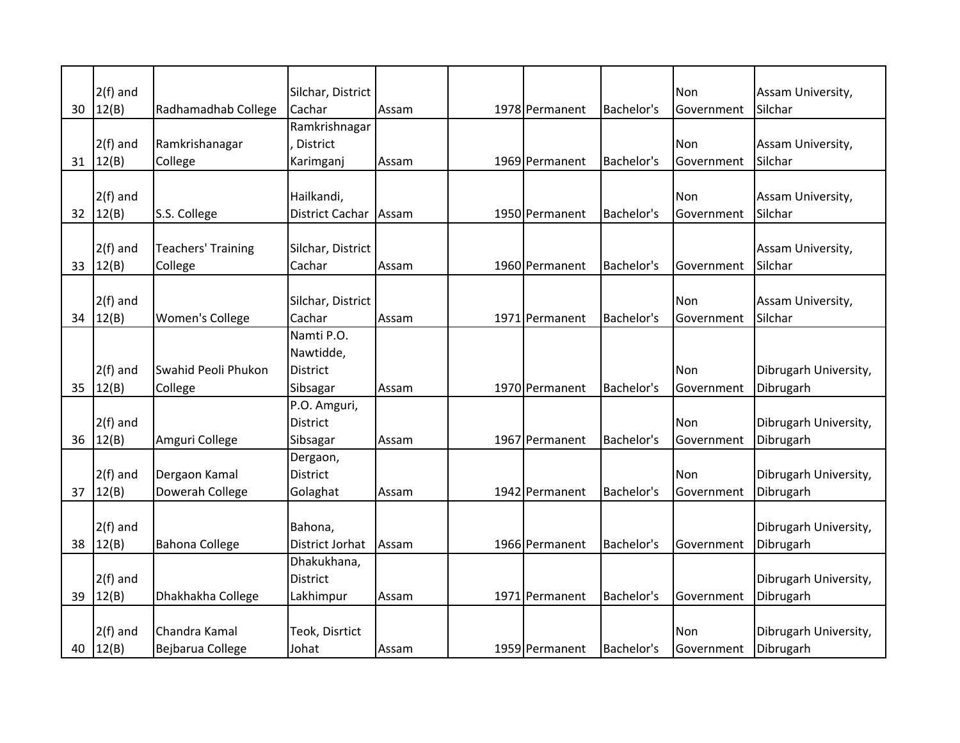|    | $2(f)$ and               |                                      | Silchar, District                             |       |                |            | Non               | Assam University,                  |
|----|--------------------------|--------------------------------------|-----------------------------------------------|-------|----------------|------------|-------------------|------------------------------------|
| 30 | 12(B)                    | Radhamadhab College                  | Cachar                                        | Assam | 1978 Permanent | Bachelor's | Government        | Silchar                            |
| 31 | $2(f)$ and<br>12(B)      | Ramkrishanagar<br>College            | Ramkrishnagar<br><b>District</b><br>Karimganj | Assam | 1969 Permanent | Bachelor's | Non<br>Government | Assam University,<br>Silchar       |
| 32 | $2(f)$ and<br>12(B)      | S.S. College                         | Hailkandi,<br><b>District Cachar</b>          | Assam | 1950 Permanent | Bachelor's | Non<br>Government | Assam University,<br>Silchar       |
| 33 | $2(f)$ and<br>12(B)      | <b>Teachers' Training</b><br>College | Silchar, District<br>Cachar                   | Assam | 1960 Permanent | Bachelor's | Government        | Assam University,<br>Silchar       |
| 34 | $2(f)$ and<br>12(B)      | Women's College                      | Silchar, District<br>Cachar                   | Assam | 1971 Permanent | Bachelor's | Non<br>Government | Assam University,<br>Silchar       |
|    | $2(f)$ and               | Swahid Peoli Phukon                  | Namti P.O.<br>Nawtidde,<br><b>District</b>    |       |                |            | Non               | Dibrugarh University,              |
| 35 | 12(B)                    | College                              | Sibsagar                                      | Assam | 1970 Permanent | Bachelor's | Government        | Dibrugarh                          |
| 36 | $2(f)$ and<br>12(B)      | Amguri College                       | P.O. Amguri,<br><b>District</b><br>Sibsagar   | Assam | 1967 Permanent | Bachelor's | Non<br>Government | Dibrugarh University,<br>Dibrugarh |
| 37 | $2(f)$ and<br>12(B)      | Dergaon Kamal<br>Dowerah College     | Dergaon,<br><b>District</b><br>Golaghat       | Assam | 1942 Permanent | Bachelor's | Non<br>Government | Dibrugarh University,<br>Dibrugarh |
| 38 | $2(f)$ and<br>12(B)      | <b>Bahona College</b>                | Bahona,<br>District Jorhat                    | Assam | 1966 Permanent | Bachelor's | Government        | Dibrugarh University,<br>Dibrugarh |
| 39 | $2(f)$ and<br>12(B)      | Dhakhakha College                    | Dhakukhana,<br>District<br>Lakhimpur          | Assam | 1971 Permanent | Bachelor's | Government        | Dibrugarh University,<br>Dibrugarh |
|    | $2(f)$ and<br>40 $12(B)$ | Chandra Kamal<br>Bejbarua College    | Teok, Disrtict<br>Johat                       | Assam | 1959 Permanent | Bachelor's | Non<br>Government | Dibrugarh University,<br>Dibrugarh |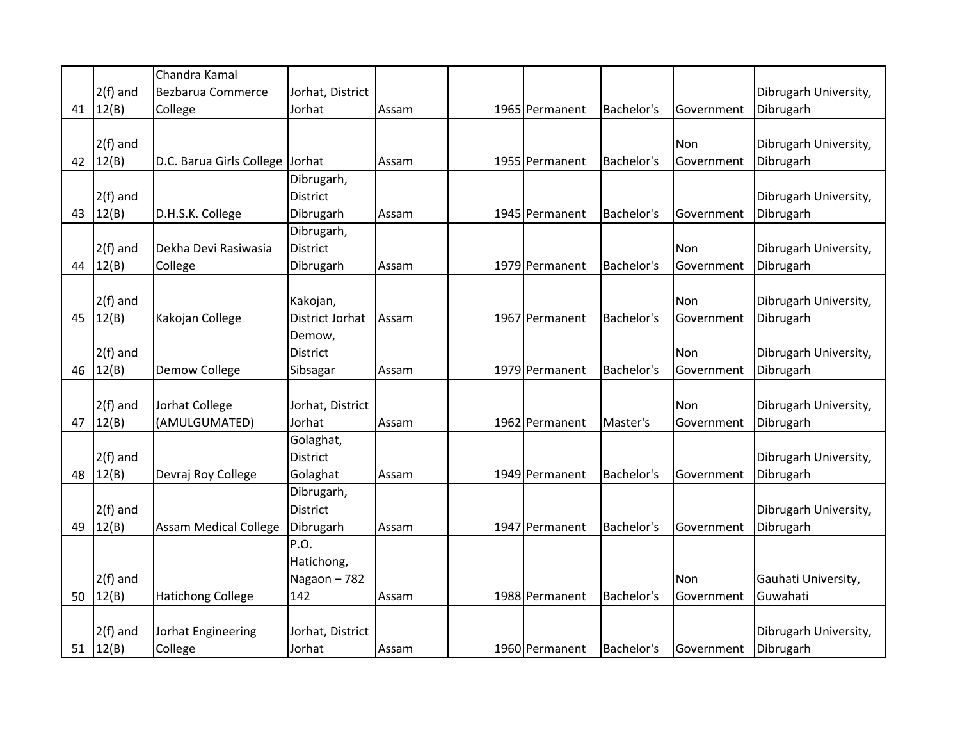|    |            | Chandra Kamal                |                  |       |                |            |            |                       |
|----|------------|------------------------------|------------------|-------|----------------|------------|------------|-----------------------|
|    | $2(f)$ and | Bezbarua Commerce            | Jorhat, District |       |                |            |            | Dibrugarh University, |
| 41 | 12(B)      | College                      | Jorhat           | Assam | 1965 Permanent | Bachelor's | Government | Dibrugarh             |
|    |            |                              |                  |       |                |            |            |                       |
|    | $2(f)$ and |                              |                  |       |                |            | Non        | Dibrugarh University, |
| 42 | 12(B)      | D.C. Barua Girls College     | Jorhat           | Assam | 1955 Permanent | Bachelor's | Government | Dibrugarh             |
|    |            |                              | Dibrugarh,       |       |                |            |            |                       |
|    | $2(f)$ and |                              | <b>District</b>  |       |                |            |            | Dibrugarh University, |
| 43 | 12(B)      | D.H.S.K. College             | Dibrugarh        | Assam | 1945 Permanent | Bachelor's | Government | Dibrugarh             |
|    |            |                              | Dibrugarh,       |       |                |            |            |                       |
|    | $2(f)$ and | Dekha Devi Rasiwasia         | District         |       |                |            | Non        | Dibrugarh University, |
| 44 | 12(B)      | College                      | Dibrugarh        | Assam | 1979 Permanent | Bachelor's | Government | Dibrugarh             |
|    |            |                              |                  |       |                |            |            |                       |
|    | $2(f)$ and |                              | Kakojan,         |       |                |            | Non        | Dibrugarh University, |
| 45 | 12(B)      | Kakojan College              | District Jorhat  | Assam | 1967 Permanent | Bachelor's | Government | Dibrugarh             |
|    |            |                              | Demow,           |       |                |            |            |                       |
|    | $2(f)$ and |                              | <b>District</b>  |       |                |            | Non        | Dibrugarh University, |
| 46 | 12(B)      | Demow College                | Sibsagar         | Assam | 1979 Permanent | Bachelor's | Government | Dibrugarh             |
|    |            |                              |                  |       |                |            |            |                       |
|    | $2(f)$ and | Jorhat College               | Jorhat, District |       |                |            | Non        | Dibrugarh University, |
| 47 | 12(B)      | (AMULGUMATED)                | Jorhat           | Assam | 1962 Permanent | Master's   | Government | Dibrugarh             |
|    |            |                              | Golaghat,        |       |                |            |            |                       |
|    | $2(f)$ and |                              | <b>District</b>  |       |                |            |            | Dibrugarh University, |
| 48 | 12(B)      | Devraj Roy College           | Golaghat         | Assam | 1949 Permanent | Bachelor's | Government | Dibrugarh             |
|    |            |                              | Dibrugarh,       |       |                |            |            |                       |
|    | $2(f)$ and |                              | <b>District</b>  |       |                |            |            | Dibrugarh University, |
| 49 | 12(B)      | <b>Assam Medical College</b> | Dibrugarh        | Assam | 1947 Permanent | Bachelor's | Government | Dibrugarh             |
|    |            |                              | P.O.             |       |                |            |            |                       |
|    |            |                              | Hatichong,       |       |                |            |            |                       |
|    | $2(f)$ and |                              | Nagaon-782       |       |                |            | Non        | Gauhati University,   |
| 50 | 12(B)      | <b>Hatichong College</b>     | 142              | Assam | 1988 Permanent | Bachelor's | Government | Guwahati              |
|    |            |                              |                  |       |                |            |            |                       |
|    | $2(f)$ and | Jorhat Engineering           | Jorhat, District |       |                |            |            | Dibrugarh University, |
| 51 | 12(B)      | College                      | Jorhat           | Assam | 1960 Permanent | Bachelor's | Government | Dibrugarh             |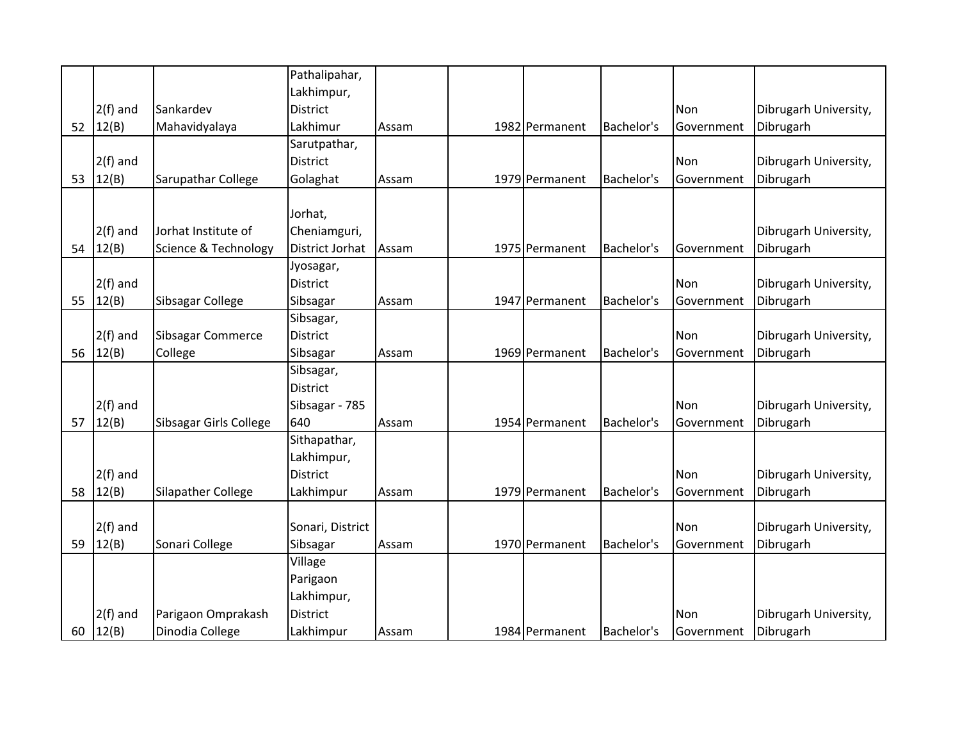|    |            |                           | Pathalipahar,          |       |                |            |            |                       |
|----|------------|---------------------------|------------------------|-------|----------------|------------|------------|-----------------------|
|    |            |                           | Lakhimpur,             |       |                |            |            |                       |
|    | $2(f)$ and | Sankardev                 | <b>District</b>        |       |                |            | Non        | Dibrugarh University, |
| 52 | 12(B)      | Mahavidyalaya             | Lakhimur               | Assam | 1982 Permanent | Bachelor's | Government | Dibrugarh             |
|    |            |                           | Sarutpathar,           |       |                |            |            |                       |
|    | $2(f)$ and |                           | <b>District</b>        |       |                |            | Non        | Dibrugarh University, |
| 53 | 12(B)      | Sarupathar College        | Golaghat               | Assam | 1979 Permanent | Bachelor's | Government | Dibrugarh             |
|    |            |                           |                        |       |                |            |            |                       |
|    |            |                           | Jorhat,                |       |                |            |            |                       |
|    | $2(f)$ and | Jorhat Institute of       | Cheniamguri,           |       |                |            |            | Dibrugarh University, |
| 54 | 12(B)      | Science & Technology      | <b>District Jorhat</b> | Assam | 1975 Permanent | Bachelor's | Government | Dibrugarh             |
|    |            |                           | Jyosagar,              |       |                |            |            |                       |
|    | $2(f)$ and |                           | <b>District</b>        |       |                |            | Non        | Dibrugarh University, |
| 55 | 12(B)      | Sibsagar College          | Sibsagar               | Assam | 1947 Permanent | Bachelor's | Government | Dibrugarh             |
|    |            |                           | Sibsagar,              |       |                |            |            |                       |
|    | $2(f)$ and | Sibsagar Commerce         | <b>District</b>        |       |                |            | Non        | Dibrugarh University, |
|    | 56 $12(B)$ | College                   | Sibsagar               | Assam | 1969 Permanent | Bachelor's | Government | Dibrugarh             |
|    |            |                           | Sibsagar,              |       |                |            |            |                       |
|    |            |                           | <b>District</b>        |       |                |            |            |                       |
|    | $2(f)$ and |                           | Sibsagar - 785         |       |                |            | Non        | Dibrugarh University, |
| 57 | 12(B)      | Sibsagar Girls College    | 640                    | Assam | 1954 Permanent | Bachelor's | Government | Dibrugarh             |
|    |            |                           | Sithapathar,           |       |                |            |            |                       |
|    |            |                           | Lakhimpur,             |       |                |            |            |                       |
|    | $2(f)$ and |                           | <b>District</b>        |       |                |            | Non        | Dibrugarh University, |
| 58 | 12(B)      | <b>Silapather College</b> | Lakhimpur              | Assam | 1979 Permanent | Bachelor's | Government | Dibrugarh             |
|    |            |                           |                        |       |                |            |            |                       |
|    | $2(f)$ and |                           | Sonari, District       |       |                |            | Non        | Dibrugarh University, |
| 59 | 12(B)      | Sonari College            | Sibsagar               | Assam | 1970 Permanent | Bachelor's | Government | Dibrugarh             |
|    |            |                           | Village                |       |                |            |            |                       |
|    |            |                           | Parigaon               |       |                |            |            |                       |
|    |            |                           | Lakhimpur,             |       |                |            |            |                       |
|    | $2(f)$ and | Parigaon Omprakash        | <b>District</b>        |       |                |            | <b>Non</b> | Dibrugarh University, |
|    | 60 $12(B)$ | Dinodia College           | Lakhimpur              | Assam | 1984 Permanent | Bachelor's | Government | Dibrugarh             |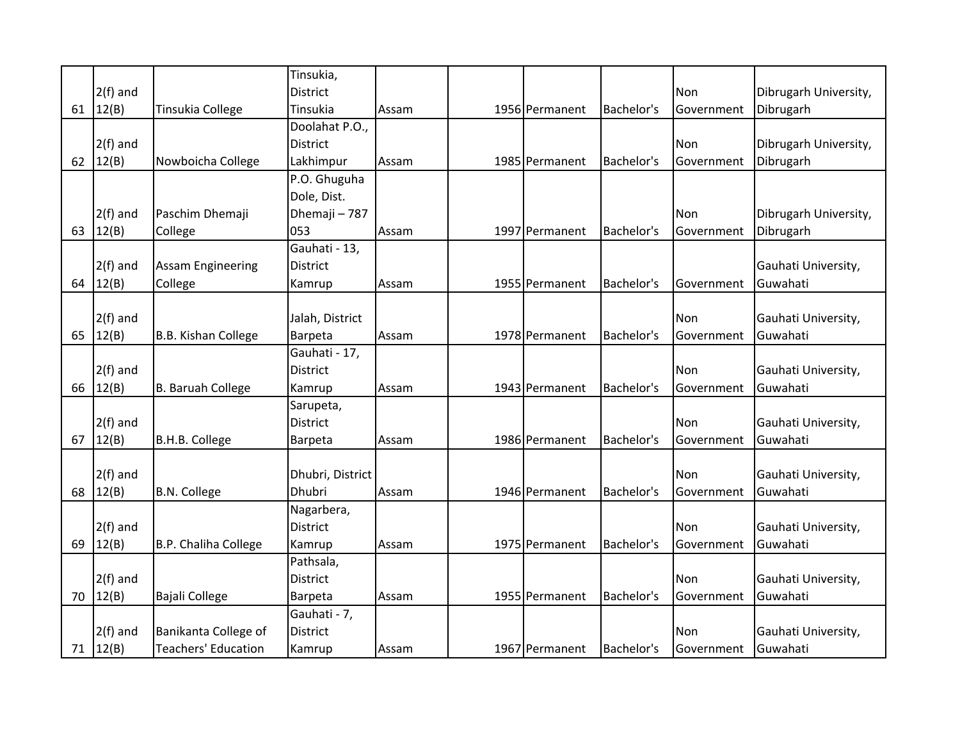|    |            |                            | Tinsukia,        |       |                |            |            |                       |
|----|------------|----------------------------|------------------|-------|----------------|------------|------------|-----------------------|
|    | $2(f)$ and |                            | <b>District</b>  |       |                |            | Non        | Dibrugarh University, |
| 61 | 12(B)      | Tinsukia College           | Tinsukia         | Assam | 1956 Permanent | Bachelor's | Government | Dibrugarh             |
|    |            |                            | Doolahat P.O.,   |       |                |            |            |                       |
|    | $2(f)$ and |                            | <b>District</b>  |       |                |            | Non        | Dibrugarh University, |
| 62 | 12(B)      | Nowboicha College          | Lakhimpur        | Assam | 1985 Permanent | Bachelor's | Government | Dibrugarh             |
|    |            |                            | P.O. Ghuguha     |       |                |            |            |                       |
|    |            |                            | Dole, Dist.      |       |                |            |            |                       |
|    | $2(f)$ and | Paschim Dhemaji            | Dhemaji - 787    |       |                |            | Non        | Dibrugarh University, |
| 63 | 12(B)      | College                    | 053              | Assam | 1997 Permanent | Bachelor's | Government | Dibrugarh             |
|    |            |                            | Gauhati - 13,    |       |                |            |            |                       |
|    | $2(f)$ and | <b>Assam Engineering</b>   | District         |       |                |            |            | Gauhati University,   |
| 64 | 12(B)      | College                    | Kamrup           | Assam | 1955 Permanent | Bachelor's | Government | Guwahati              |
|    |            |                            |                  |       |                |            |            |                       |
|    | $2(f)$ and |                            | Jalah, District  |       |                |            | Non        | Gauhati University,   |
| 65 | 12(B)      | B.B. Kishan College        | Barpeta          | Assam | 1978 Permanent | Bachelor's | Government | Guwahati              |
|    |            |                            | Gauhati - 17,    |       |                |            |            |                       |
|    | $2(f)$ and |                            | <b>District</b>  |       |                |            | Non        | Gauhati University,   |
| 66 | 12(B)      | <b>B. Baruah College</b>   | Kamrup           | Assam | 1943 Permanent | Bachelor's | Government | Guwahati              |
|    |            |                            | Sarupeta,        |       |                |            |            |                       |
|    | $2(f)$ and |                            | <b>District</b>  |       |                |            | Non        | Gauhati University,   |
| 67 | 12(B)      | B.H.B. College             | Barpeta          | Assam | 1986 Permanent | Bachelor's | Government | Guwahati              |
|    |            |                            |                  |       |                |            |            |                       |
|    | $2(f)$ and |                            | Dhubri, District |       |                |            | Non        | Gauhati University,   |
| 68 | 12(B)      | <b>B.N. College</b>        | Dhubri           | Assam | 1946 Permanent | Bachelor's | Government | Guwahati              |
|    |            |                            | Nagarbera,       |       |                |            |            |                       |
|    | $2(f)$ and |                            | <b>District</b>  |       |                |            | Non        | Gauhati University,   |
| 69 | 12(B)      | B.P. Chaliha College       | Kamrup           | Assam | 1975 Permanent | Bachelor's | Government | Guwahati              |
|    |            |                            | Pathsala,        |       |                |            |            |                       |
|    | $2(f)$ and |                            | <b>District</b>  |       |                |            | Non        | Gauhati University,   |
| 70 | 12(B)      | Bajali College             | Barpeta          | Assam | 1955 Permanent | Bachelor's | Government | Guwahati              |
|    |            |                            | Gauhati - 7,     |       |                |            |            |                       |
|    | $2(f)$ and | Banikanta College of       | <b>District</b>  |       |                |            | Non        | Gauhati University,   |
|    | 71 12(B)   | <b>Teachers' Education</b> | Kamrup           | Assam | 1967 Permanent | Bachelor's | Government | Guwahati              |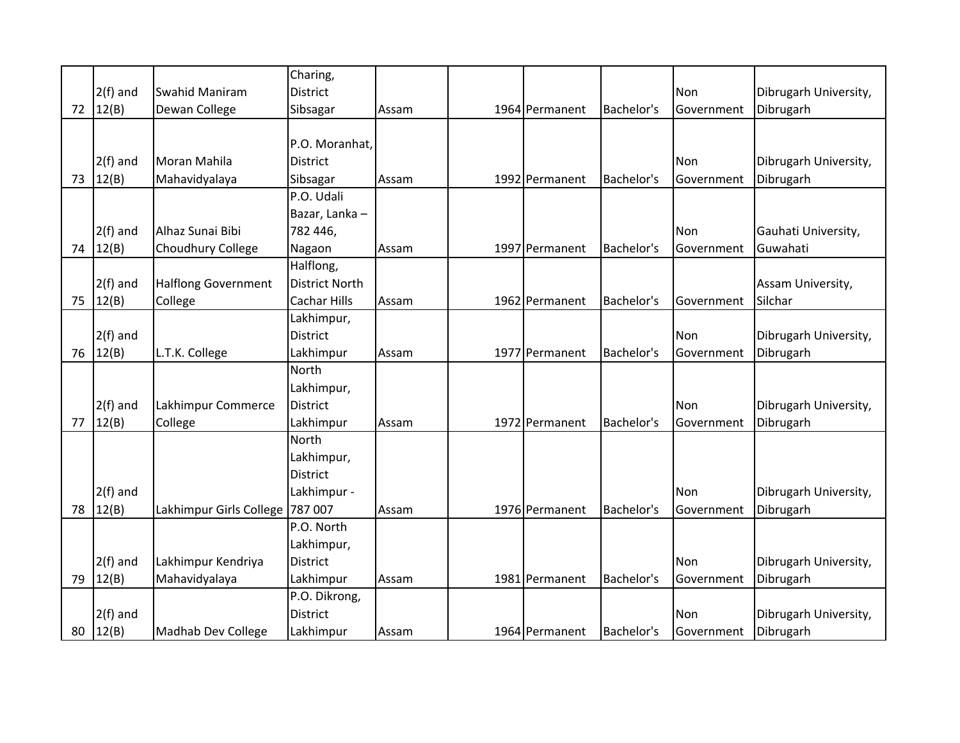|    |              |                            | Charing,              |       |                |            |            |                       |
|----|--------------|----------------------------|-----------------------|-------|----------------|------------|------------|-----------------------|
|    | $2(f)$ and   | <b>Swahid Maniram</b>      | <b>District</b>       |       |                |            | Non        | Dibrugarh University, |
|    | 72   $12(B)$ | Dewan College              | Sibsagar              | Assam | 1964 Permanent | Bachelor's | Government | Dibrugarh             |
|    |              |                            |                       |       |                |            |            |                       |
|    |              |                            | P.O. Moranhat,        |       |                |            |            |                       |
|    | $2(f)$ and   | Moran Mahila               | District              |       |                |            | Non        | Dibrugarh University, |
| 73 | 12(B)        | Mahavidyalaya              | Sibsagar              | Assam | 1992 Permanent | Bachelor's | Government | Dibrugarh             |
|    |              |                            | P.O. Udali            |       |                |            |            |                       |
|    |              |                            | Bazar, Lanka-         |       |                |            |            |                       |
|    | $2(f)$ and   | Alhaz Sunai Bibi           | 782 446,              |       |                |            | Non        | Gauhati University,   |
|    | 74 $12(B)$   | Choudhury College          | Nagaon                | Assam | 1997 Permanent | Bachelor's | Government | Guwahati              |
|    |              |                            | Halflong,             |       |                |            |            |                       |
|    | $2(f)$ and   | <b>Halflong Government</b> | <b>District North</b> |       |                |            |            | Assam University,     |
| 75 | 12(B)        | College                    | <b>Cachar Hills</b>   | Assam | 1962 Permanent | Bachelor's | Government | Silchar               |
|    |              |                            | Lakhimpur,            |       |                |            |            |                       |
|    | $2(f)$ and   |                            | <b>District</b>       |       |                |            | Non        | Dibrugarh University, |
|    | 76 $12(B)$   | L.T.K. College             | Lakhimpur             | Assam | 1977 Permanent | Bachelor's | Government | Dibrugarh             |
|    |              |                            | North                 |       |                |            |            |                       |
|    |              |                            | Lakhimpur,            |       |                |            |            |                       |
|    | $2(f)$ and   | Lakhimpur Commerce         | <b>District</b>       |       |                |            | Non        | Dibrugarh University, |
| 77 | 12(B)        | College                    | Lakhimpur             | Assam | 1972 Permanent | Bachelor's | Government | Dibrugarh             |
|    |              |                            | North                 |       |                |            |            |                       |
|    |              |                            | Lakhimpur,            |       |                |            |            |                       |
|    |              |                            | <b>District</b>       |       |                |            |            |                       |
|    | $2(f)$ and   |                            | Lakhimpur -           |       |                |            | Non        | Dibrugarh University, |
| 78 | 12(B)        | Lakhimpur Girls College    | 787 007               | Assam | 1976 Permanent | Bachelor's | Government | Dibrugarh             |
|    |              |                            | P.O. North            |       |                |            |            |                       |
|    |              |                            | Lakhimpur,            |       |                |            |            |                       |
|    | $2(f)$ and   | Lakhimpur Kendriya         | <b>District</b>       |       |                |            | Non        | Dibrugarh University, |
| 79 | 12(B)        | Mahavidyalaya              | Lakhimpur             | Assam | 1981 Permanent | Bachelor's | Government | Dibrugarh             |
|    |              |                            | P.O. Dikrong,         |       |                |            |            |                       |
|    | $2(f)$ and   |                            | <b>District</b>       |       |                |            | Non        | Dibrugarh University, |
|    | 80 $12(B)$   | <b>Madhab Dev College</b>  | Lakhimpur             | Assam | 1964 Permanent | Bachelor's | Government | Dibrugarh             |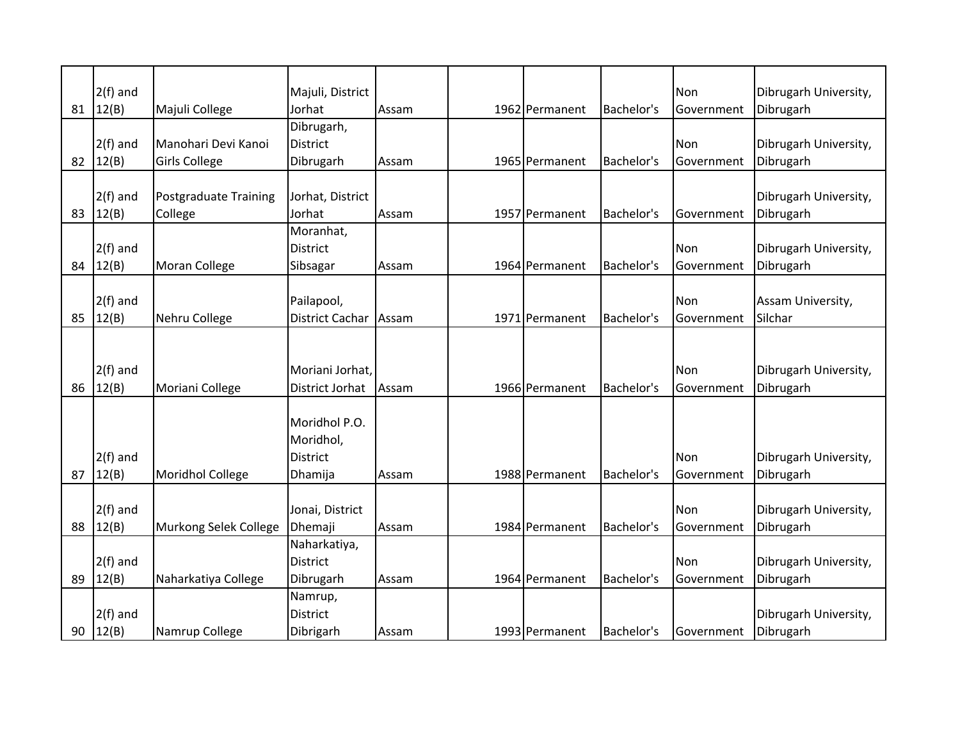|    | $2(f)$ and |                         | Majuli, District |       |                |            | Non        | Dibrugarh University, |
|----|------------|-------------------------|------------------|-------|----------------|------------|------------|-----------------------|
| 81 | 12(B)      | Majuli College          | Jorhat           | Assam | 1962 Permanent | Bachelor's | Government | Dibrugarh             |
|    |            |                         | Dibrugarh,       |       |                |            |            |                       |
|    | $2(f)$ and | Manohari Devi Kanoi     | <b>District</b>  |       |                |            | Non        | Dibrugarh University, |
| 82 | 12(B)      | <b>Girls College</b>    | Dibrugarh        | Assam | 1965 Permanent | Bachelor's | Government | Dibrugarh             |
|    |            |                         |                  |       |                |            |            |                       |
|    | $2(f)$ and | Postgraduate Training   | Jorhat, District |       |                |            |            | Dibrugarh University, |
| 83 | 12(B)      | College                 | Jorhat           | Assam | 1957 Permanent | Bachelor's | Government | Dibrugarh             |
|    |            |                         | Moranhat,        |       |                |            |            |                       |
|    | $2(f)$ and |                         | District         |       |                |            | Non        | Dibrugarh University, |
| 84 | 12(B)      | Moran College           | Sibsagar         | Assam | 1964 Permanent | Bachelor's | Government | Dibrugarh             |
|    |            |                         |                  |       |                |            |            |                       |
|    | $2(f)$ and |                         | Pailapool,       |       |                |            | Non        | Assam University,     |
| 85 | 12(B)      | Nehru College           | District Cachar  | Assam | 1971 Permanent | Bachelor's | Government | Silchar               |
|    |            |                         |                  |       |                |            |            |                       |
|    |            |                         |                  |       |                |            |            |                       |
|    | $2(f)$ and |                         | Moriani Jorhat,  |       |                |            | Non        | Dibrugarh University, |
| 86 | 12(B)      | Moriani College         | District Jorhat  | Assam | 1966 Permanent | Bachelor's | Government | Dibrugarh             |
|    |            |                         |                  |       |                |            |            |                       |
|    |            |                         | Moridhol P.O.    |       |                |            |            |                       |
|    |            |                         | Moridhol,        |       |                |            |            |                       |
|    | $2(f)$ and |                         | <b>District</b>  |       |                |            | Non        | Dibrugarh University, |
| 87 | 12(B)      | <b>Moridhol College</b> | Dhamija          | Assam | 1988 Permanent | Bachelor's | Government | Dibrugarh             |
|    |            |                         |                  |       |                |            |            |                       |
|    | $2(f)$ and |                         | Jonai, District  |       |                |            | Non        | Dibrugarh University, |
| 88 | 12(B)      | Murkong Selek College   | Dhemaji          | Assam | 1984 Permanent | Bachelor's | Government | Dibrugarh             |
|    |            |                         | Naharkatiya,     |       |                |            |            |                       |
|    | $2(f)$ and |                         | <b>District</b>  |       |                |            | Non        | Dibrugarh University, |
| 89 | 12(B)      | Naharkatiya College     | Dibrugarh        | Assam | 1964 Permanent | Bachelor's | Government | Dibrugarh             |
|    |            |                         | Namrup,          |       |                |            |            |                       |
|    | $2(f)$ and |                         | <b>District</b>  |       |                |            |            | Dibrugarh University, |
| 90 | 12(B)      | Namrup College          | Dibrigarh        | Assam | 1993 Permanent | Bachelor's | Government | Dibrugarh             |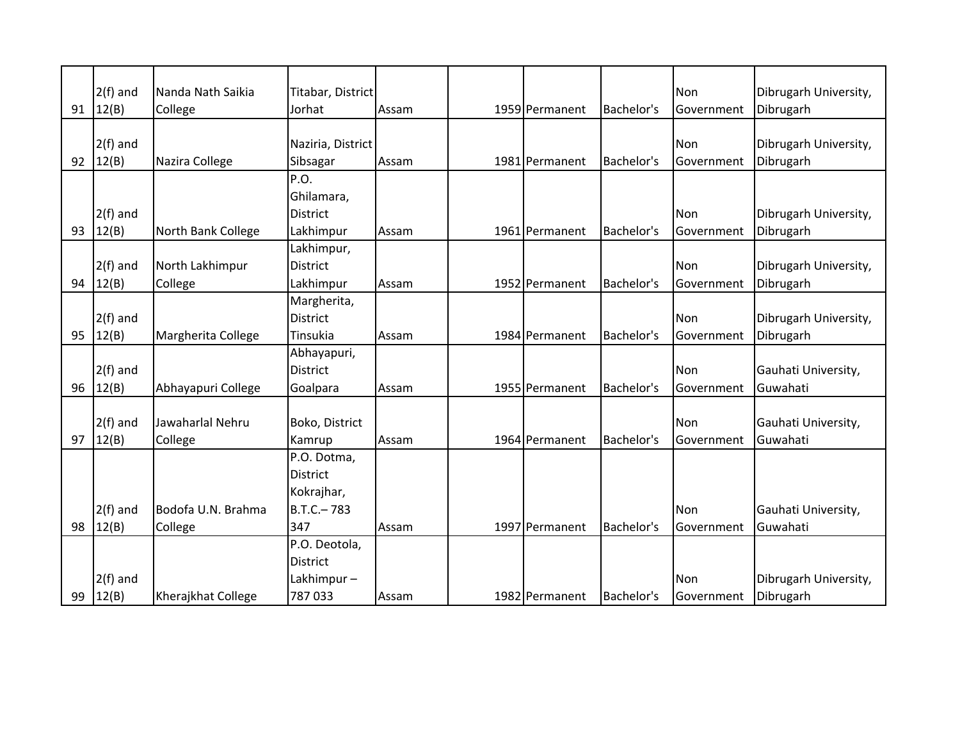|    | $2(f)$ and   | Nanda Nath Saikia  | Titabar, District |       |                |            | Non        | Dibrugarh University, |
|----|--------------|--------------------|-------------------|-------|----------------|------------|------------|-----------------------|
| 91 | 12(B)        | College            | Jorhat            | Assam | 1959 Permanent | Bachelor's | Government | Dibrugarh             |
|    |              |                    |                   |       |                |            |            |                       |
|    | $2(f)$ and   |                    | Naziria, District |       |                |            | Non        | Dibrugarh University, |
|    | 92 $ 12(B) $ | Nazira College     | Sibsagar          | Assam | 1981 Permanent | Bachelor's | Government | Dibrugarh             |
|    |              |                    | P.O.              |       |                |            |            |                       |
|    |              |                    | Ghilamara,        |       |                |            |            |                       |
|    | $2(f)$ and   |                    | <b>District</b>   |       |                |            | Non        | Dibrugarh University, |
| 93 | 12(B)        | North Bank College | Lakhimpur         | Assam | 1961 Permanent | Bachelor's | Government | Dibrugarh             |
|    |              |                    | Lakhimpur,        |       |                |            |            |                       |
|    | $2(f)$ and   | North Lakhimpur    | <b>District</b>   |       |                |            | Non        | Dibrugarh University, |
| 94 | 12(B)        | College            | Lakhimpur         | Assam | 1952 Permanent | Bachelor's | Government | Dibrugarh             |
|    |              |                    | Margherita,       |       |                |            |            |                       |
|    | $2(f)$ and   |                    | <b>District</b>   |       |                |            | Non        | Dibrugarh University, |
| 95 | 12(B)        | Margherita College | Tinsukia          | Assam | 1984 Permanent | Bachelor's | Government | Dibrugarh             |
|    |              |                    | Abhayapuri,       |       |                |            |            |                       |
|    | $2(f)$ and   |                    | <b>District</b>   |       |                |            | Non        | Gauhati University,   |
| 96 | 12(B)        | Abhayapuri College | Goalpara          | Assam | 1955 Permanent | Bachelor's | Government | Guwahati              |
|    |              |                    |                   |       |                |            |            |                       |
|    | $2(f)$ and   | Jawaharlal Nehru   | Boko, District    |       |                |            | Non        | Gauhati University,   |
| 97 | 12(B)        | College            | Kamrup            | Assam | 1964 Permanent | Bachelor's | Government | Guwahati              |
|    |              |                    | P.O. Dotma,       |       |                |            |            |                       |
|    |              |                    | <b>District</b>   |       |                |            |            |                       |
|    |              |                    | Kokrajhar,        |       |                |            |            |                       |
|    | $2(f)$ and   | Bodofa U.N. Brahma | $B.T.C.-783$      |       |                |            | Non        | Gauhati University,   |
|    |              |                    |                   |       |                |            |            |                       |
| 98 | 12(B)        | College            | 347               | Assam | 1997 Permanent | Bachelor's | Government | Guwahati              |
|    |              |                    | P.O. Deotola,     |       |                |            |            |                       |
|    |              |                    | <b>District</b>   |       |                |            |            |                       |
|    | $2(f)$ and   |                    | Lakhimpur-        |       |                |            | Non        | Dibrugarh University, |
| 99 | 12(B)        | Kherajkhat College | 787033            | Assam | 1982 Permanent | Bachelor's | Government | Dibrugarh             |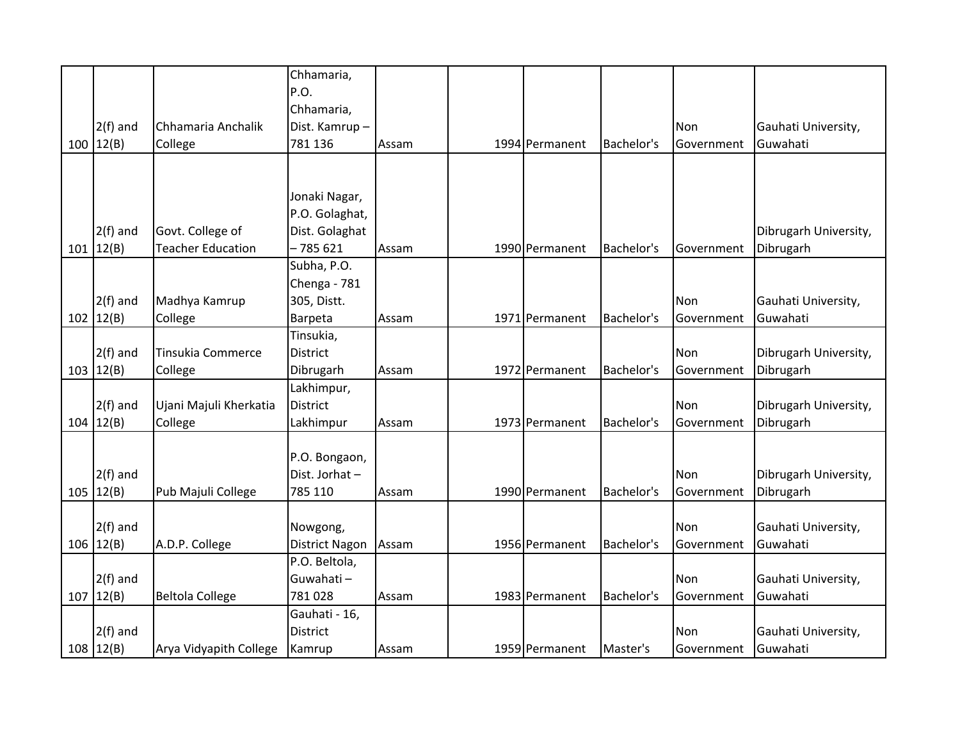|             |                          | Chhamaria,            |       |                |            |            |                       |
|-------------|--------------------------|-----------------------|-------|----------------|------------|------------|-----------------------|
|             |                          | P.O.                  |       |                |            |            |                       |
|             |                          | Chhamaria,            |       |                |            |            |                       |
| $2(f)$ and  | Chhamaria Anchalik       | Dist. Kamrup-         |       |                |            | <b>Non</b> | Gauhati University,   |
| 100   12(B) | College                  | 781 136               | Assam | 1994 Permanent | Bachelor's | Government | Guwahati              |
|             |                          |                       |       |                |            |            |                       |
|             |                          |                       |       |                |            |            |                       |
|             |                          | Jonaki Nagar,         |       |                |            |            |                       |
|             |                          | P.O. Golaghat,        |       |                |            |            |                       |
| $2(f)$ and  | Govt. College of         | Dist. Golaghat        |       |                |            |            | Dibrugarh University, |
| 101   12(B) | <b>Teacher Education</b> | $-785621$             | Assam | 1990 Permanent | Bachelor's | Government | Dibrugarh             |
|             |                          | Subha, P.O.           |       |                |            |            |                       |
|             |                          | Chenga - 781          |       |                |            |            |                       |
| $2(f)$ and  | Madhya Kamrup            | 305, Distt.           |       |                |            | <b>Non</b> | Gauhati University,   |
| 102   12(B) | College                  | Barpeta               | Assam | 1971 Permanent | Bachelor's | Government | Guwahati              |
|             |                          | Tinsukia,             |       |                |            |            |                       |
| $2(f)$ and  | <b>Tinsukia Commerce</b> | <b>District</b>       |       |                |            | Non        | Dibrugarh University, |
| 103   12(B) | College                  | Dibrugarh             | Assam | 1972 Permanent | Bachelor's | Government | Dibrugarh             |
|             |                          | Lakhimpur,            |       |                |            |            |                       |
| $2(f)$ and  | Ujani Majuli Kherkatia   | <b>District</b>       |       |                |            | Non        | Dibrugarh University, |
| 104   12(B) | College                  | Lakhimpur             | Assam | 1973 Permanent | Bachelor's | Government | Dibrugarh             |
|             |                          |                       |       |                |            |            |                       |
|             |                          | P.O. Bongaon,         |       |                |            |            |                       |
| $2(f)$ and  |                          | Dist. Jorhat-         |       |                |            | Non        | Dibrugarh University, |
| 105   12(B) | Pub Majuli College       | 785 110               | Assam | 1990 Permanent | Bachelor's | Government | Dibrugarh             |
|             |                          |                       |       |                |            |            |                       |
| $2(f)$ and  |                          | Nowgong,              |       |                |            | Non        | Gauhati University,   |
| 106   12(B) | A.D.P. College           | <b>District Nagon</b> | Assam | 1956 Permanent | Bachelor's | Government | Guwahati              |
|             |                          | P.O. Beltola,         |       |                |            |            |                       |
| $2(f)$ and  |                          | Guwahati-             |       |                |            | Non        | Gauhati University,   |
| 107   12(B) | <b>Beltola College</b>   | 781028                | Assam | 1983 Permanent | Bachelor's | Government | Guwahati              |
|             |                          | Gauhati - 16,         |       |                |            |            |                       |
| $2(f)$ and  |                          | <b>District</b>       |       |                |            | Non        | Gauhati University,   |
| 108   12(B) | Arya Vidyapith College   | Kamrup                | Assam | 1959 Permanent | Master's   | Government | Guwahati              |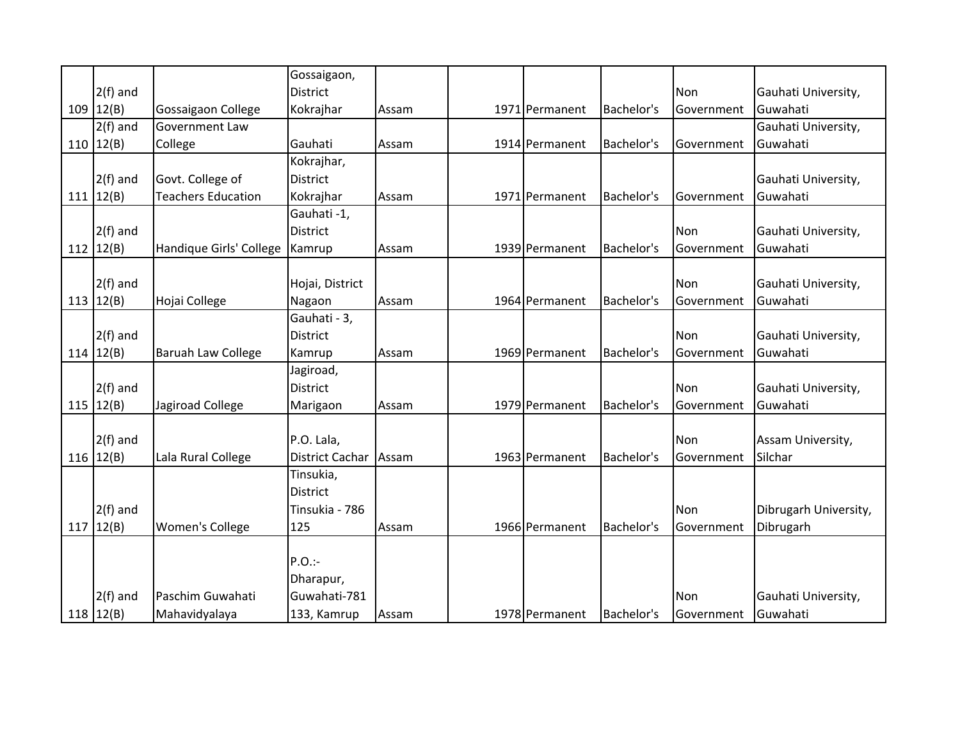|               |                           | Gossaigaon,            |       |                |            |            |                       |
|---------------|---------------------------|------------------------|-------|----------------|------------|------------|-----------------------|
| $2(f)$ and    |                           | <b>District</b>        |       |                |            | Non        | Gauhati University,   |
| 109   12(B)   | Gossaigaon College        | Kokrajhar              | Assam | 1971 Permanent | Bachelor's | Government | Guwahati              |
| $2(f)$ and    | <b>Government Law</b>     |                        |       |                |            |            | Gauhati University,   |
| 110   12(B)   | College                   | Gauhati                | Assam | 1914 Permanent | Bachelor's | Government | Guwahati              |
|               |                           | Kokrajhar,             |       |                |            |            |                       |
| $2(f)$ and    | Govt. College of          | <b>District</b>        |       |                |            |            | Gauhati University,   |
| 111   12(B)   | <b>Teachers Education</b> | Kokrajhar              | Assam | 1971 Permanent | Bachelor's | Government | Guwahati              |
|               |                           | Gauhati -1,            |       |                |            |            |                       |
| $2(f)$ and    |                           | <b>District</b>        |       |                |            | Non        | Gauhati University,   |
| 112   $12(B)$ | Handique Girls' College   | Kamrup                 | Assam | 1939 Permanent | Bachelor's | Government | Guwahati              |
|               |                           |                        |       |                |            |            |                       |
| $2(f)$ and    |                           | Hojai, District        |       |                |            | Non        | Gauhati University,   |
| 113 $12(B)$   | Hojai College             | Nagaon                 | Assam | 1964 Permanent | Bachelor's | Government | Guwahati              |
|               |                           | Gauhati - 3,           |       |                |            |            |                       |
| $2(f)$ and    |                           | <b>District</b>        |       |                |            | Non        | Gauhati University,   |
| 114 $12(B)$   | <b>Baruah Law College</b> | Kamrup                 | Assam | 1969 Permanent | Bachelor's | Government | Guwahati              |
|               |                           | Jagiroad,              |       |                |            |            |                       |
| $2(f)$ and    |                           | <b>District</b>        |       |                |            | Non        | Gauhati University,   |
| 115 $ 12(B) $ | Jagiroad College          | Marigaon               | Assam | 1979 Permanent | Bachelor's | Government | Guwahati              |
|               |                           |                        |       |                |            |            |                       |
| $2(f)$ and    |                           | P.O. Lala,             |       |                |            | Non        | Assam University,     |
| 116 $12(B)$   | Lala Rural College        | <b>District Cachar</b> | Assam | 1963 Permanent | Bachelor's | Government | Silchar               |
|               |                           | Tinsukia,              |       |                |            |            |                       |
|               |                           | <b>District</b>        |       |                |            |            |                       |
| $2(f)$ and    |                           | Tinsukia - 786         |       |                |            | Non        | Dibrugarh University, |
| 117 $12(B)$   | Women's College           | 125                    | Assam | 1966 Permanent | Bachelor's | Government | Dibrugarh             |
|               |                           |                        |       |                |            |            |                       |
|               |                           | $P.O.$ :-              |       |                |            |            |                       |
|               |                           | Dharapur,              |       |                |            |            |                       |
| $2(f)$ and    | Paschim Guwahati          | Guwahati-781           |       |                |            | Non        | Gauhati University,   |
| 118   12(B)   | Mahavidyalaya             | 133, Kamrup            | Assam | 1978 Permanent | Bachelor's | Government | Guwahati              |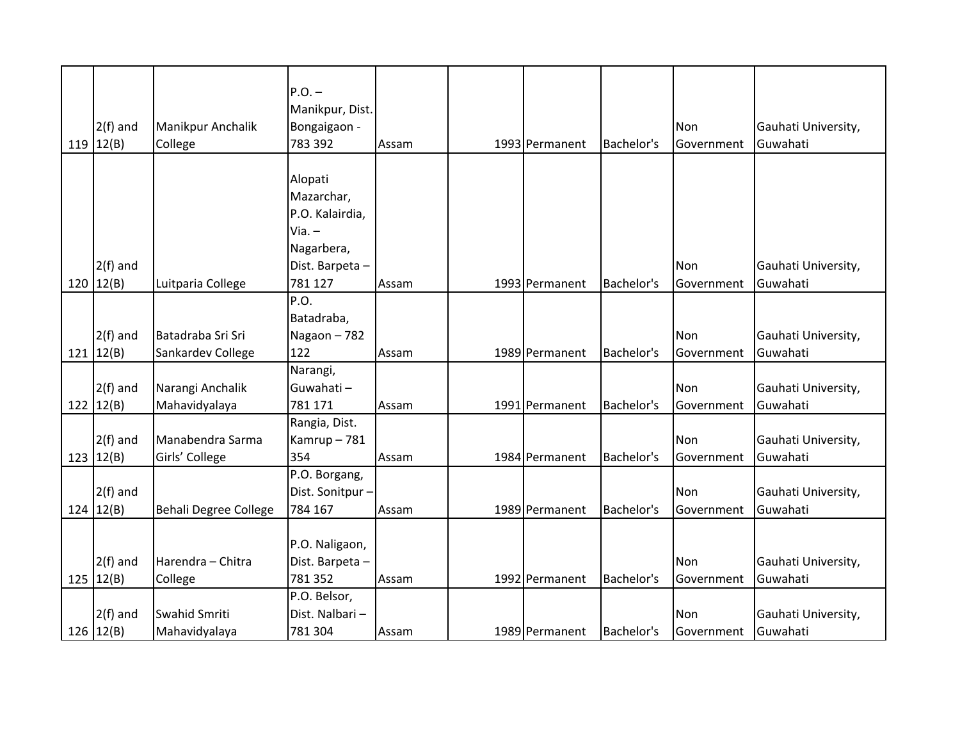| $2(f)$ and<br>119 $ 12(B) $ | Manikpur Anchalik<br>College | $P.O.$ -<br>Manikpur, Dist.<br>Bongaigaon -<br>783 392 | Assam | 1993 Permanent | Bachelor's | Non<br>Government | Gauhati University,<br>Guwahati |
|-----------------------------|------------------------------|--------------------------------------------------------|-------|----------------|------------|-------------------|---------------------------------|
|                             |                              |                                                        |       |                |            |                   |                                 |
|                             |                              | Alopati                                                |       |                |            |                   |                                 |
|                             |                              | Mazarchar,                                             |       |                |            |                   |                                 |
|                             |                              | P.O. Kalairdia,                                        |       |                |            |                   |                                 |
|                             |                              | Via. –                                                 |       |                |            |                   |                                 |
|                             |                              | Nagarbera,                                             |       |                |            |                   |                                 |
| $2(f)$ and                  |                              | Dist. Barpeta-                                         |       |                |            | <b>Non</b>        | Gauhati University,             |
| 120   12(B)                 | Luitparia College            | 781 127                                                | Assam | 1993 Permanent | Bachelor's | Government        | Guwahati                        |
|                             |                              | P.O.                                                   |       |                |            |                   |                                 |
|                             |                              | Batadraba,                                             |       |                |            |                   |                                 |
| $2(f)$ and                  | Batadraba Sri Sri            | Nagaon-782                                             |       |                |            | Non               | Gauhati University,             |
| 121   12(B)                 | Sankardev College            | 122                                                    | Assam | 1989 Permanent | Bachelor's | Government        | Guwahati                        |
|                             |                              | Narangi,                                               |       |                |            |                   |                                 |
| $2(f)$ and                  | Narangi Anchalik             | Guwahati-                                              |       |                |            | Non               | Gauhati University,             |
| 122   $12(B)$               | Mahavidyalaya                | 781 171                                                | Assam | 1991 Permanent | Bachelor's | Government        | Guwahati                        |
|                             |                              | Rangia, Dist.                                          |       |                |            |                   |                                 |
| $2(f)$ and                  | Manabendra Sarma             | Kamrup-781                                             |       |                |            | Non               | Gauhati University,             |
| 123   12(B)                 | Girls' College               | 354                                                    | Assam | 1984 Permanent | Bachelor's | Government        | Guwahati                        |
|                             |                              | P.O. Borgang,                                          |       |                |            |                   |                                 |
| $2(f)$ and                  |                              | Dist. Sonitpur -                                       |       |                |            | Non               | Gauhati University,             |
| 124   12(B)                 | Behali Degree College        | 784 167                                                | Assam | 1989 Permanent | Bachelor's | Government        | Guwahati                        |
|                             |                              |                                                        |       |                |            |                   |                                 |
|                             |                              | P.O. Naligaon,                                         |       |                |            |                   |                                 |
| $2(f)$ and                  | Harendra - Chitra            | Dist. Barpeta-                                         |       |                |            | Non               | Gauhati University,             |
| 125   12(B)                 | College                      | 781 352                                                | Assam | 1992 Permanent | Bachelor's | Government        | Guwahati                        |
|                             |                              | P.O. Belsor,                                           |       |                |            |                   |                                 |
| $2(f)$ and                  | Swahid Smriti                | Dist. Nalbari-                                         |       |                |            | Non               | Gauhati University,             |
| 126 $12(B)$                 | Mahavidyalaya                | 781 304                                                | Assam | 1989 Permanent | Bachelor's | Government        | Guwahati                        |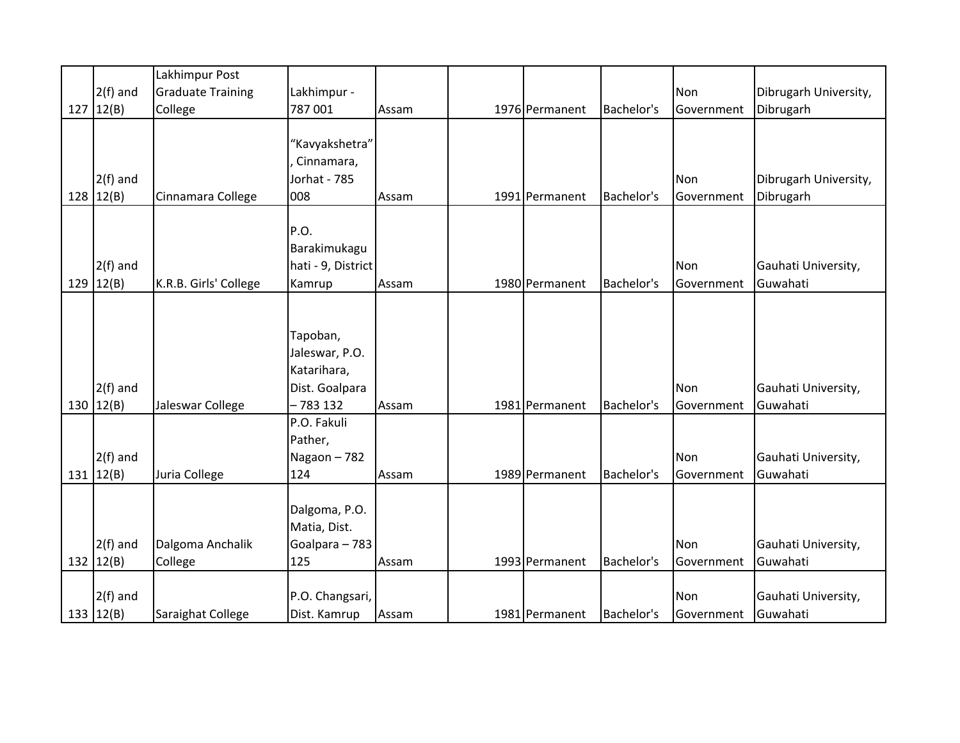|               | Lakhimpur Post           |                    |       |                |            |            |                       |
|---------------|--------------------------|--------------------|-------|----------------|------------|------------|-----------------------|
| $2(f)$ and    | <b>Graduate Training</b> | Lakhimpur -        |       |                |            | Non        | Dibrugarh University, |
| 127   12(B)   | College                  | 787 001            | Assam | 1976 Permanent | Bachelor's | Government | Dibrugarh             |
|               |                          |                    |       |                |            |            |                       |
|               |                          | 'Kavyakshetra"     |       |                |            |            |                       |
|               |                          | Cinnamara,         |       |                |            |            |                       |
| $2(f)$ and    |                          | Jorhat - 785       |       |                |            | Non        | Dibrugarh University, |
| 128   12(B)   | Cinnamara College        | 008                | Assam | 1991 Permanent | Bachelor's | Government | Dibrugarh             |
|               |                          |                    |       |                |            |            |                       |
|               |                          | P.O.               |       |                |            |            |                       |
|               |                          | Barakimukagu       |       |                |            |            |                       |
| $2(f)$ and    |                          | hati - 9, District |       |                |            | Non        | Gauhati University,   |
| 129 $ 12(B) $ | K.R.B. Girls' College    | Kamrup             | Assam | 1980 Permanent | Bachelor's | Government | Guwahati              |
|               |                          |                    |       |                |            |            |                       |
|               |                          |                    |       |                |            |            |                       |
|               |                          | Tapoban,           |       |                |            |            |                       |
|               |                          | Jaleswar, P.O.     |       |                |            |            |                       |
|               |                          | Katarihara,        |       |                |            |            |                       |
| $2(f)$ and    |                          | Dist. Goalpara     |       |                |            | Non        | Gauhati University,   |
| 130 $12(B)$   | Jaleswar College         | $-783132$          | Assam | 1981 Permanent | Bachelor's | Government | Guwahati              |
|               |                          | P.O. Fakuli        |       |                |            |            |                       |
|               |                          | Pather,            |       |                |            |            |                       |
| $2(f)$ and    |                          | Nagaon-782         |       |                |            | Non        | Gauhati University,   |
| 131 $12(B)$   | Juria College            | 124                | Assam | 1989 Permanent | Bachelor's | Government | Guwahati              |
|               |                          |                    |       |                |            |            |                       |
|               |                          | Dalgoma, P.O.      |       |                |            |            |                       |
|               |                          | Matia, Dist.       |       |                |            |            |                       |
| $2(f)$ and    | Dalgoma Anchalik         | Goalpara - 783     |       |                |            | Non        | Gauhati University,   |
| 132 $ 12(B) $ | College                  | 125                | Assam | 1993 Permanent | Bachelor's | Government | Guwahati              |
|               |                          |                    |       |                |            |            |                       |
| $2(f)$ and    |                          | P.O. Changsari,    |       |                |            | Non        | Gauhati University,   |
| 133   $12(B)$ | Saraighat College        | Dist. Kamrup       | Assam | 1981 Permanent | Bachelor's | Government | Guwahati              |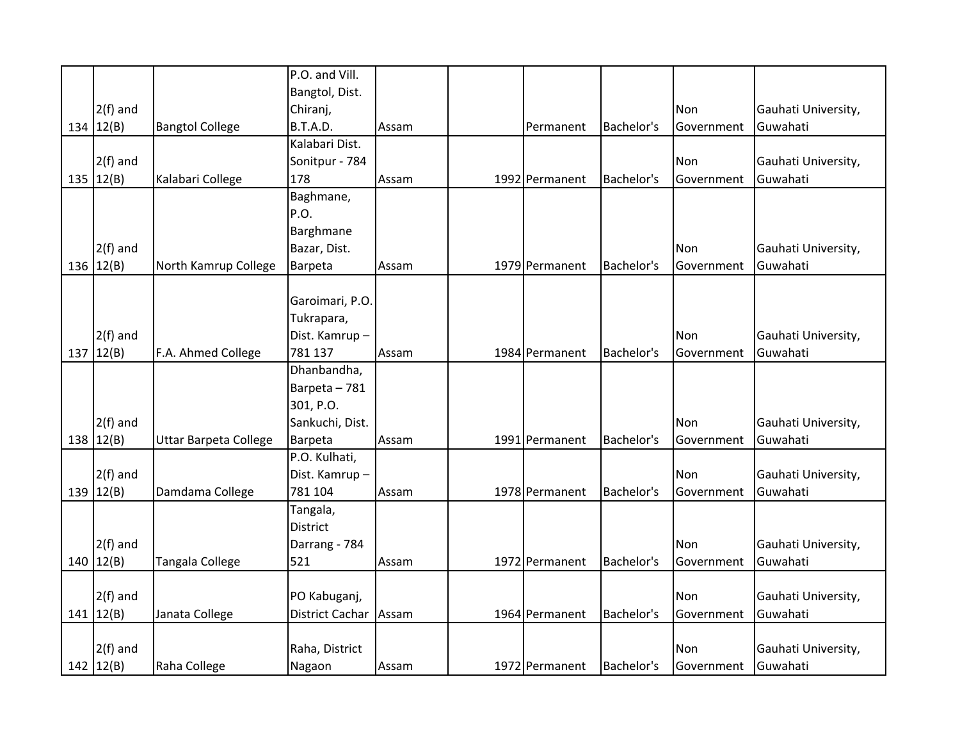|     |               |                              | P.O. and Vill.         |       |                |            |            |                     |
|-----|---------------|------------------------------|------------------------|-------|----------------|------------|------------|---------------------|
|     |               |                              | Bangtol, Dist.         |       |                |            |            |                     |
|     | $2(f)$ and    |                              | Chiranj,               |       |                |            | Non        | Gauhati University, |
|     | 134 $12(B)$   | <b>Bangtol College</b>       | B.T.A.D.               | Assam | Permanent      | Bachelor's | Government | Guwahati            |
|     |               |                              | Kalabari Dist.         |       |                |            |            |                     |
|     | $2(f)$ and    |                              | Sonitpur - 784         |       |                |            | Non        | Gauhati University, |
|     | 135 $ 12(B) $ | Kalabari College             | 178                    | Assam | 1992 Permanent | Bachelor's | Government | Guwahati            |
|     |               |                              | Baghmane,              |       |                |            |            |                     |
|     |               |                              | P.O.                   |       |                |            |            |                     |
|     |               |                              | Barghmane              |       |                |            |            |                     |
|     | $2(f)$ and    |                              | Bazar, Dist.           |       |                |            | Non        | Gauhati University, |
| 136 | 12(B)         | North Kamrup College         | Barpeta                | Assam | 1979 Permanent | Bachelor's | Government | Guwahati            |
|     |               |                              |                        |       |                |            |            |                     |
|     |               |                              | Garoimari, P.O.        |       |                |            |            |                     |
|     |               |                              | Tukrapara,             |       |                |            |            |                     |
|     | $2(f)$ and    |                              | Dist. Kamrup-          |       |                |            | Non        | Gauhati University, |
|     | 137   12(B)   | F.A. Ahmed College           | 781 137                | Assam | 1984 Permanent | Bachelor's | Government | Guwahati            |
|     |               |                              | Dhanbandha,            |       |                |            |            |                     |
|     |               |                              | Barpeta - 781          |       |                |            |            |                     |
|     |               |                              | 301, P.O.              |       |                |            |            |                     |
|     | $2(f)$ and    |                              | Sankuchi, Dist.        |       |                |            | Non        | Gauhati University, |
| 138 | 12(B)         | <b>Uttar Barpeta College</b> | Barpeta                | Assam | 1991 Permanent | Bachelor's | Government | Guwahati            |
|     |               |                              | P.O. Kulhati,          |       |                |            |            |                     |
|     | $2(f)$ and    |                              | Dist. Kamrup-          |       |                |            | Non        | Gauhati University, |
| 139 | 12(B)         | Damdama College              | 781 104                | Assam | 1978 Permanent | Bachelor's | Government | Guwahati            |
|     |               |                              | Tangala,               |       |                |            |            |                     |
|     |               |                              | <b>District</b>        |       |                |            |            |                     |
|     | $2(f)$ and    |                              | Darrang - 784          |       |                |            | Non        | Gauhati University, |
| 140 | 12(B)         | Tangala College              | 521                    | Assam | 1972 Permanent | Bachelor's | Government | Guwahati            |
|     |               |                              |                        |       |                |            |            |                     |
|     | $2(f)$ and    |                              | PO Kabuganj,           |       |                |            | Non        | Gauhati University, |
|     | 141   12(B)   | Janata College               | <b>District Cachar</b> | Assam | 1964 Permanent | Bachelor's | Government | Guwahati            |
|     |               |                              |                        |       |                |            |            |                     |
|     | $2(f)$ and    |                              | Raha, District         |       |                |            | Non        | Gauhati University, |
|     | 142 $12(B)$   | Raha College                 | Nagaon                 | Assam | 1972 Permanent | Bachelor's | Government | Guwahati            |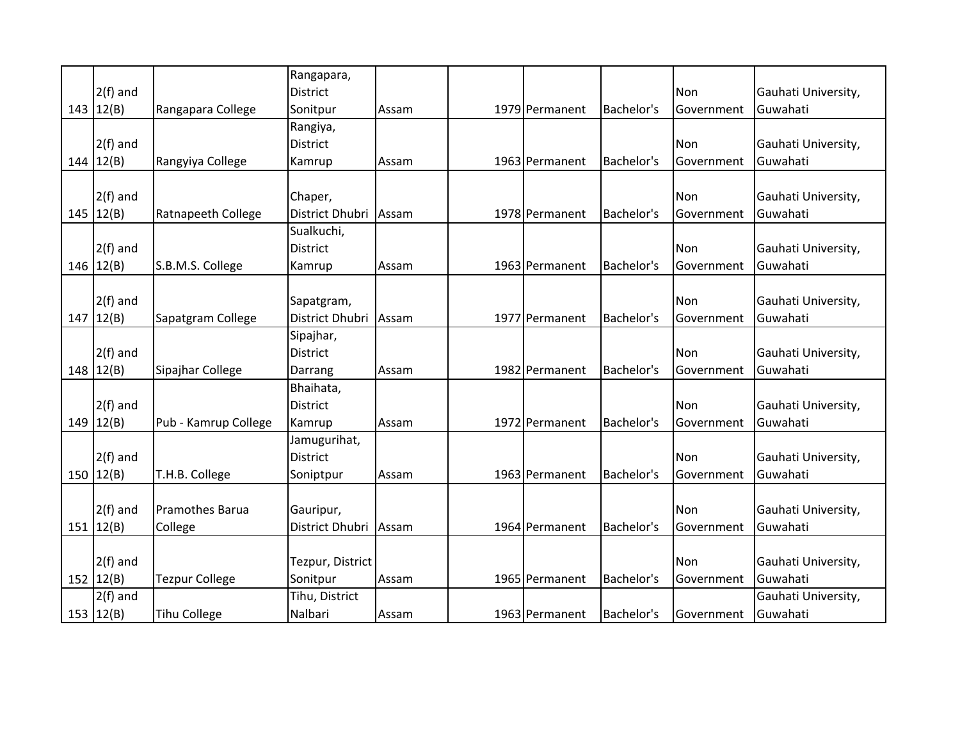|                 |                       | Rangapara,       |       |                |            |                   |                     |
|-----------------|-----------------------|------------------|-------|----------------|------------|-------------------|---------------------|
| $2(f)$ and      |                       | <b>District</b>  |       |                |            | Non               | Gauhati University, |
| 143   12(B)     | Rangapara College     | Sonitpur         | Assam | 1979 Permanent | Bachelor's | Government        | Guwahati            |
|                 |                       | Rangiya,         |       |                |            |                   |                     |
| $2(f)$ and      |                       | <b>District</b>  |       |                |            | Non               | Gauhati University, |
| 144   12(B)     | Rangyiya College      | Kamrup           | Assam | 1963 Permanent | Bachelor's | Government        | Guwahati            |
|                 |                       |                  |       |                |            |                   |                     |
| $2(f)$ and      |                       | Chaper,          |       |                |            | Non               | Gauhati University, |
| 145   12(B)     | Ratnapeeth College    | District Dhubri  | Assam | 1978 Permanent | Bachelor's | Government        | Guwahati            |
|                 |                       | Sualkuchi,       |       |                |            |                   |                     |
| $2(f)$ and      |                       | <b>District</b>  |       |                |            | Non               | Gauhati University, |
| 146 $ 12(B) $   | S.B.M.S. College      | Kamrup           | Assam | 1963 Permanent | Bachelor's | Government        | Guwahati            |
|                 |                       |                  |       |                |            |                   |                     |
| $2(f)$ and      |                       | Sapatgram,       |       |                |            | Non               | Gauhati University, |
| 147   12(B)     | Sapatgram College     | District Dhubri  | Assam | 1977 Permanent | Bachelor's | Government        | Guwahati            |
|                 |                       | Sipajhar,        |       |                |            |                   |                     |
| $2(f)$ and      |                       | <b>District</b>  |       |                |            | Non               | Gauhati University, |
| 148   12(B)     | Sipajhar College      | Darrang          | Assam | 1982 Permanent | Bachelor's | Government        | Guwahati            |
|                 |                       | Bhaihata,        |       |                |            |                   |                     |
| $2(f)$ and      |                       | <b>District</b>  |       |                |            | Non               | Gauhati University, |
| $149$   $12(B)$ | Pub - Kamrup College  | Kamrup           | Assam | 1972 Permanent | Bachelor's | Government        | Guwahati            |
|                 |                       | Jamugurihat,     |       |                |            |                   |                     |
| $2(f)$ and      |                       | <b>District</b>  |       |                |            | Non               | Gauhati University, |
| 150   12(B)     | T.H.B. College        | Soniptpur        | Assam | 1963 Permanent | Bachelor's | Government        | Guwahati            |
|                 |                       |                  |       |                |            |                   |                     |
| $2(f)$ and      | Pramothes Barua       | Gauripur,        |       |                |            | Non               | Gauhati University, |
| 151   12(B)     | College               | District Dhubri  | Assam | 1964 Permanent | Bachelor's | Government        | Guwahati            |
|                 |                       |                  |       |                |            |                   |                     |
| $2(f)$ and      |                       | Tezpur, District |       |                |            | Non               | Gauhati University, |
| 152 $12(B)$     | <b>Tezpur College</b> | Sonitpur         | Assam | 1965 Permanent | Bachelor's | <b>Government</b> | Guwahati            |
| $2(f)$ and      |                       | Tihu, District   |       |                |            |                   | Gauhati University, |
| 153 $12(B)$     | <b>Tihu College</b>   | Nalbari          | Assam | 1963 Permanent | Bachelor's | Government        | Guwahati            |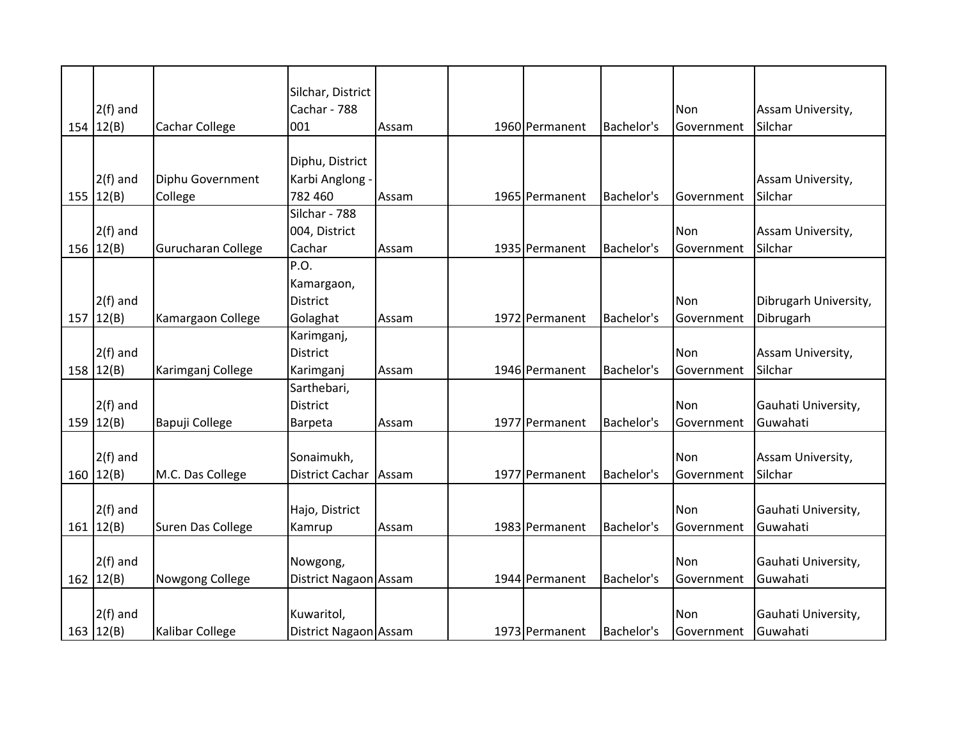|               |                    | Silchar, District     |       |                |            |                   |                       |
|---------------|--------------------|-----------------------|-------|----------------|------------|-------------------|-----------------------|
| $2(f)$ and    |                    | Cachar - 788          |       |                |            | Non               | Assam University,     |
| 154 $ 12(B) $ | Cachar College     | 001                   | Assam | 1960 Permanent | Bachelor's | Government        | Silchar               |
|               |                    |                       |       |                |            |                   |                       |
|               |                    | Diphu, District       |       |                |            |                   |                       |
| $2(f)$ and    | Diphu Government   | Karbi Anglong -       |       |                |            |                   | Assam University,     |
| 155   12(B)   | College            | 782 460               | Assam | 1965 Permanent | Bachelor's | Government        | Silchar               |
|               |                    | Silchar - 788         |       |                |            |                   |                       |
| $2(f)$ and    |                    | 004, District         |       |                |            | Non               | Assam University,     |
| 156 $12(B)$   | Gurucharan College | Cachar                | Assam | 1935 Permanent | Bachelor's | Government        | Silchar               |
|               |                    | P.O.                  |       |                |            |                   |                       |
|               |                    | Kamargaon,            |       |                |            |                   |                       |
| $2(f)$ and    |                    | <b>District</b>       |       |                |            | Non               | Dibrugarh University, |
| 157   12(B)   | Kamargaon College  | Golaghat              | Assam | 1972 Permanent | Bachelor's | Government        | Dibrugarh             |
|               |                    | Karimganj,            |       |                |            |                   |                       |
| $2(f)$ and    |                    | <b>District</b>       |       |                |            | Non               | Assam University,     |
| 158   12(B)   | Karimganj College  | Karimganj             | Assam | 1946 Permanent | Bachelor's | Government        | Silchar               |
|               |                    | Sarthebari,           |       |                |            |                   |                       |
| $2(f)$ and    |                    | <b>District</b>       |       |                |            | Non               | Gauhati University,   |
| 159 $12(B)$   | Bapuji College     | Barpeta               | Assam | 1977 Permanent | Bachelor's | Government        | Guwahati              |
|               |                    |                       |       |                |            |                   |                       |
| $2(f)$ and    |                    | Sonaimukh,            |       |                |            | Non               | Assam University,     |
| 160   12(B)   | M.C. Das College   | District Cachar       | Assam | 1977 Permanent | Bachelor's | Government        | Silchar               |
|               |                    |                       |       |                |            |                   |                       |
| $2(f)$ and    |                    | Hajo, District        |       |                |            | Non               | Gauhati University,   |
| 161   12(B)   | Suren Das College  | Kamrup                | Assam | 1983 Permanent | Bachelor's | Government        | Guwahati              |
|               |                    |                       |       |                |            |                   |                       |
| $2(f)$ and    |                    | Nowgong,              |       |                |            | Non               | Gauhati University,   |
| 162   12(B)   | Nowgong College    | District Nagaon Assam |       | 1944 Permanent | Bachelor's | <b>Government</b> | Guwahati              |
|               |                    |                       |       |                |            |                   |                       |
| $2(f)$ and    |                    | Kuwaritol,            |       |                |            | Non               | Gauhati University,   |
| 163   12(B)   | Kalibar College    | District Nagaon Assam |       | 1973 Permanent | Bachelor's | Government        | Guwahati              |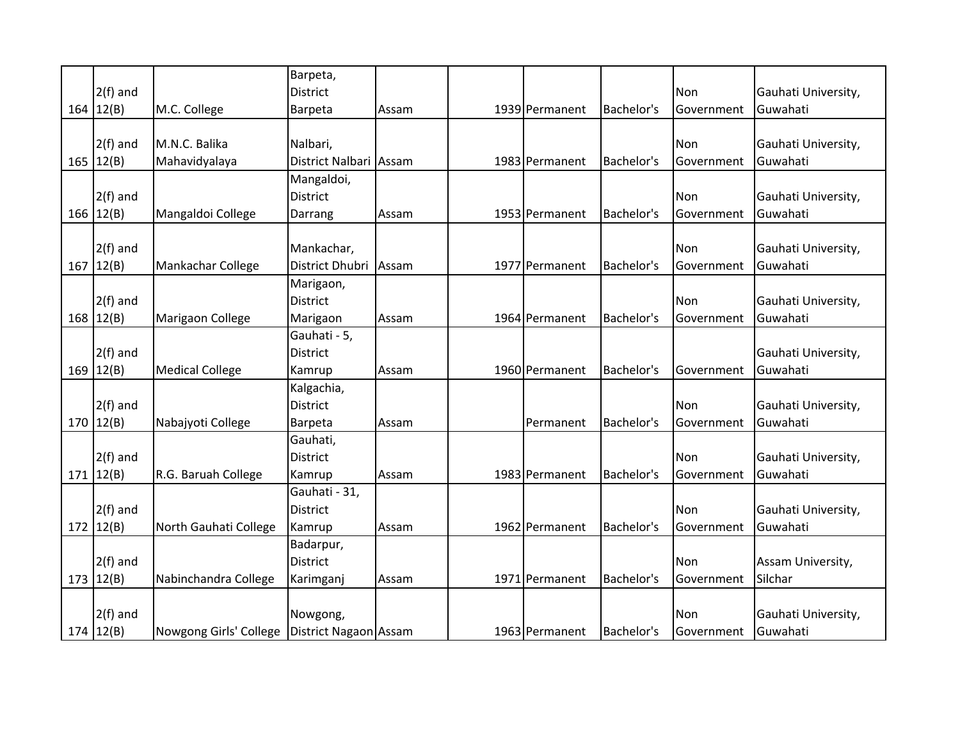|               |                        | Barpeta,               |       |                |            |            |                     |
|---------------|------------------------|------------------------|-------|----------------|------------|------------|---------------------|
| $2(f)$ and    |                        | <b>District</b>        |       |                |            | Non        | Gauhati University, |
| 164   12(B)   | M.C. College           | Barpeta                | Assam | 1939 Permanent | Bachelor's | Government | Guwahati            |
|               |                        |                        |       |                |            |            |                     |
| $2(f)$ and    | M.N.C. Balika          | Nalbari,               |       |                |            | Non        | Gauhati University, |
| 165 $12(B)$   | Mahavidyalaya          | District Nalbari Assam |       | 1983 Permanent | Bachelor's | Government | Guwahati            |
|               |                        | Mangaldoi,             |       |                |            |            |                     |
| $2(f)$ and    |                        | <b>District</b>        |       |                |            | Non        | Gauhati University, |
| 166   12(B)   | Mangaldoi College      | Darrang                | Assam | 1953 Permanent | Bachelor's | Government | Guwahati            |
|               |                        |                        |       |                |            |            |                     |
| $2(f)$ and    |                        | Mankachar,             |       |                |            | Non        | Gauhati University, |
| 167   12(B)   | Mankachar College      | District Dhubri        | Assam | 1977 Permanent | Bachelor's | Government | Guwahati            |
|               |                        | Marigaon,              |       |                |            |            |                     |
| $2(f)$ and    |                        | District               |       |                |            | Non        | Gauhati University, |
| 168   12(B)   | Marigaon College       | Marigaon               | Assam | 1964 Permanent | Bachelor's | Government | Guwahati            |
|               |                        | Gauhati - 5,           |       |                |            |            |                     |
| $2(f)$ and    |                        | District               |       |                |            |            | Gauhati University, |
| 169 $ 12(B) $ | <b>Medical College</b> | Kamrup                 | Assam | 1960 Permanent | Bachelor's | Government | Guwahati            |
|               |                        | Kalgachia,             |       |                |            |            |                     |
| $2(f)$ and    |                        | District               |       |                |            | Non        | Gauhati University, |
| 170   12(B)   | Nabajyoti College      | Barpeta                | Assam | Permanent      | Bachelor's | Government | Guwahati            |
|               |                        | Gauhati,               |       |                |            |            |                     |
| $2(f)$ and    |                        | District               |       |                |            | Non        | Gauhati University, |
| 171   12(B)   | R.G. Baruah College    | Kamrup                 | Assam | 1983 Permanent | Bachelor's | Government | Guwahati            |
|               |                        | Gauhati - 31,          |       |                |            |            |                     |
| $2(f)$ and    |                        | <b>District</b>        |       |                |            | Non        | Gauhati University, |
| 172   12(B)   | North Gauhati College  | Kamrup                 | Assam | 1962 Permanent | Bachelor's | Government | Guwahati            |
|               |                        | Badarpur,              |       |                |            |            |                     |
| $2(f)$ and    |                        | <b>District</b>        |       |                |            | Non        | Assam University,   |
| 173   12(B)   | Nabinchandra College   | Karimganj              | Assam | 1971 Permanent | Bachelor's | Government | Silchar             |
|               |                        |                        |       |                |            |            |                     |
| $2(f)$ and    |                        | Nowgong,               |       |                |            | Non        | Gauhati University, |
| 174   12(B)   | Nowgong Girls' College | District Nagaon Assam  |       | 1963 Permanent | Bachelor's | Government | Guwahati            |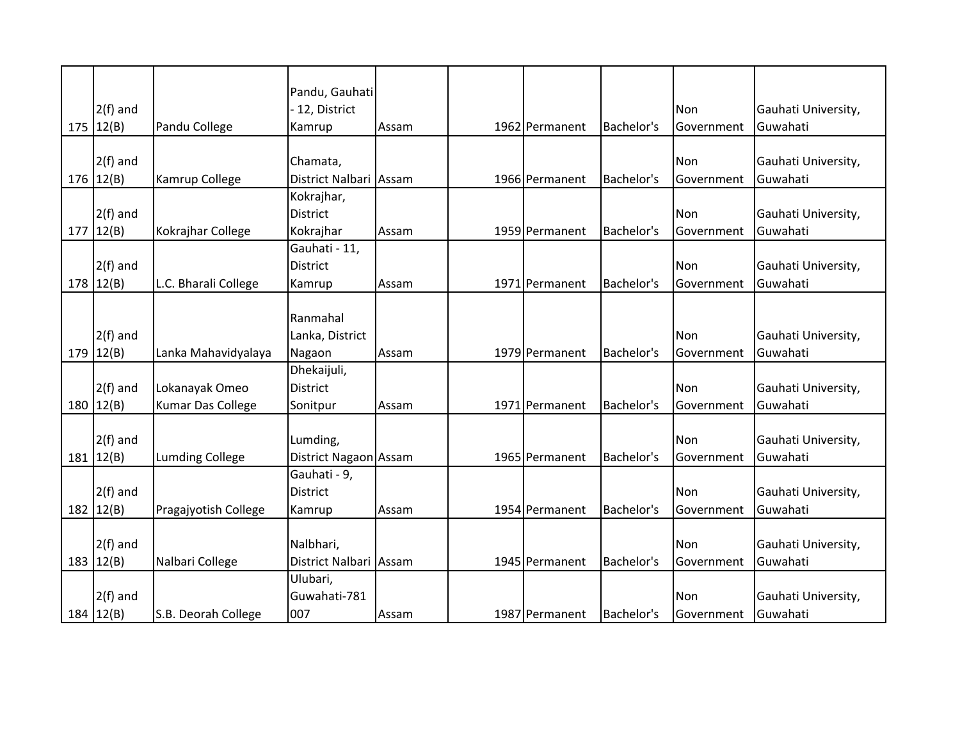|             |                          | Pandu, Gauhati         |       |                |            |            |                     |
|-------------|--------------------------|------------------------|-------|----------------|------------|------------|---------------------|
| $2(f)$ and  |                          | 12, District           |       |                |            | Non        | Gauhati University, |
| 175   12(B) | Pandu College            | Kamrup                 | Assam | 1962 Permanent | Bachelor's | Government | Guwahati            |
|             |                          |                        |       |                |            |            |                     |
| $2(f)$ and  |                          | Chamata,               |       |                |            | Non        | Gauhati University, |
| 176 12(B)   | Kamrup College           | District Nalbari Assam |       | 1966 Permanent | Bachelor's | Government | Guwahati            |
|             |                          | Kokrajhar,             |       |                |            |            |                     |
| $2(f)$ and  |                          | District               |       |                |            | Non        | Gauhati University, |
| 177   12(B) | Kokrajhar College        | Kokrajhar              | Assam | 1959 Permanent | Bachelor's | Government | Guwahati            |
|             |                          | Gauhati - 11,          |       |                |            |            |                     |
| $2(f)$ and  |                          | <b>District</b>        |       |                |            | Non        | Gauhati University, |
| 178   12(B) | L.C. Bharali College     | Kamrup                 | Assam | 1971 Permanent | Bachelor's | Government | Guwahati            |
|             |                          |                        |       |                |            |            |                     |
|             |                          | Ranmahal               |       |                |            |            |                     |
| $2(f)$ and  |                          | Lanka, District        |       |                |            | <b>Non</b> | Gauhati University, |
| 179   12(B) | Lanka Mahavidyalaya      | Nagaon                 | Assam | 1979 Permanent | Bachelor's | Government | Guwahati            |
|             |                          | Dhekaijuli,            |       |                |            |            |                     |
| $2(f)$ and  | Lokanayak Omeo           | <b>District</b>        |       |                |            | Non        | Gauhati University, |
| 180 $12(B)$ | <b>Kumar Das College</b> | Sonitpur               | Assam | 1971 Permanent | Bachelor's | Government | Guwahati            |
|             |                          |                        |       |                |            |            |                     |
| $2(f)$ and  |                          | Lumding,               |       |                |            | Non        | Gauhati University, |
| 181   12(B) | <b>Lumding College</b>   | District Nagaon Assam  |       | 1965 Permanent | Bachelor's | Government | Guwahati            |
|             |                          | Gauhati - 9,           |       |                |            |            |                     |
| $2(f)$ and  |                          | <b>District</b>        |       |                |            | Non        | Gauhati University, |
| 182 $12(B)$ | Pragajyotish College     | Kamrup                 | Assam | 1954 Permanent | Bachelor's | Government | Guwahati            |
|             |                          |                        |       |                |            |            |                     |
| $2(f)$ and  |                          | Nalbhari,              |       |                |            | Non        | Gauhati University, |
| 183 12(B)   | Nalbari College          | District Nalbari Assam |       | 1945 Permanent | Bachelor's | Government | Guwahati            |
|             |                          | Ulubari,               |       |                |            |            |                     |
| $2(f)$ and  |                          | Guwahati-781           |       |                |            | Non        | Gauhati University, |
| 184   12(B) | S.B. Deorah College      | 007                    | Assam | 1987 Permanent | Bachelor's | Government | Guwahati            |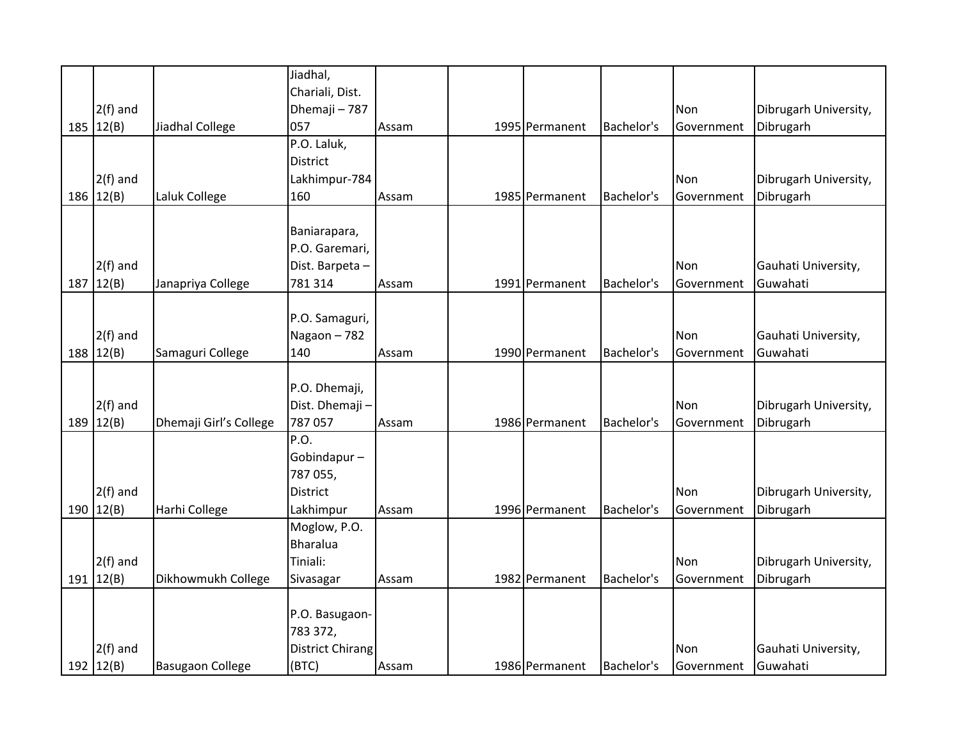|               |                         | Jiadhal,                |       |                |                   |                   |                       |
|---------------|-------------------------|-------------------------|-------|----------------|-------------------|-------------------|-----------------------|
|               |                         | Chariali, Dist.         |       |                |                   |                   |                       |
| $2(f)$ and    |                         | Dhemaji - 787           |       |                |                   | Non               | Dibrugarh University, |
| 185 $ 12(B) $ | Jiadhal College         | 057                     | Assam | 1995 Permanent | Bachelor's        | Government        | Dibrugarh             |
|               |                         | P.O. Laluk,             |       |                |                   |                   |                       |
|               |                         | <b>District</b>         |       |                |                   |                   |                       |
| $2(f)$ and    |                         | Lakhimpur-784           |       |                |                   | <b>Non</b>        | Dibrugarh University, |
| 186   12(B)   | Laluk College           | 160                     | Assam | 1985 Permanent | Bachelor's        | Government        | Dibrugarh             |
|               |                         |                         |       |                |                   |                   |                       |
|               |                         | Baniarapara,            |       |                |                   |                   |                       |
|               |                         | P.O. Garemari,          |       |                |                   |                   |                       |
| $2(f)$ and    |                         | Dist. Barpeta-          |       |                |                   | Non               | Gauhati University,   |
| 187   12(B)   | Janapriya College       | 781 314                 | Assam | 1991 Permanent | Bachelor's        | Government        | Guwahati              |
|               |                         |                         |       |                |                   |                   |                       |
|               |                         | P.O. Samaguri,          |       |                |                   |                   |                       |
| $2(f)$ and    |                         | Nagaon-782              |       |                |                   | Non               | Gauhati University,   |
| 188 $12(B)$   | Samaguri College        | 140                     | Assam | 1990 Permanent | Bachelor's        | Government        | Guwahati              |
|               |                         |                         |       |                |                   |                   |                       |
|               |                         | P.O. Dhemaji,           |       |                |                   |                   |                       |
| $2(f)$ and    |                         | Dist. Dhemaji-          |       |                |                   | Non               | Dibrugarh University, |
| 189 12(B)     | Dhemaji Girl's College  | 787 057                 | Assam | 1986 Permanent | Bachelor's        | Government        | Dibrugarh             |
|               |                         | P.O.                    |       |                |                   |                   |                       |
|               |                         | Gobindapur-             |       |                |                   |                   |                       |
|               |                         | 787 055,                |       |                |                   |                   |                       |
| $2(f)$ and    |                         | <b>District</b>         |       |                |                   | <b>Non</b>        | Dibrugarh University, |
| 190   12(B)   | Harhi College           | Lakhimpur               | Assam | 1996 Permanent | Bachelor's        | Government        | Dibrugarh             |
|               |                         | Moglow, P.O.            |       |                |                   |                   |                       |
|               |                         | <b>Bharalua</b>         |       |                |                   |                   |                       |
| $2(f)$ and    |                         | Tiniali:                |       |                |                   | Non               | Dibrugarh University, |
| 191 $ 12(B) $ | Dikhowmukh College      | Sivasagar               | Assam | 1982 Permanent | <b>Bachelor's</b> | Government        | Dibrugarh             |
|               |                         |                         |       |                |                   |                   |                       |
|               |                         | P.O. Basugaon-          |       |                |                   |                   |                       |
|               |                         | 783 372,                |       |                |                   |                   |                       |
| $2(f)$ and    |                         | <b>District Chirang</b> |       |                |                   | Non               | Gauhati University,   |
| 192 $12(B)$   | <b>Basugaon College</b> | (BTC)                   | Assam | 1986 Permanent | Bachelor's        | <b>Government</b> | Guwahati              |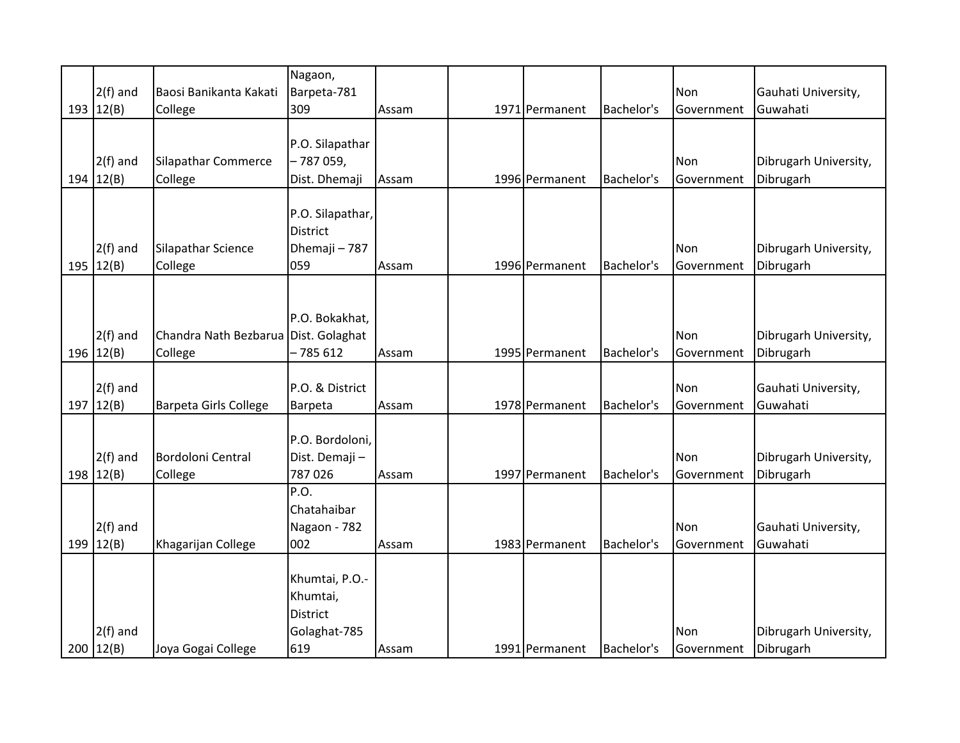|               |                                      | Nagaon,          |       |                |            |            |                       |
|---------------|--------------------------------------|------------------|-------|----------------|------------|------------|-----------------------|
| $2(f)$ and    | Baosi Banikanta Kakati               | Barpeta-781      |       |                |            | Non        | Gauhati University,   |
| 193 $ 12(B) $ | College                              | 309              | Assam | 1971 Permanent | Bachelor's | Government | Guwahati              |
|               |                                      |                  |       |                |            |            |                       |
|               |                                      | P.O. Silapathar  |       |                |            |            |                       |
| $2(f)$ and    | Silapathar Commerce                  | - 787 059,       |       |                |            | Non        | Dibrugarh University, |
| 194   12(B)   | College                              | Dist. Dhemaji    | Assam | 1996 Permanent | Bachelor's | Government | Dibrugarh             |
|               |                                      |                  |       |                |            |            |                       |
|               |                                      | P.O. Silapathar, |       |                |            |            |                       |
|               |                                      | <b>District</b>  |       |                |            |            |                       |
| $2(f)$ and    | Silapathar Science                   | Dhemaji - 787    |       |                |            | Non        | Dibrugarh University, |
| 195   12(B)   | College                              | 059              | Assam | 1996 Permanent | Bachelor's | Government | Dibrugarh             |
|               |                                      |                  |       |                |            |            |                       |
|               |                                      |                  |       |                |            |            |                       |
|               |                                      | P.O. Bokakhat,   |       |                |            |            |                       |
| $2(f)$ and    | Chandra Nath Bezbarua Dist. Golaghat |                  |       |                |            | <b>Non</b> | Dibrugarh University, |
| 196   12(B)   | College                              | $-785612$        | Assam | 1995 Permanent | Bachelor's | Government | Dibrugarh             |
|               |                                      |                  |       |                |            |            |                       |
| $2(f)$ and    |                                      | P.O. & District  |       |                |            | Non        | Gauhati University,   |
| 197   12(B)   | Barpeta Girls College                | Barpeta          | Assam | 1978 Permanent | Bachelor's | Government | Guwahati              |
|               |                                      |                  |       |                |            |            |                       |
|               |                                      | P.O. Bordoloni,  |       |                |            |            |                       |
| $2(f)$ and    | Bordoloni Central                    | Dist. Demaji -   |       |                |            | Non        | Dibrugarh University, |
| 198   12(B)   | College                              | 787026           | Assam | 1997 Permanent | Bachelor's | Government | Dibrugarh             |
|               |                                      | P.O.             |       |                |            |            |                       |
|               |                                      | Chatahaibar      |       |                |            |            |                       |
| $2(f)$ and    |                                      | Nagaon - 782     |       |                |            | Non        | Gauhati University,   |
| 199 $12(B)$   |                                      | 002              | Assam | 1983 Permanent | Bachelor's | Government | Guwahati              |
|               | Khagarijan College                   |                  |       |                |            |            |                       |
|               |                                      | Khumtai, P.O.-   |       |                |            |            |                       |
|               |                                      |                  |       |                |            |            |                       |
|               |                                      | Khumtai,         |       |                |            |            |                       |
|               |                                      | <b>District</b>  |       |                |            |            |                       |
| $2(f)$ and    |                                      | Golaghat-785     |       |                |            | Non        | Dibrugarh University, |
| 200   12(B)   | Joya Gogai College                   | 619              | Assam | 1991 Permanent | Bachelor's | Government | Dibrugarh             |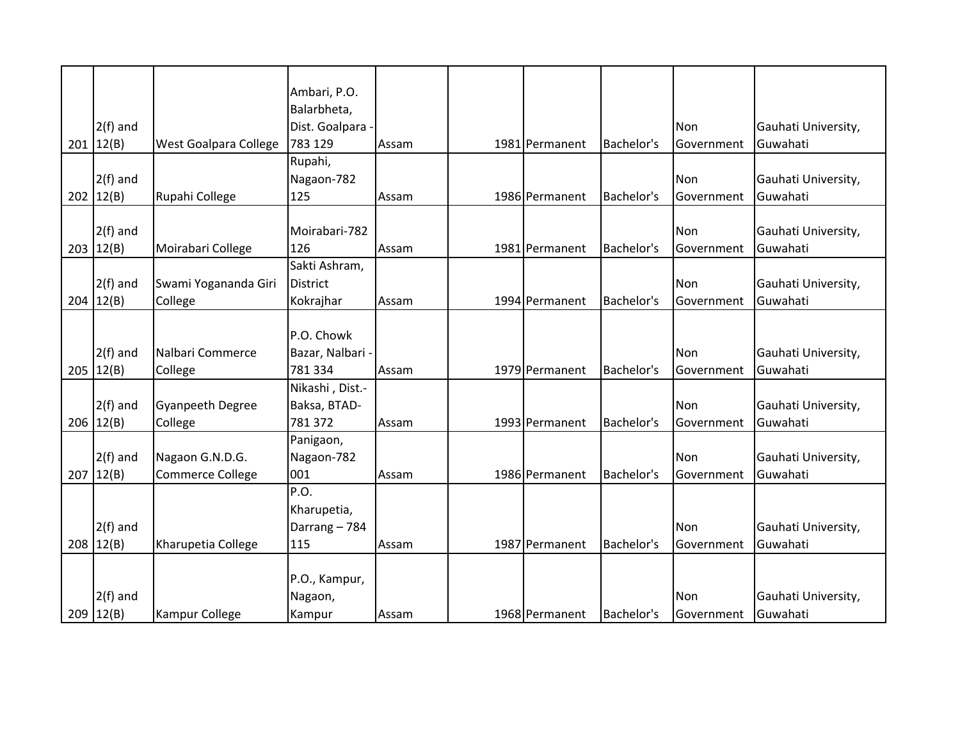|             |                         | Ambari, P.O.       |       |                |            |            |                     |
|-------------|-------------------------|--------------------|-------|----------------|------------|------------|---------------------|
|             |                         | Balarbheta,        |       |                |            |            |                     |
| $2(f)$ and  |                         | Dist. Goalpara     |       |                |            | Non        | Gauhati University, |
| 201   12(B) | West Goalpara College   | 783 129            | Assam | 1981 Permanent | Bachelor's | Government | Guwahati            |
|             |                         | Rupahi,            |       |                |            |            |                     |
| $2(f)$ and  |                         | Nagaon-782         |       |                |            | Non        | Gauhati University, |
| 202   12(B) | Rupahi College          | 125                | Assam | 1986 Permanent | Bachelor's | Government | Guwahati            |
|             |                         |                    |       |                |            |            |                     |
| $2(f)$ and  |                         | Moirabari-782      |       |                |            | Non        | Gauhati University, |
| 203   12(B) | Moirabari College       | 126                | Assam | 1981 Permanent | Bachelor's | Government | Guwahati            |
|             |                         | Sakti Ashram,      |       |                |            |            |                     |
| $2(f)$ and  | Swami Yogananda Giri    | <b>District</b>    |       |                |            | Non        | Gauhati University, |
| 204   12(B) | College                 | Kokrajhar          | Assam | 1994 Permanent | Bachelor's | Government | Guwahati            |
|             |                         |                    |       |                |            |            |                     |
|             |                         | P.O. Chowk         |       |                |            |            |                     |
| $2(f)$ and  | Nalbari Commerce        | Bazar, Nalbari -   |       |                |            | Non        | Gauhati University, |
| 205   12(B) | College                 | 781 334            | Assam | 1979 Permanent | Bachelor's | Government | Guwahati            |
|             |                         | Nikashi, Dist.-    |       |                |            |            |                     |
| $2(f)$ and  | <b>Gyanpeeth Degree</b> | Baksa, BTAD-       |       |                |            | Non        | Gauhati University, |
| 206   12(B) | College                 | 781 372            | Assam | 1993 Permanent | Bachelor's | Government | Guwahati            |
|             |                         | Panigaon,          |       |                |            |            |                     |
| $2(f)$ and  | Nagaon G.N.D.G.         | Nagaon-782         |       |                |            | Non        | Gauhati University, |
| 207   12(B) | <b>Commerce College</b> | 001                | Assam | 1986 Permanent | Bachelor's | Government | Guwahati            |
|             |                         | $\overline{P}$ .O. |       |                |            |            |                     |
|             |                         | Kharupetia,        |       |                |            |            |                     |
| $2(f)$ and  |                         | Darrang - 784      |       |                |            | Non        | Gauhati University, |
| 208   12(B) | Kharupetia College      | 115                | Assam | 1987 Permanent | Bachelor's | Government | Guwahati            |
|             |                         |                    |       |                |            |            |                     |
|             |                         | P.O., Kampur,      |       |                |            |            |                     |
| $2(f)$ and  |                         | Nagaon,            |       |                |            | Non        | Gauhati University, |
| 209   12(B) | <b>Kampur College</b>   | Kampur             | Assam | 1968 Permanent | Bachelor's | Government | Guwahati            |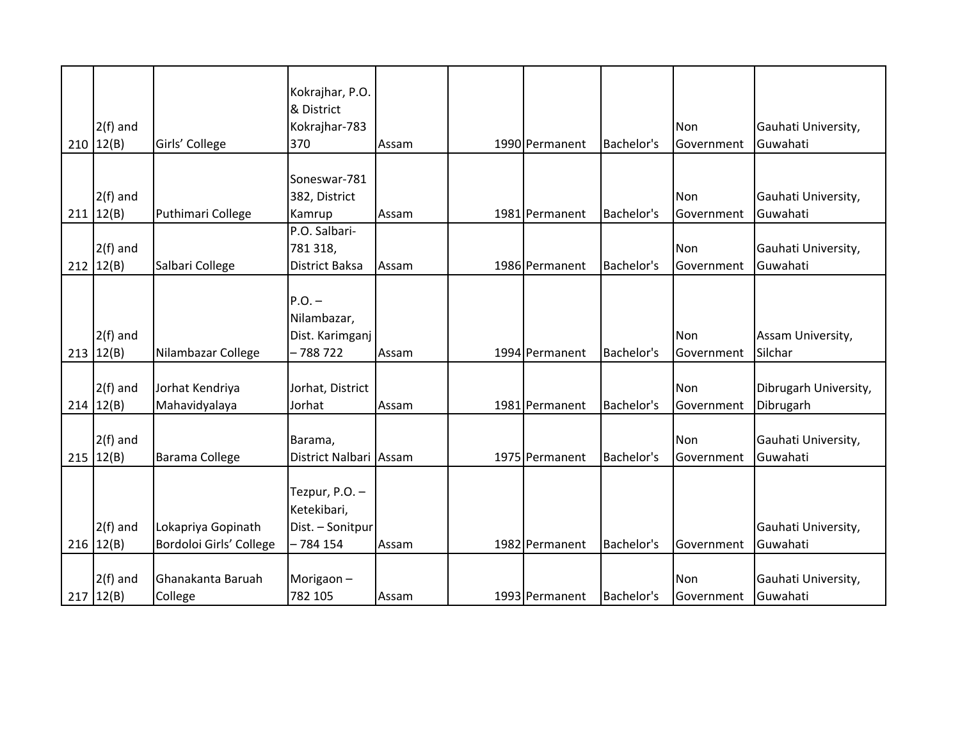|  |                           |                         | Kokrajhar, P.O.<br>& District |       |                |            |            |                                 |
|--|---------------------------|-------------------------|-------------------------------|-------|----------------|------------|------------|---------------------------------|
|  | $2(f)$ and                |                         | Kokrajhar-783                 |       |                |            | Non        | Gauhati University,             |
|  | 210   12(B)               | Girls' College          | 370                           | Assam | 1990 Permanent | Bachelor's | Government | Guwahati                        |
|  |                           |                         |                               |       |                |            |            |                                 |
|  |                           |                         | Soneswar-781                  |       |                |            |            |                                 |
|  | $2(f)$ and                |                         | 382, District                 |       |                |            | Non        | Gauhati University,             |
|  | 211   12(B)               | Puthimari College       | Kamrup                        | Assam | 1981 Permanent | Bachelor's | Government | Guwahati                        |
|  |                           |                         | P.O. Salbari-                 |       |                |            |            |                                 |
|  | $2(f)$ and                |                         | 781 318,                      |       |                |            | Non        | Gauhati University,             |
|  | 212   12(B)               | Salbari College         | District Baksa                | Assam | 1986 Permanent | Bachelor's | Government | Guwahati                        |
|  |                           |                         |                               |       |                |            |            |                                 |
|  |                           |                         | $P.O.$ -<br>Nilambazar,       |       |                |            |            |                                 |
|  | $2(f)$ and                |                         | Dist. Karimganj               |       |                |            | Non        | Assam University,               |
|  | 213   12(B)               | Nilambazar College      | - 788 722                     | Assam | 1994 Permanent | Bachelor's | Government | Silchar                         |
|  |                           |                         |                               |       |                |            |            |                                 |
|  | $2(f)$ and                | Jorhat Kendriya         | Jorhat, District              |       |                |            | Non        | Dibrugarh University,           |
|  | 214   12(B)               | Mahavidyalaya           | Jorhat                        | Assam | 1981 Permanent | Bachelor's | Government | Dibrugarh                       |
|  |                           |                         |                               |       |                |            |            |                                 |
|  | $2(f)$ and                |                         | Barama,                       |       |                |            | Non        | Gauhati University,             |
|  | 215   12(B)               | <b>Barama College</b>   | District Nalbari Assam        |       | 1975 Permanent | Bachelor's | Government | Guwahati                        |
|  |                           |                         |                               |       |                |            |            |                                 |
|  |                           |                         | Tezpur, P.O. -                |       |                |            |            |                                 |
|  |                           |                         | Ketekibari,                   |       |                |            |            |                                 |
|  | $2(f)$ and                | Lokapriya Gopinath      | Dist. - Sonitpur              |       |                |            |            | Gauhati University,             |
|  | 216   12(B)               | Bordoloi Girls' College | $-784154$                     | Assam | 1982 Permanent | Bachelor's | Government | Guwahati                        |
|  |                           | Ghanakanta Baruah       |                               |       |                |            | Non        |                                 |
|  | $2(f)$ and<br>217   12(B) | College                 | Morigaon $-$<br>782 105       |       | 1993 Permanent | Bachelor's |            | Gauhati University,<br>Guwahati |
|  |                           |                         |                               | Assam |                |            | Government |                                 |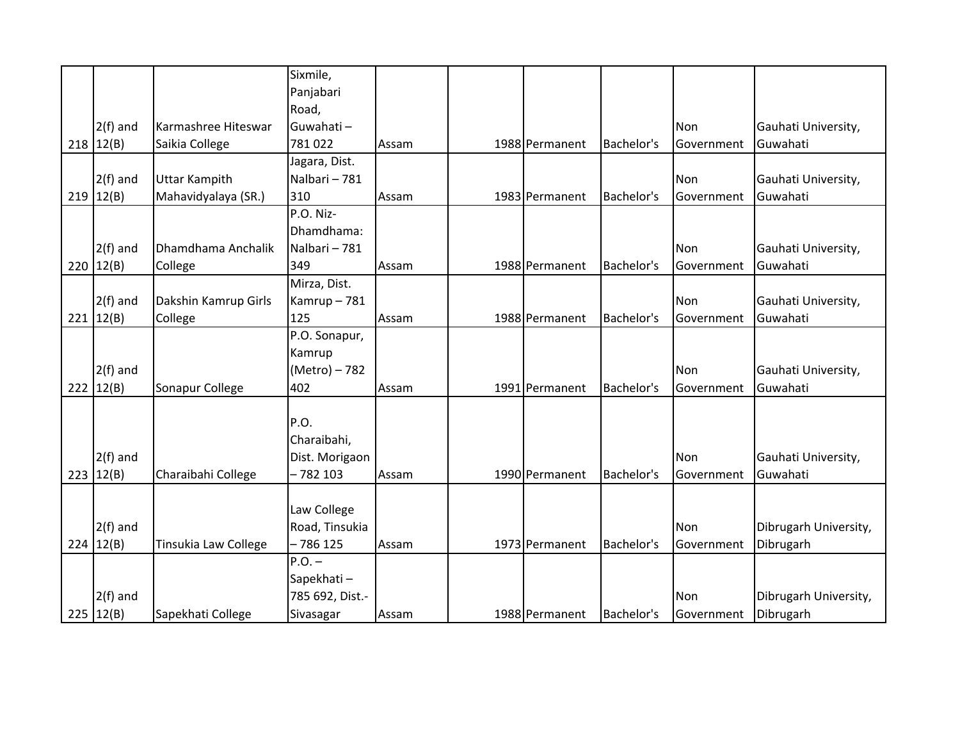|             |                      | Sixmile,        |       |                |            |                   |                       |
|-------------|----------------------|-----------------|-------|----------------|------------|-------------------|-----------------------|
|             |                      | Panjabari       |       |                |            |                   |                       |
|             |                      | Road,           |       |                |            |                   |                       |
| $2(f)$ and  | Karmashree Hiteswar  | Guwahati-       |       |                |            | Non               | Gauhati University,   |
| 218   12(B) | Saikia College       | 781022          | Assam | 1988 Permanent | Bachelor's | Government        | Guwahati              |
|             |                      | Jagara, Dist.   |       |                |            |                   |                       |
| $2(f)$ and  | <b>Uttar Kampith</b> | Nalbari - 781   |       |                |            | Non               | Gauhati University,   |
| 219   12(B) | Mahavidyalaya (SR.)  | 310             | Assam | 1983 Permanent | Bachelor's | <b>Government</b> | Guwahati              |
|             |                      | P.O. Niz-       |       |                |            |                   |                       |
|             |                      | Dhamdhama:      |       |                |            |                   |                       |
| $2(f)$ and  | Dhamdhama Anchalik   | Nalbari - 781   |       |                |            | Non               | Gauhati University,   |
| 220   12(B) | College              | 349             | Assam | 1988 Permanent | Bachelor's | Government        | Guwahati              |
|             |                      | Mirza, Dist.    |       |                |            |                   |                       |
| $2(f)$ and  | Dakshin Kamrup Girls | Kamrup-781      |       |                |            | Non               | Gauhati University,   |
| 221   12(B) | College              | 125             | Assam | 1988 Permanent | Bachelor's | Government        | Guwahati              |
|             |                      | P.O. Sonapur,   |       |                |            |                   |                       |
|             |                      | Kamrup          |       |                |            |                   |                       |
| $2(f)$ and  |                      | (Metro) – 782   |       |                |            | Non               | Gauhati University,   |
| 222   12(B) | Sonapur College      | 402             | Assam | 1991 Permanent | Bachelor's | Government        | Guwahati              |
|             |                      |                 |       |                |            |                   |                       |
|             |                      | P.O.            |       |                |            |                   |                       |
|             |                      | Charaibahi,     |       |                |            |                   |                       |
| $2(f)$ and  |                      | Dist. Morigaon  |       |                |            | Non               | Gauhati University,   |
| 223   12(B) | Charaibahi College   | $-782103$       | Assam | 1990 Permanent | Bachelor's | Government        | Guwahati              |
|             |                      |                 |       |                |            |                   |                       |
|             |                      | Law College     |       |                |            |                   |                       |
| $2(f)$ and  |                      | Road, Tinsukia  |       |                |            | Non               | Dibrugarh University, |
| 224   12(B) | Tinsukia Law College | - 786 125       | Assam | 1973 Permanent | Bachelor's | Government        | Dibrugarh             |
|             |                      | $P.O.$ -        |       |                |            |                   |                       |
|             |                      | Sapekhati-      |       |                |            |                   |                       |
| $2(f)$ and  |                      | 785 692, Dist.- |       |                |            | Non               | Dibrugarh University, |
| 225   12(B) | Sapekhati College    | Sivasagar       | Assam | 1988 Permanent | Bachelor's | Government        | Dibrugarh             |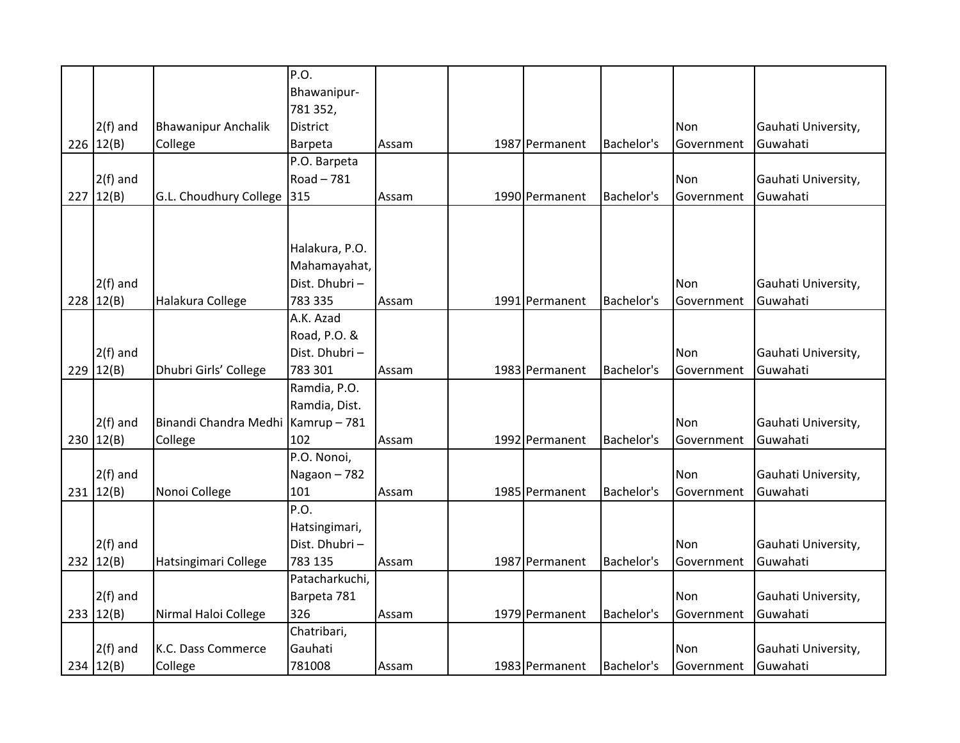|     |             |                                    | P.O.            |       |                |            |            |                     |
|-----|-------------|------------------------------------|-----------------|-------|----------------|------------|------------|---------------------|
|     |             |                                    | Bhawanipur-     |       |                |            |            |                     |
|     |             |                                    | 781 352,        |       |                |            |            |                     |
|     | $2(f)$ and  | <b>Bhawanipur Anchalik</b>         | <b>District</b> |       |                |            | Non        | Gauhati University, |
|     | 226   12(B) | College                            | Barpeta         | Assam | 1987 Permanent | Bachelor's | Government | Guwahati            |
|     |             |                                    | P.O. Barpeta    |       |                |            |            |                     |
|     | $2(f)$ and  |                                    | Road-781        |       |                |            | Non        | Gauhati University, |
|     | 227   12(B) | G.L. Choudhury College             | 315             | Assam | 1990 Permanent | Bachelor's | Government | Guwahati            |
|     |             |                                    |                 |       |                |            |            |                     |
|     |             |                                    |                 |       |                |            |            |                     |
|     |             |                                    | Halakura, P.O.  |       |                |            |            |                     |
|     |             |                                    | Mahamayahat,    |       |                |            |            |                     |
|     | $2(f)$ and  |                                    | Dist. Dhubri-   |       |                |            | Non        | Gauhati University, |
| 228 | 12(B)       | Halakura College                   | 783 335         | Assam | 1991 Permanent | Bachelor's | Government | Guwahati            |
|     |             |                                    | A.K. Azad       |       |                |            |            |                     |
|     |             |                                    | Road, P.O. &    |       |                |            |            |                     |
|     | $2(f)$ and  |                                    | Dist. Dhubri -  |       |                |            | Non        | Gauhati University, |
|     | 229   12(B) | Dhubri Girls' College              | 783 301         | Assam | 1983 Permanent | Bachelor's | Government | Guwahati            |
|     |             |                                    | Ramdia, P.O.    |       |                |            |            |                     |
|     |             |                                    | Ramdia, Dist.   |       |                |            |            |                     |
|     | $2(f)$ and  | Binandi Chandra Medhi Kamrup - 781 |                 |       |                |            | Non        | Gauhati University, |
|     | 230   12(B) | College                            | 102             | Assam | 1992 Permanent | Bachelor's | Government | Guwahati            |
|     |             |                                    | P.O. Nonoi,     |       |                |            |            |                     |
|     | $2(f)$ and  |                                    | Nagaon-782      |       |                |            | Non        | Gauhati University, |
|     | 231   12(B) | Nonoi College                      | 101             | Assam | 1985 Permanent | Bachelor's | Government | Guwahati            |
|     |             |                                    | P.O.            |       |                |            |            |                     |
|     |             |                                    | Hatsingimari,   |       |                |            |            |                     |
|     | $2(f)$ and  |                                    | Dist. Dhubri -  |       |                |            | Non        | Gauhati University, |
|     | 232 12(B)   | Hatsingimari College               | 783 135         | Assam | 1987 Permanent | Bachelor's | Government | Guwahati            |
|     |             |                                    | Patacharkuchi,  |       |                |            |            |                     |
|     | $2(f)$ and  |                                    | Barpeta 781     |       |                |            | Non        | Gauhati University, |
|     | 233   12(B) | Nirmal Haloi College               | 326             | Assam | 1979 Permanent | Bachelor's | Government | Guwahati            |
|     |             |                                    | Chatribari,     |       |                |            |            |                     |
|     | $2(f)$ and  | K.C. Dass Commerce                 | Gauhati         |       |                |            | Non        | Gauhati University, |
|     | 234   12(B) |                                    | 781008          |       | 1983 Permanent | Bachelor's |            | Guwahati            |
|     |             | College                            |                 | Assam |                |            | Government |                     |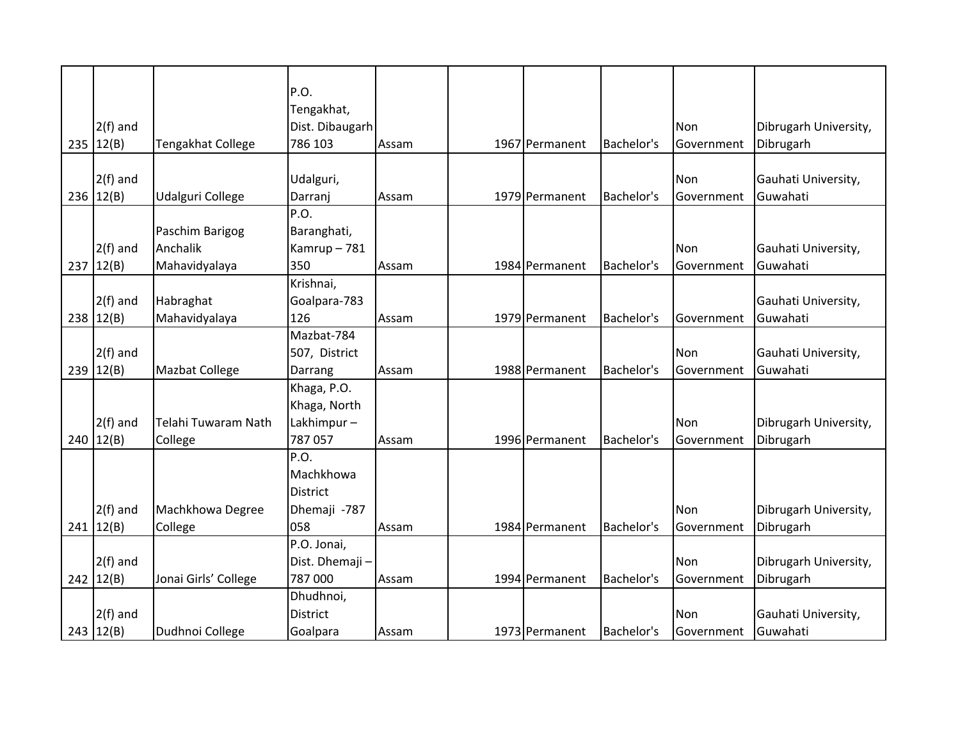|     |             |                       | P.O.            |       |                |            |            |                       |
|-----|-------------|-----------------------|-----------------|-------|----------------|------------|------------|-----------------------|
|     |             |                       | Tengakhat,      |       |                |            |            |                       |
|     | $2(f)$ and  |                       | Dist. Dibaugarh |       |                |            | Non        | Dibrugarh University, |
| 235 | 12(B)       | Tengakhat College     | 786 103         | Assam | 1967 Permanent | Bachelor's | Government | Dibrugarh             |
|     |             |                       |                 |       |                |            |            |                       |
|     | $2(f)$ and  |                       | Udalguri,       |       |                |            | Non        | Gauhati University,   |
|     | 236 $12(B)$ | Udalguri College      | Darranj         | Assam | 1979 Permanent | Bachelor's | Government | Guwahati              |
|     |             |                       | P.O.            |       |                |            |            |                       |
|     |             | Paschim Barigog       | Baranghati,     |       |                |            |            |                       |
|     | $2(f)$ and  | Anchalik              | Kamrup-781      |       |                |            | Non        | Gauhati University,   |
| 237 | 12(B)       | Mahavidyalaya         | 350             | Assam | 1984 Permanent | Bachelor's | Government | Guwahati              |
|     |             |                       | Krishnai,       |       |                |            |            |                       |
|     | $2(f)$ and  | Habraghat             | Goalpara-783    |       |                |            |            | Gauhati University,   |
| 238 | 12(B)       | Mahavidyalaya         | 126             | Assam | 1979 Permanent | Bachelor's | Government | Guwahati              |
|     |             |                       | Mazbat-784      |       |                |            |            |                       |
|     | $2(f)$ and  |                       | 507, District   |       |                |            | Non        | Gauhati University,   |
| 239 | 12(B)       | <b>Mazbat College</b> | Darrang         | Assam | 1988 Permanent | Bachelor's | Government | Guwahati              |
|     |             |                       | Khaga, P.O.     |       |                |            |            |                       |
|     |             |                       | Khaga, North    |       |                |            |            |                       |
|     | $2(f)$ and  | Telahi Tuwaram Nath   | Lakhimpur-      |       |                |            | Non        | Dibrugarh University, |
| 240 | 12(B)       | College               | 787 057         | Assam | 1996 Permanent | Bachelor's | Government | Dibrugarh             |
|     |             |                       | P.O.            |       |                |            |            |                       |
|     |             |                       | Machkhowa       |       |                |            |            |                       |
|     |             |                       | <b>District</b> |       |                |            |            |                       |
|     | $2(f)$ and  | Machkhowa Degree      | Dhemaji -787    |       |                |            | Non        | Dibrugarh University, |
|     | 241   12(B) | College               | 058             | Assam | 1984 Permanent | Bachelor's | Government | Dibrugarh             |
|     |             |                       | P.O. Jonai,     |       |                |            |            |                       |
|     | $2(f)$ and  |                       | Dist. Dhemaji-  |       |                |            | Non        | Dibrugarh University, |
|     | 242   12(B) | Jonai Girls' College  | 787 000         | Assam | 1994 Permanent | Bachelor's | Government | Dibrugarh             |
|     |             |                       | Dhudhnoi,       |       |                |            |            |                       |
|     | $2(f)$ and  |                       | <b>District</b> |       |                |            | Non        | Gauhati University,   |
|     | 243   12(B) | Dudhnoi College       | Goalpara        | Assam | 1973 Permanent | Bachelor's | Government | Guwahati              |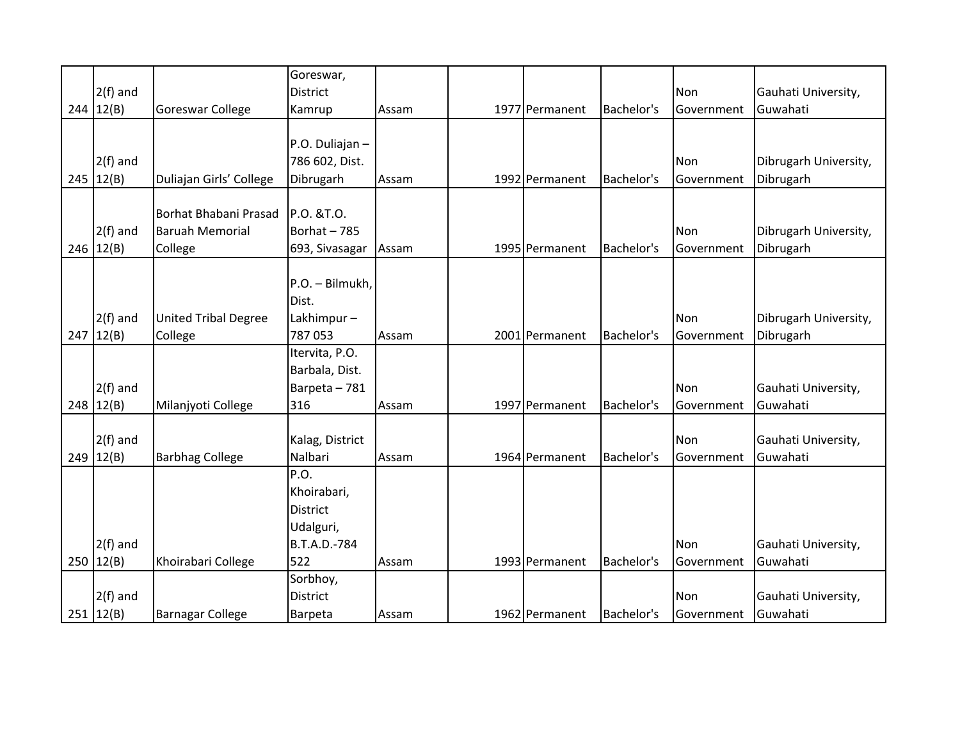|             |                             | Goreswar,       |       |                |            |                   |                       |
|-------------|-----------------------------|-----------------|-------|----------------|------------|-------------------|-----------------------|
| $2(f)$ and  |                             | <b>District</b> |       |                |            | Non               | Gauhati University,   |
| 244   12(B) | <b>Goreswar College</b>     | Kamrup          | Assam | 1977 Permanent | Bachelor's | Government        | Guwahati              |
|             |                             |                 |       |                |            |                   |                       |
|             |                             | P.O. Duliajan-  |       |                |            |                   |                       |
| $2(f)$ and  |                             | 786 602, Dist.  |       |                |            | Non               | Dibrugarh University, |
| 245   12(B) | Duliajan Girls' College     | Dibrugarh       | Assam | 1992 Permanent | Bachelor's | Government        | Dibrugarh             |
|             |                             |                 |       |                |            |                   |                       |
|             | Borhat Bhabani Prasad       | P.O. &T.O.      |       |                |            |                   |                       |
| $2(f)$ and  | <b>Baruah Memorial</b>      | Borhat-785      |       |                |            | Non               | Dibrugarh University, |
| 246   12(B) | College                     | 693, Sivasagar  | Assam | 1995 Permanent | Bachelor's | Government        | Dibrugarh             |
|             |                             |                 |       |                |            |                   |                       |
|             |                             | P.O. - Bilmukh, |       |                |            |                   |                       |
|             |                             | Dist.           |       |                |            |                   |                       |
| $2(f)$ and  | <b>United Tribal Degree</b> | Lakhimpur-      |       |                |            | <b>Non</b>        | Dibrugarh University, |
| 247   12(B) | College                     | 787 053         | Assam | 2001 Permanent | Bachelor's | Government        | Dibrugarh             |
|             |                             | Itervita, P.O.  |       |                |            |                   |                       |
|             |                             | Barbala, Dist.  |       |                |            |                   |                       |
| $2(f)$ and  |                             | Barpeta - 781   |       |                |            | Non               | Gauhati University,   |
| 248   12(B) | Milanjyoti College          | 316             | Assam | 1997 Permanent | Bachelor's | Government        | Guwahati              |
|             |                             |                 |       |                |            |                   |                       |
| $2(f)$ and  |                             | Kalag, District |       |                |            | Non               | Gauhati University,   |
| $249$ 12(B) | <b>Barbhag College</b>      | Nalbari         | Assam | 1964 Permanent | Bachelor's | <b>Government</b> | Guwahati              |
|             |                             | P.O.            |       |                |            |                   |                       |
|             |                             | Khoirabari,     |       |                |            |                   |                       |
|             |                             | <b>District</b> |       |                |            |                   |                       |
|             |                             | Udalguri,       |       |                |            |                   |                       |
| $2(f)$ and  |                             | B.T.A.D.-784    |       |                |            | Non               | Gauhati University,   |
| 250   12(B) | Khoirabari College          | 522             | Assam | 1993 Permanent | Bachelor's | <b>Government</b> | Guwahati              |
|             |                             | Sorbhoy,        |       |                |            |                   |                       |
| $2(f)$ and  |                             | <b>District</b> |       |                |            | Non               | Gauhati University,   |
| 251   12(B) | <b>Barnagar College</b>     | <b>Barpeta</b>  | Assam | 1962 Permanent | Bachelor's | Government        | Guwahati              |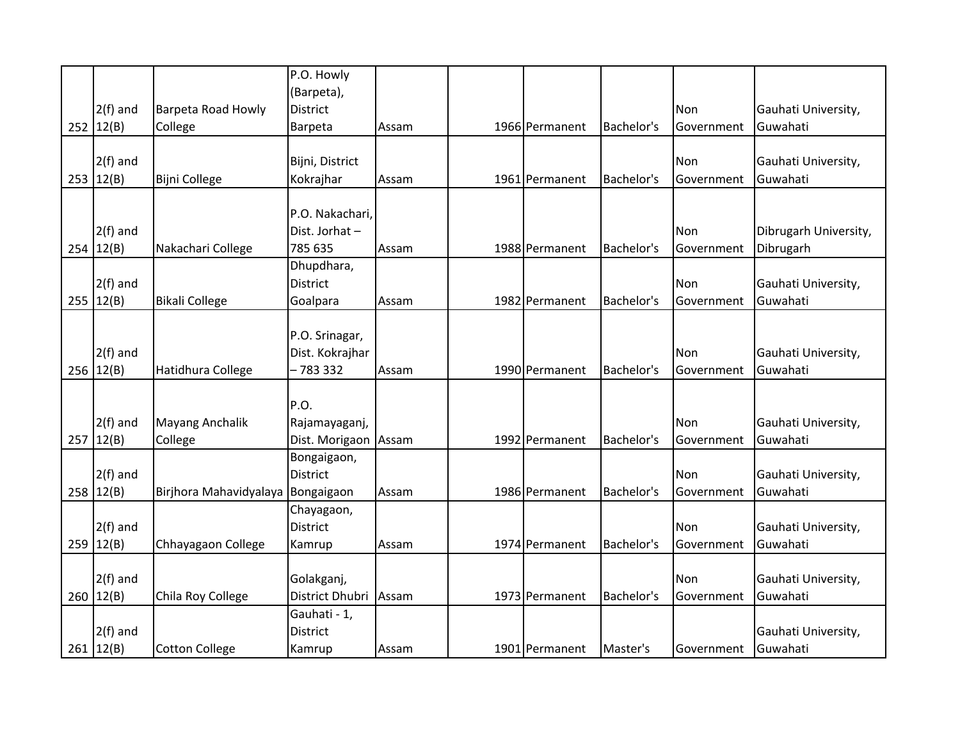|             |                        | P.O. Howly      |       |                |            |            |                       |
|-------------|------------------------|-----------------|-------|----------------|------------|------------|-----------------------|
|             |                        |                 |       |                |            |            |                       |
|             |                        | (Barpeta),      |       |                |            |            |                       |
| $2(f)$ and  | Barpeta Road Howly     | <b>District</b> |       |                |            | Non        | Gauhati University,   |
| 252   12(B) | College                | <b>Barpeta</b>  | Assam | 1966 Permanent | Bachelor's | Government | Guwahati              |
|             |                        |                 |       |                |            |            |                       |
| $2(f)$ and  |                        | Bijni, District |       |                |            | Non        | Gauhati University,   |
| 253   12(B) | Bijni College          | Kokrajhar       | Assam | 1961 Permanent | Bachelor's | Government | Guwahati              |
|             |                        |                 |       |                |            |            |                       |
|             |                        | P.O. Nakachari, |       |                |            |            |                       |
| $2(f)$ and  |                        | Dist. Jorhat-   |       |                |            | Non        | Dibrugarh University, |
| 254   12(B) | Nakachari College      | 785 635         | Assam | 1988 Permanent | Bachelor's | Government | Dibrugarh             |
|             |                        | Dhupdhara,      |       |                |            |            |                       |
| $2(f)$ and  |                        | <b>District</b> |       |                |            | Non        | Gauhati University,   |
|             |                        |                 |       |                |            |            |                       |
| 255   12(B) | <b>Bikali College</b>  | Goalpara        | Assam | 1982 Permanent | Bachelor's | Government | Guwahati              |
|             |                        |                 |       |                |            |            |                       |
|             |                        | P.O. Srinagar,  |       |                |            |            |                       |
| $2(f)$ and  |                        | Dist. Kokrajhar |       |                |            | Non        | Gauhati University,   |
| 256   12(B) | Hatidhura College      | - 783 332       | Assam | 1990 Permanent | Bachelor's | Government | Guwahati              |
|             |                        |                 |       |                |            |            |                       |
|             |                        | P.O.            |       |                |            |            |                       |
| $2(f)$ and  | Mayang Anchalik        | Rajamayaganj,   |       |                |            | Non        | Gauhati University,   |
| 257   12(B) | College                | Dist. Morigaon  | Assam | 1992 Permanent | Bachelor's | Government | Guwahati              |
|             |                        | Bongaigaon,     |       |                |            |            |                       |
| $2(f)$ and  |                        | <b>District</b> |       |                |            | Non        | Gauhati University,   |
| 258   12(B) | Birjhora Mahavidyalaya | Bongaigaon      | Assam | 1986 Permanent | Bachelor's | Government | Guwahati              |
|             |                        | Chayagaon,      |       |                |            |            |                       |
| $2(f)$ and  |                        | <b>District</b> |       |                |            | Non        | Gauhati University,   |
| 259   12(B) | Chhayagaon College     |                 | Assam | 1974 Permanent | Bachelor's | Government | Guwahati              |
|             |                        | Kamrup          |       |                |            |            |                       |
|             |                        |                 |       |                |            |            |                       |
| $2(f)$ and  |                        | Golakganj,      |       |                |            | Non        | Gauhati University,   |
| 260   12(B) | Chila Roy College      | District Dhubri | Assam | 1973 Permanent | Bachelor's | Government | Guwahati              |
|             |                        | Gauhati - 1,    |       |                |            |            |                       |
| $2(f)$ and  |                        | <b>District</b> |       |                |            |            | Gauhati University,   |
| 261   12(B) | <b>Cotton College</b>  | Kamrup          | Assam | 1901 Permanent | Master's   | Government | Guwahati              |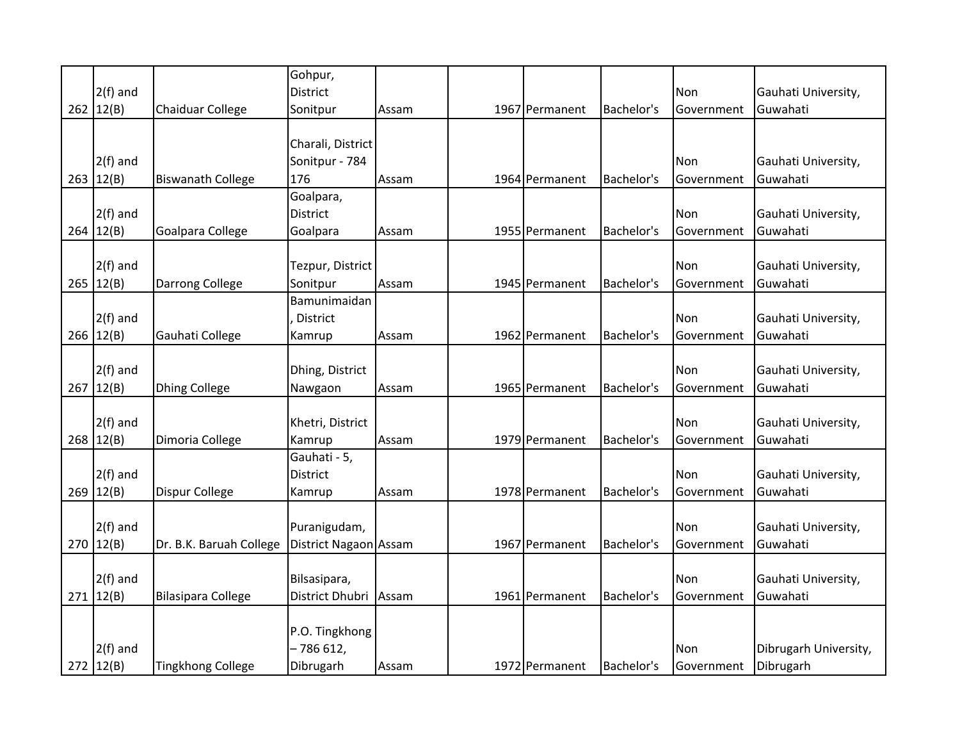|             |                           | Gohpur,               |       |                |            |            |                       |
|-------------|---------------------------|-----------------------|-------|----------------|------------|------------|-----------------------|
| $2(f)$ and  |                           | <b>District</b>       |       |                |            | Non        | Gauhati University,   |
| 262   12(B) | Chaiduar College          | Sonitpur              | Assam | 1967 Permanent | Bachelor's | Government | Guwahati              |
|             |                           |                       |       |                |            |            |                       |
|             |                           | Charali, District     |       |                |            |            |                       |
| $2(f)$ and  |                           | Sonitpur - 784        |       |                |            | Non        | Gauhati University,   |
| 263   12(B) | <b>Biswanath College</b>  | 176                   | Assam | 1964 Permanent | Bachelor's | Government | Guwahati              |
|             |                           | Goalpara,             |       |                |            |            |                       |
| $2(f)$ and  |                           | <b>District</b>       |       |                |            | Non        | Gauhati University,   |
| 264   12(B) | Goalpara College          | Goalpara              | Assam | 1955 Permanent | Bachelor's | Government | Guwahati              |
|             |                           |                       |       |                |            |            |                       |
| $2(f)$ and  |                           | Tezpur, District      |       |                |            | Non        | Gauhati University,   |
| 265   12(B) | Darrong College           | Sonitpur              | Assam | 1945 Permanent | Bachelor's | Government | Guwahati              |
|             |                           | Bamunimaidan          |       |                |            |            |                       |
| $2(f)$ and  |                           | District              |       |                |            | Non        | Gauhati University,   |
| 266   12(B) | Gauhati College           | Kamrup                | Assam | 1962 Permanent | Bachelor's | Government | Guwahati              |
|             |                           |                       |       |                |            |            |                       |
| $2(f)$ and  |                           | Dhing, District       |       |                |            | Non        | Gauhati University,   |
| 267   12(B) | Dhing College             | Nawgaon               | Assam | 1965 Permanent | Bachelor's | Government | Guwahati              |
|             |                           |                       |       |                |            |            |                       |
| $2(f)$ and  |                           | Khetri, District      |       |                |            | Non        | Gauhati University,   |
| 268   12(B) | Dimoria College           | Kamrup                | Assam | 1979 Permanent | Bachelor's | Government | Guwahati              |
|             |                           | Gauhati - 5,          |       |                |            |            |                       |
| $2(f)$ and  |                           | <b>District</b>       |       |                |            | Non        | Gauhati University,   |
| 269   12(B) | Dispur College            | Kamrup                | Assam | 1978 Permanent | Bachelor's | Government | Guwahati              |
|             |                           |                       |       |                |            |            |                       |
| $2(f)$ and  |                           | Puranigudam,          |       |                |            | Non        | Gauhati University,   |
| 270   12(B) | Dr. B.K. Baruah College   | District Nagaon Assam |       | 1967 Permanent | Bachelor's | Government | Guwahati              |
|             |                           |                       |       |                |            |            |                       |
| $2(f)$ and  |                           | Bilsasipara,          |       |                |            | Non        | Gauhati University,   |
| 271   12(B) | <b>Bilasipara College</b> | District Dhubri Assam |       | 1961 Permanent | Bachelor's | Government | Guwahati              |
|             |                           |                       |       |                |            |            |                       |
|             |                           | P.O. Tingkhong        |       |                |            |            |                       |
| $2(f)$ and  |                           | $-786612,$            |       |                |            | Non        | Dibrugarh University, |
| 272   12(B) | <b>Tingkhong College</b>  | Dibrugarh             | Assam | 1972 Permanent | Bachelor's | Government | Dibrugarh             |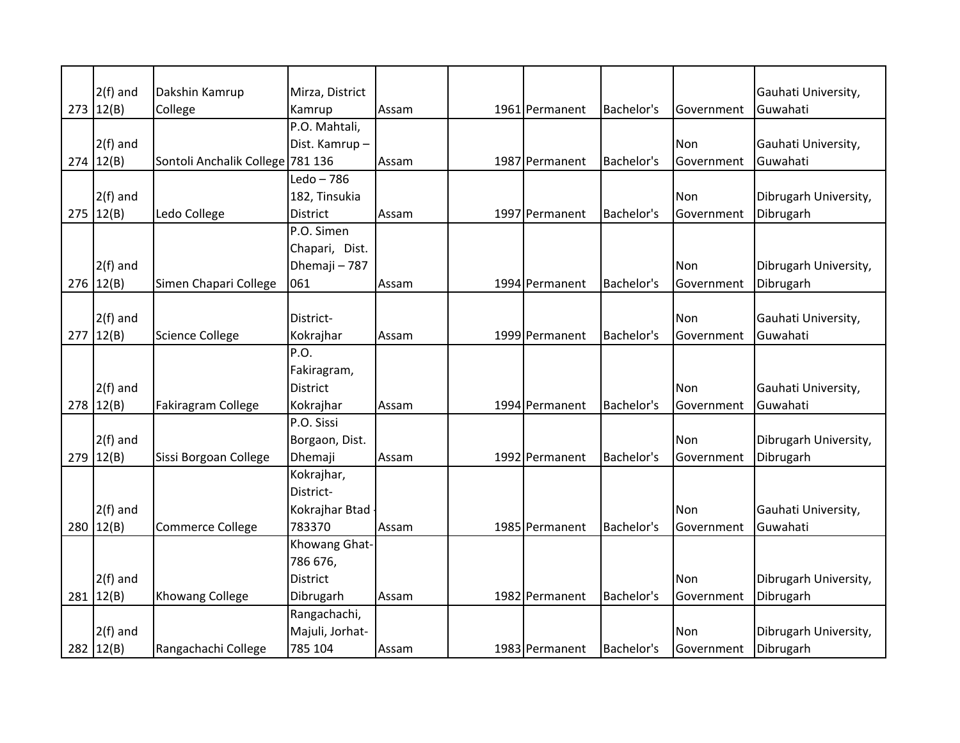| $2(f)$ and  | Dakshin Kamrup                   | Mirza, District |       |                |            |            | Gauhati University,   |
|-------------|----------------------------------|-----------------|-------|----------------|------------|------------|-----------------------|
| 273   12(B) | College                          | Kamrup          | Assam | 1961 Permanent | Bachelor's | Government | Guwahati              |
|             |                                  | P.O. Mahtali,   |       |                |            |            |                       |
| $2(f)$ and  |                                  | Dist. Kamrup-   |       |                |            | Non        | Gauhati University,   |
| 274   12(B) | Sontoli Anchalik College 781 136 |                 | Assam | 1987 Permanent | Bachelor's | Government | Guwahati              |
|             |                                  | $Ledo - 786$    |       |                |            |            |                       |
| $2(f)$ and  |                                  | 182, Tinsukia   |       |                |            | Non        | Dibrugarh University, |
| 275   12(B) | Ledo College                     | <b>District</b> | Assam | 1997 Permanent | Bachelor's | Government | Dibrugarh             |
|             |                                  |                 |       |                |            |            |                       |
|             |                                  | P.O. Simen      |       |                |            |            |                       |
|             |                                  | Chapari, Dist.  |       |                |            |            |                       |
| $2(f)$ and  |                                  | Dhemaji - 787   |       |                |            | <b>Non</b> | Dibrugarh University, |
| $276$ 12(B) | Simen Chapari College            | 061             | Assam | 1994 Permanent | Bachelor's | Government | Dibrugarh             |
|             |                                  |                 |       |                |            |            |                       |
| $2(f)$ and  |                                  | District-       |       |                |            | Non        | Gauhati University,   |
| 277   12(B) | <b>Science College</b>           | Kokrajhar       | Assam | 1999 Permanent | Bachelor's | Government | Guwahati              |
|             |                                  | P.O.            |       |                |            |            |                       |
|             |                                  | Fakiragram,     |       |                |            |            |                       |
| $2(f)$ and  |                                  | <b>District</b> |       |                |            | Non        | Gauhati University,   |
| 278   12(B) | Fakiragram College               | Kokrajhar       | Assam | 1994 Permanent | Bachelor's | Government | Guwahati              |
|             |                                  | P.O. Sissi      |       |                |            |            |                       |
| $2(f)$ and  |                                  | Borgaon, Dist.  |       |                |            | Non        | Dibrugarh University, |
| 279   12(B) | Sissi Borgoan College            | Dhemaji         | Assam | 1992 Permanent | Bachelor's | Government | Dibrugarh             |
|             |                                  | Kokrajhar,      |       |                |            |            |                       |
|             |                                  | District-       |       |                |            |            |                       |
| $2(f)$ and  |                                  | Kokrajhar Btad  |       |                |            | <b>Non</b> | Gauhati University,   |
| 280   12(B) | <b>Commerce College</b>          | 783370          | Assam | 1985 Permanent | Bachelor's | Government | Guwahati              |
|             |                                  | Khowang Ghat-   |       |                |            |            |                       |
|             |                                  | 786 676,        |       |                |            |            |                       |
| $2(f)$ and  |                                  | <b>District</b> |       |                |            | Non        | Dibrugarh University, |
| 281   12(B) | <b>Khowang College</b>           | Dibrugarh       | Assam | 1982 Permanent | Bachelor's | Government | Dibrugarh             |
|             |                                  | Rangachachi,    |       |                |            |            |                       |
| $2(f)$ and  |                                  | Majuli, Jorhat- |       |                |            | Non        | Dibrugarh University, |
| 282   12(B) | Rangachachi College              | 785 104         | Assam | 1983 Permanent | Bachelor's | Government | Dibrugarh             |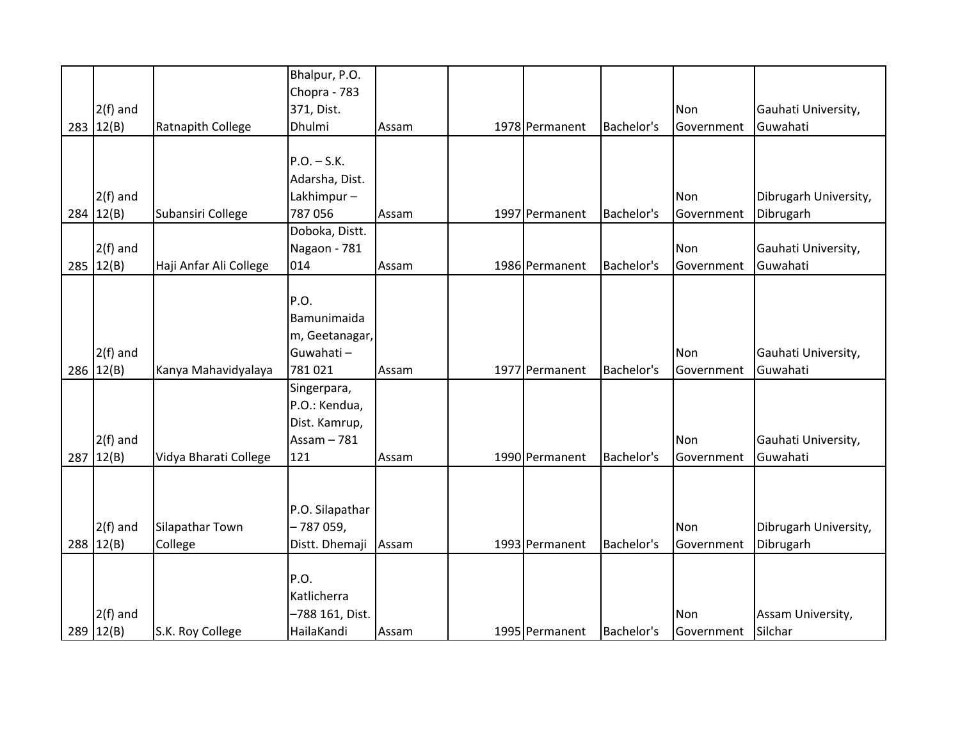| $2(f)$ and<br>283   12(B) | Ratnapith College      | Bhalpur, P.O.<br>Chopra - 783<br>371, Dist.<br>Dhulmi | Assam | 1978 Permanent | Bachelor's | Non<br>Government | Gauhati University,<br>Guwahati |
|---------------------------|------------------------|-------------------------------------------------------|-------|----------------|------------|-------------------|---------------------------------|
|                           |                        |                                                       |       |                |            |                   |                                 |
|                           |                        | $P.O. - S.K.$                                         |       |                |            |                   |                                 |
|                           |                        | Adarsha, Dist.                                        |       |                |            |                   |                                 |
| $2(f)$ and                |                        | Lakhimpur-                                            |       |                |            | Non               | Dibrugarh University,           |
| 284   12(B)               | Subansiri College      | 787 056                                               | Assam | 1997 Permanent | Bachelor's | Government        | Dibrugarh                       |
|                           |                        | Doboka, Distt.                                        |       |                |            |                   |                                 |
| $2(f)$ and                |                        | Nagaon - 781                                          |       |                |            | Non               | Gauhati University,             |
| 285   12(B)               | Haji Anfar Ali College | 014                                                   | Assam | 1986 Permanent | Bachelor's | Government        | Guwahati                        |
|                           |                        | P.O.                                                  |       |                |            |                   |                                 |
|                           |                        | Bamunimaida                                           |       |                |            |                   |                                 |
|                           |                        | m, Geetanagar,                                        |       |                |            |                   |                                 |
| $2(f)$ and                |                        | Guwahati-                                             |       |                |            | Non               | Gauhati University,             |
| 286   12(B)               | Kanya Mahavidyalaya    | 781021                                                | Assam | 1977 Permanent | Bachelor's | Government        | Guwahati                        |
|                           |                        | Singerpara,                                           |       |                |            |                   |                                 |
|                           |                        | P.O.: Kendua,                                         |       |                |            |                   |                                 |
|                           |                        | Dist. Kamrup,                                         |       |                |            |                   |                                 |
| $2(f)$ and                |                        | Assam $-781$                                          |       |                |            | Non               | Gauhati University,             |
| 287   12(B)               | Vidya Bharati College  | 121                                                   | Assam | 1990 Permanent | Bachelor's | Government        | Guwahati                        |
|                           |                        |                                                       |       |                |            |                   |                                 |
|                           |                        |                                                       |       |                |            |                   |                                 |
|                           |                        | P.O. Silapathar                                       |       |                |            |                   |                                 |
| $2(f)$ and                | Silapathar Town        | $-787059,$                                            |       |                |            | Non               | Dibrugarh University,           |
| 288   12(B)               | College                | Distt. Dhemaji                                        | Assam | 1993 Permanent | Bachelor's | Government        | Dibrugarh                       |
|                           |                        |                                                       |       |                |            |                   |                                 |
|                           |                        | P.O.                                                  |       |                |            |                   |                                 |
|                           |                        | Katlicherra                                           |       |                |            |                   |                                 |
| $2(f)$ and                |                        | -788 161, Dist.                                       |       |                |            | Non               | Assam University,               |
| 289   12(B)               | S.K. Roy College       | HailaKandi                                            | Assam | 1995 Permanent | Bachelor's | Government        | Silchar                         |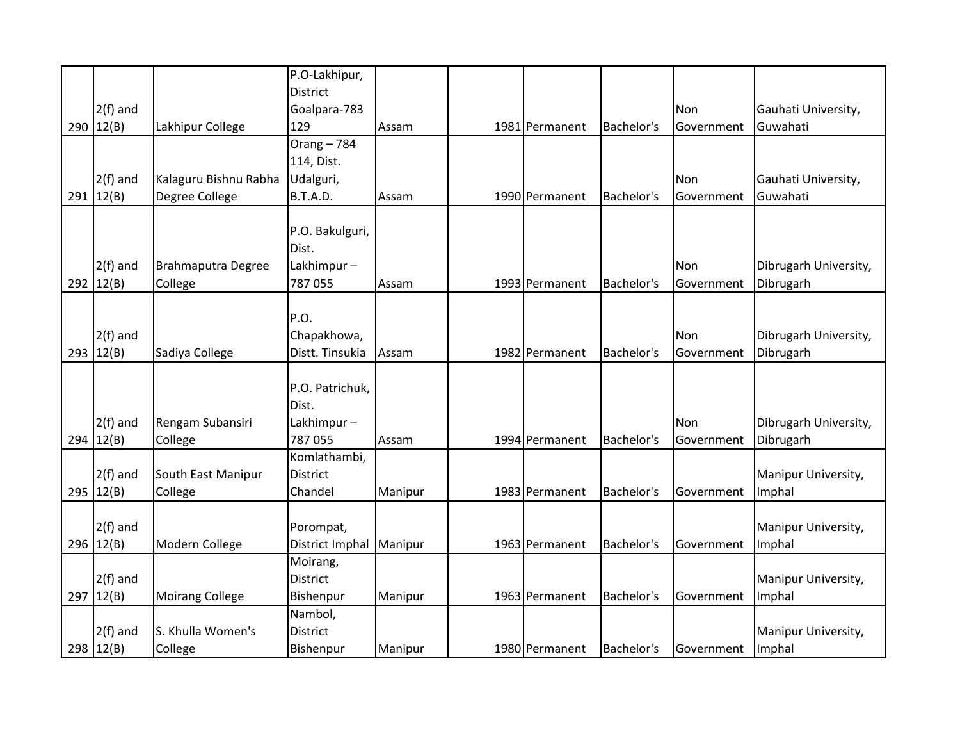|             |                           | P.O-Lakhipur,   |         |                |            |                   |                       |
|-------------|---------------------------|-----------------|---------|----------------|------------|-------------------|-----------------------|
|             |                           | <b>District</b> |         |                |            |                   |                       |
| $2(f)$ and  |                           | Goalpara-783    |         |                |            | Non               | Gauhati University,   |
| 290   12(B) | Lakhipur College          | 129             | Assam   | 1981 Permanent | Bachelor's | Government        | Guwahati              |
|             |                           | Orang $-784$    |         |                |            |                   |                       |
|             |                           | 114, Dist.      |         |                |            |                   |                       |
| $2(f)$ and  | Kalaguru Bishnu Rabha     | Udalguri,       |         |                |            | Non               | Gauhati University,   |
| 291   12(B) | Degree College            | B.T.A.D.        | Assam   | 1990 Permanent | Bachelor's | Government        | Guwahati              |
|             |                           |                 |         |                |            |                   |                       |
|             |                           | P.O. Bakulguri, |         |                |            |                   |                       |
|             |                           | Dist.           |         |                |            |                   |                       |
| $2(f)$ and  | <b>Brahmaputra Degree</b> | Lakhimpur-      |         |                |            | Non               | Dibrugarh University, |
| 292 $12(B)$ | College                   | 787 055         | Assam   | 1993 Permanent | Bachelor's | Government        | Dibrugarh             |
|             |                           |                 |         |                |            |                   |                       |
|             |                           | P.O.            |         |                |            |                   |                       |
| $2(f)$ and  |                           | Chapakhowa,     |         |                |            | Non               | Dibrugarh University, |
| 293   12(B) | Sadiya College            | Distt. Tinsukia | Assam   | 1982 Permanent | Bachelor's | Government        | Dibrugarh             |
|             |                           |                 |         |                |            |                   |                       |
|             |                           | P.O. Patrichuk, |         |                |            |                   |                       |
|             |                           | Dist.           |         |                |            |                   |                       |
| $2(f)$ and  | Rengam Subansiri          | Lakhimpur-      |         |                |            | <b>Non</b>        | Dibrugarh University, |
| 294   12(B) | College                   | 787 055         | Assam   | 1994 Permanent | Bachelor's | Government        | Dibrugarh             |
|             |                           | Komlathambi,    |         |                |            |                   |                       |
| $2(f)$ and  | South East Manipur        | District        |         |                |            |                   | Manipur University,   |
| 295   12(B) | College                   | Chandel         | Manipur | 1983 Permanent | Bachelor's | Government        | Imphal                |
|             |                           |                 |         |                |            |                   |                       |
| $2(f)$ and  |                           | Porompat,       |         |                |            |                   | Manipur University,   |
| 296   12(B) | Modern College            | District Imphal | Manipur | 1963 Permanent | Bachelor's | Government        | Imphal                |
|             |                           | Moirang,        |         |                |            |                   |                       |
| $2(f)$ and  |                           | <b>District</b> |         |                |            |                   | Manipur University,   |
| 297   12(B) | <b>Moirang College</b>    | Bishenpur       | Manipur | 1963 Permanent | Bachelor's | Government        | Imphal                |
|             |                           | Nambol,         |         |                |            |                   |                       |
| $2(f)$ and  | S. Khulla Women's         | <b>District</b> |         |                |            |                   | Manipur University,   |
| 298   12(B) | College                   | Bishenpur       | Manipur | 1980 Permanent | Bachelor's | <b>Government</b> | Imphal                |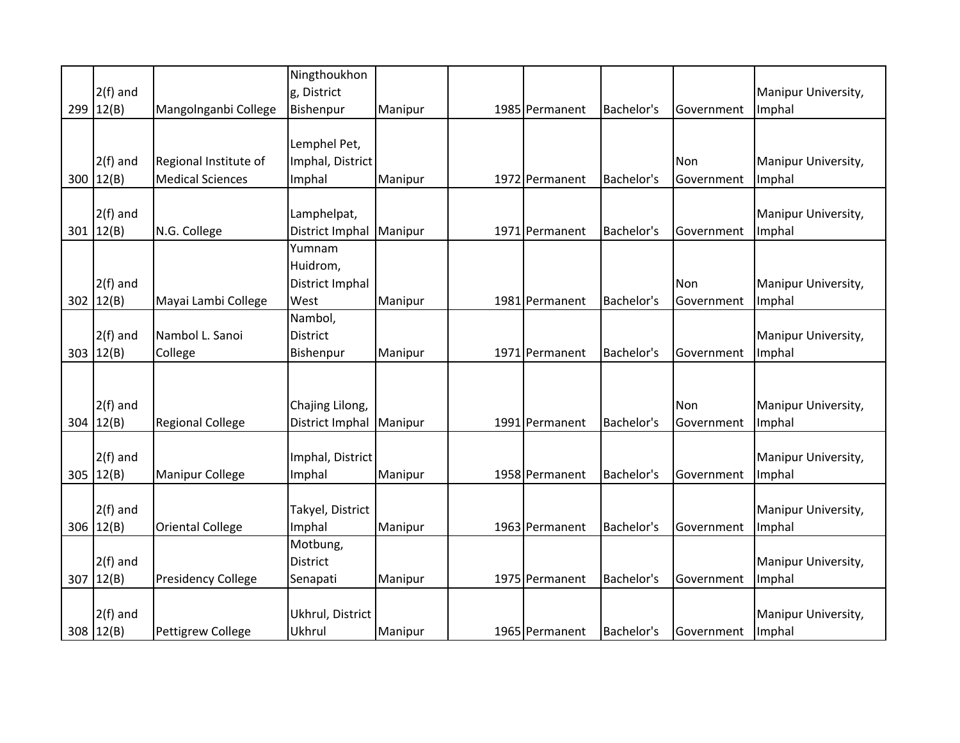|             |                           | Ningthoukhon     |         |                |            |             |                     |
|-------------|---------------------------|------------------|---------|----------------|------------|-------------|---------------------|
| $2(f)$ and  |                           | g, District      |         |                |            |             | Manipur University, |
| 299   12(B) | Mangolnganbi College      | Bishenpur        | Manipur | 1985 Permanent | Bachelor's | Government  | Imphal              |
|             |                           |                  |         |                |            |             |                     |
|             |                           | Lemphel Pet,     |         |                |            |             |                     |
| $2(f)$ and  | Regional Institute of     | Imphal, District |         |                |            | Non         | Manipur University, |
| 300   12(B) | <b>Medical Sciences</b>   | Imphal           | Manipur | 1972 Permanent | Bachelor's | Government  | Imphal              |
|             |                           |                  |         |                |            |             |                     |
| $2(f)$ and  |                           | Lamphelpat,      |         |                |            |             | Manipur University, |
| 301   12(B) | N.G. College              | District Imphal  | Manipur | 1971 Permanent | Bachelor's | Government  | Imphal              |
|             |                           | Yumnam           |         |                |            |             |                     |
|             |                           | Huidrom,         |         |                |            |             |                     |
| $2(f)$ and  |                           | District Imphal  |         |                |            | Non         | Manipur University, |
| 302 $12(B)$ | Mayai Lambi College       | West             | Manipur | 1981 Permanent | Bachelor's | Government  | Imphal              |
|             |                           | Nambol,          |         |                |            |             |                     |
| $2(f)$ and  | Nambol L. Sanoi           | <b>District</b>  |         |                |            |             | Manipur University, |
| 303   12(B) | College                   | Bishenpur        | Manipur | 1971 Permanent | Bachelor's | Government  | Imphal              |
|             |                           |                  |         |                |            |             |                     |
|             |                           |                  |         |                |            |             |                     |
| $2(f)$ and  |                           | Chajing Lilong,  |         |                |            | Non         | Manipur University, |
| 304   12(B) | <b>Regional College</b>   | District Imphal  | Manipur | 1991 Permanent | Bachelor's | Government  | Imphal              |
|             |                           |                  |         |                |            |             |                     |
| $2(f)$ and  |                           | Imphal, District |         |                |            |             | Manipur University, |
| 305 $12(B)$ | <b>Manipur College</b>    | Imphal           | Manipur | 1958 Permanent | Bachelor's | Government  | Imphal              |
|             |                           |                  |         |                |            |             |                     |
| $2(f)$ and  |                           | Takyel, District |         |                |            |             | Manipur University, |
| 306 12(B)   | <b>Oriental College</b>   | Imphal           | Manipur | 1963 Permanent | Bachelor's | Government  | Imphal              |
|             |                           | Motbung,         |         |                |            |             |                     |
| $2(f)$ and  |                           | <b>District</b>  |         |                |            |             | Manipur University, |
| 307   12(B) | <b>Presidency College</b> | Senapati         | Manipur | 1975 Permanent | Bachelor's | Government  | Imphal              |
|             |                           |                  |         |                |            |             |                     |
| $2(f)$ and  |                           | Ukhrul, District |         |                |            |             | Manipur University, |
| 308   12(B) | <b>Pettigrew College</b>  | Ukhrul           | Manipur | 1965 Permanent | Bachelor's | lGovernment | Imphal              |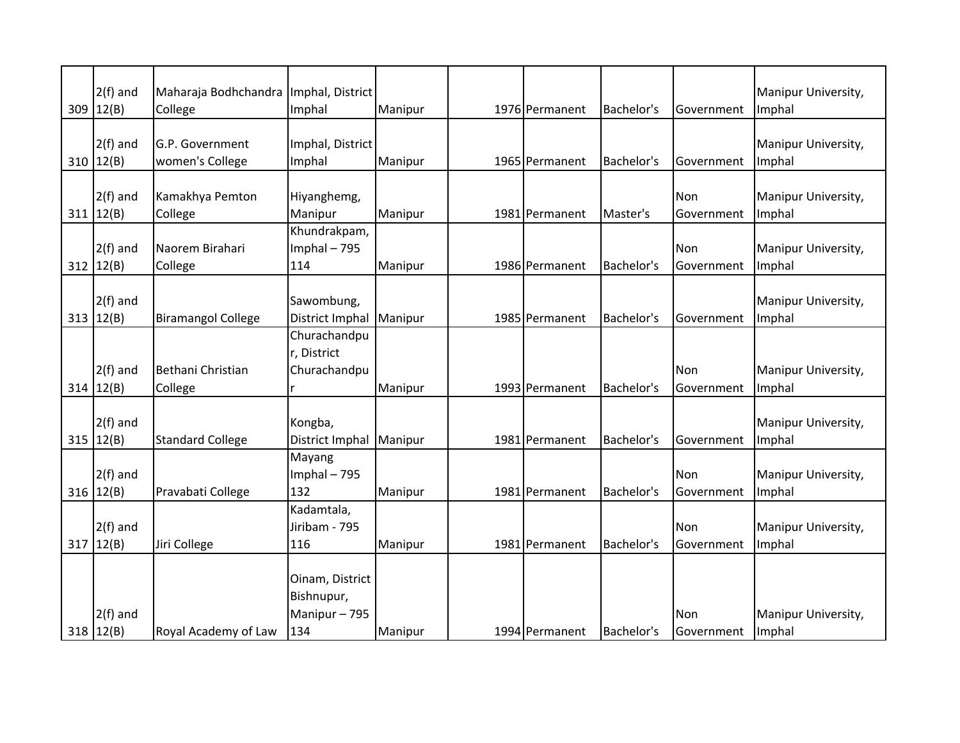| $2(f)$ and<br>$309$ 12(B) | Maharaja Bodhchandra<br>College    | Imphal, District<br>Imphal                          | Manipur            | 1976 Permanent | Bachelor's | Government        | Manipur University,<br>Imphal |
|---------------------------|------------------------------------|-----------------------------------------------------|--------------------|----------------|------------|-------------------|-------------------------------|
| $2(f)$ and<br>310   12(B) | G.P. Government<br>women's College | Imphal, District<br>Imphal                          | Manipur            | 1965 Permanent | Bachelor's | Government        | Manipur University,<br>Imphal |
| $2(f)$ and<br>311   12(B) | Kamakhya Pemton<br>College         | Hiyanghemg,<br>Manipur                              | Manipur            | 1981 Permanent | Master's   | Non<br>Government | Manipur University,<br>Imphal |
| $2(f)$ and<br>312   12(B) | Naorem Birahari<br>College         | Khundrakpam,<br>Imphal $-795$<br>114                | Manipur            | 1986 Permanent | Bachelor's | Non<br>Government | Manipur University,<br>Imphal |
| $2(f)$ and<br>313   12(B) | <b>Biramangol College</b>          | Sawombung,<br>District Imphal                       | Manipur            | 1985 Permanent | Bachelor's | Government        | Manipur University,<br>Imphal |
| $2(f)$ and<br>314   12(B) | Bethani Christian                  | Churachandpu<br>r, District<br>Churachandpu         |                    | 1993 Permanent | Bachelor's | Non<br>Government | Manipur University,<br>Imphal |
| $2(f)$ and<br>315   12(B) | College<br><b>Standard College</b> | Kongba,<br>District Imphal                          | Manipur<br>Manipur | 1981 Permanent | Bachelor's | Government        | Manipur University,<br>Imphal |
| $2(f)$ and<br>316   12(B) | Pravabati College                  | Mayang<br>Imphal $-795$<br>132                      | Manipur            | 1981 Permanent | Bachelor's | Non<br>Government | Manipur University,<br>Imphal |
| $2(f)$ and<br>317   12(B) | Jiri College                       | Kadamtala,<br>Jiribam - 795<br>116                  | Manipur            | 1981 Permanent | Bachelor's | Non<br>Government | Manipur University,<br>Imphal |
| $2(f)$ and<br>318   12(B) | Royal Academy of Law               | Oinam, District<br>Bishnupur,<br>Manipur-795<br>134 | Manipur            | 1994 Permanent | Bachelor's | Non<br>Government | Manipur University,<br>Imphal |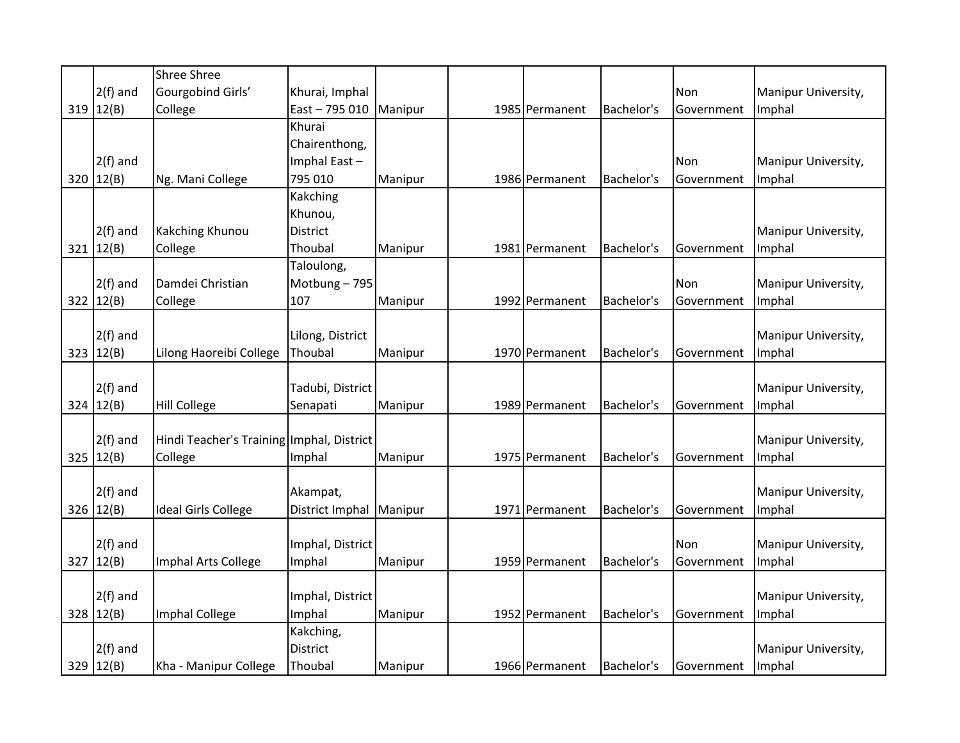|     |             | Shree Shree                               |                  |         |                |            |            |                     |
|-----|-------------|-------------------------------------------|------------------|---------|----------------|------------|------------|---------------------|
|     | $2(f)$ and  | Gourgobind Girls'                         | Khurai, Imphal   |         |                |            | Non        | Manipur University, |
|     | 319   12(B) | College                                   | East-795 010     | Manipur | 1985 Permanent | Bachelor's | Government | Imphal              |
|     |             |                                           | Khurai           |         |                |            |            |                     |
|     |             |                                           | Chairenthong,    |         |                |            |            |                     |
|     | $2(f)$ and  |                                           | Imphal East-     |         |                |            | Non        | Manipur University, |
| 320 | 12(B)       | Ng. Mani College                          | 795 010          | Manipur | 1986 Permanent | Bachelor's | Government | Imphal              |
|     |             |                                           | Kakching         |         |                |            |            |                     |
|     |             |                                           | Khunou,          |         |                |            |            |                     |
|     | $2(f)$ and  | Kakching Khunou                           | <b>District</b>  |         |                |            |            | Manipur University, |
|     | 321   12(B) | College                                   | Thoubal          | Manipur | 1981 Permanent | Bachelor's | Government | Imphal              |
|     |             |                                           | Taloulong,       |         |                |            |            |                     |
|     | $2(f)$ and  | Damdei Christian                          | Motbung-795      |         |                |            | Non        | Manipur University, |
|     | 322   12(B) | College                                   | 107              | Manipur | 1992 Permanent | Bachelor's | Government | Imphal              |
|     |             |                                           |                  |         |                |            |            |                     |
|     | $2(f)$ and  |                                           | Lilong, District |         |                |            |            | Manipur University, |
|     | 323   12(B) | Lilong Haoreibi College                   | Thoubal          | Manipur | 1970 Permanent | Bachelor's | Government | Imphal              |
|     |             |                                           |                  |         |                |            |            |                     |
|     | $2(f)$ and  |                                           | Tadubi, District |         |                |            |            | Manipur University, |
| 324 | 12(B)       | <b>Hill College</b>                       | Senapati         | Manipur | 1989 Permanent | Bachelor's | Government | Imphal              |
|     |             |                                           |                  |         |                |            |            |                     |
|     | $2(f)$ and  | Hindi Teacher's Training Imphal, District |                  |         |                |            |            | Manipur University, |
| 325 | 12(B)       | College                                   | Imphal           | Manipur | 1975 Permanent | Bachelor's | Government | Imphal              |
|     |             |                                           |                  |         |                |            |            |                     |
|     | $2(f)$ and  |                                           | Akampat,         |         |                |            |            | Manipur University, |
| 326 | 12(B)       | <b>Ideal Girls College</b>                | District Imphal  | Manipur | 1971 Permanent | Bachelor's | Government | Imphal              |
|     |             |                                           |                  |         |                |            |            |                     |
|     | $2(f)$ and  |                                           | Imphal, District |         |                |            | Non        | Manipur University, |
| 327 | 12(B)       | Imphal Arts College                       | Imphal           | Manipur | 1959 Permanent | Bachelor's | Government | Imphal              |
|     |             |                                           |                  |         |                |            |            |                     |
|     | $2(f)$ and  |                                           | Imphal, District |         |                |            |            | Manipur University, |
|     | 328   12(B) | Imphal College                            | Imphal           | Manipur | 1952 Permanent | Bachelor's | Government | Imphal              |
|     |             |                                           | Kakching,        |         |                |            |            |                     |
|     | $2(f)$ and  |                                           | District         |         |                |            |            | Manipur University, |
|     | 329 $12(B)$ | Kha - Manipur College                     | Thoubal          | Manipur | 1966 Permanent | Bachelor's | Government | Imphal              |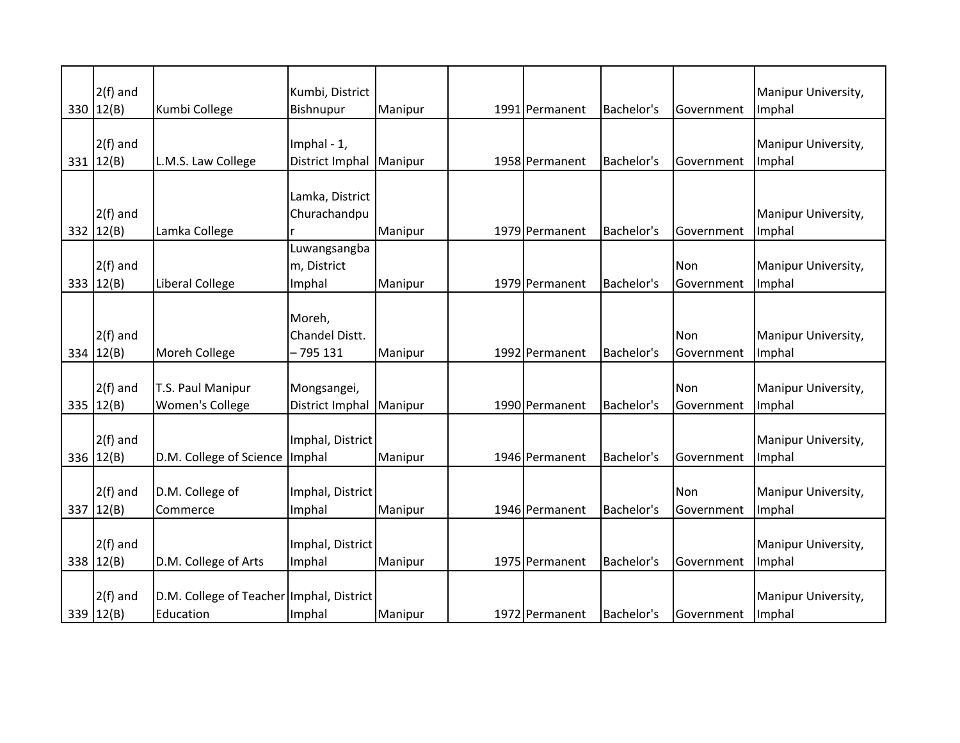| $2(f)$ and<br>330 $ 12(B) $ | Kumbi College                                         | Kumbi, District<br>Bishnupur          | Manipur | 1991 Permanent | Bachelor's | Government         | Manipur University,<br>Imphal |
|-----------------------------|-------------------------------------------------------|---------------------------------------|---------|----------------|------------|--------------------|-------------------------------|
| $2(f)$ and<br>331   12(B)   | L.M.S. Law College                                    | Imphal - 1,<br>District Imphal        | Manipur | 1958 Permanent | Bachelor's | <b>IGovernment</b> | Manipur University,<br>Imphal |
| $2(f)$ and<br>332   12(B)   | Lamka College                                         | Lamka, District<br>Churachandpu       | Manipur | 1979 Permanent | Bachelor's | <b>Government</b>  | Manipur University,<br>Imphal |
| $2(f)$ and<br>333 $12(B)$   | Liberal College                                       | Luwangsangba<br>m, District<br>Imphal | Manipur | 1979 Permanent | Bachelor's | Non<br>Government  | Manipur University,<br>Imphal |
| $2(f)$ and<br>334 $12(B)$   | Moreh College                                         | Moreh,<br>Chandel Distt.<br>- 795 131 | Manipur | 1992 Permanent | Bachelor's | Non<br>Government  | Manipur University,<br>Imphal |
| $2(f)$ and<br>335 $12(B)$   | T.S. Paul Manipur<br>Women's College                  | Mongsangei,<br>District Imphal        | Manipur | 1990 Permanent | Bachelor's | Non<br>Government  | Manipur University,<br>Imphal |
| $2(f)$ and<br>336 $12(B)$   | D.M. College of Science                               | Imphal, District<br>Imphal            | Manipur | 1946 Permanent | Bachelor's | Government         | Manipur University,<br>Imphal |
| $2(f)$ and<br>337 $12(B)$   | D.M. College of<br>Commerce                           | Imphal, District<br>Imphal            | Manipur | 1946 Permanent | Bachelor's | Non<br>Government  | Manipur University,<br>Imphal |
| $2(f)$ and<br>338 12(B)     | D.M. College of Arts                                  | Imphal, District<br>Imphal            | Manipur | 1975 Permanent | Bachelor's | <b>Government</b>  | Manipur University,<br>Imphal |
| $2(f)$ and<br>339 $12(B)$   | D.M. College of Teacher Imphal, District<br>Education | Imphal                                | Manipur | 1972 Permanent | Bachelor's | Government         | Manipur University,<br>Imphal |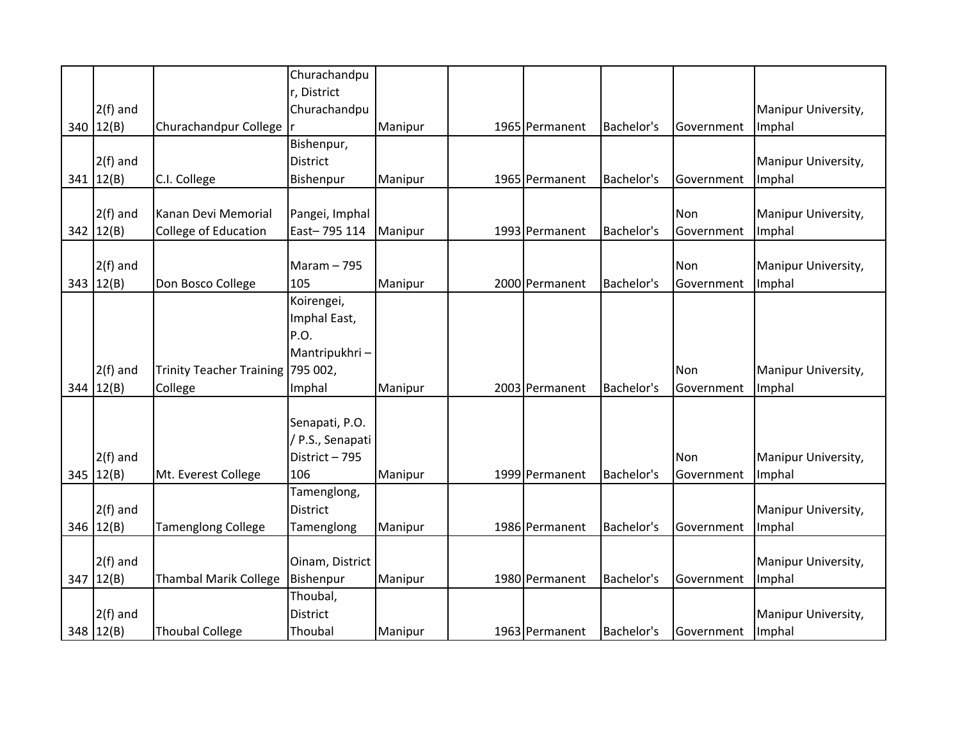|     |             |                                   | Churachandpu     |         |                |            |            |                     |
|-----|-------------|-----------------------------------|------------------|---------|----------------|------------|------------|---------------------|
|     |             |                                   | r, District      |         |                |            |            |                     |
|     | $2(f)$ and  |                                   | Churachandpu     |         |                |            |            | Manipur University, |
| 340 | 12(B)       | Churachandpur College             |                  | Manipur | 1965 Permanent | Bachelor's | Government | Imphal              |
|     |             |                                   | Bishenpur,       |         |                |            |            |                     |
|     | $2(f)$ and  |                                   | <b>District</b>  |         |                |            |            | Manipur University, |
|     | 341   12(B) | C.I. College                      | Bishenpur        | Manipur | 1965 Permanent | Bachelor's | Government | Imphal              |
|     |             |                                   |                  |         |                |            |            |                     |
|     | $2(f)$ and  | Kanan Devi Memorial               | Pangei, Imphal   |         |                |            | Non        | Manipur University, |
| 342 | 12(B)       | College of Education              | East-795 114     | Manipur | 1993 Permanent | Bachelor's | Government | Imphal              |
|     |             |                                   |                  |         |                |            |            |                     |
|     | $2(f)$ and  |                                   | Maram $-795$     |         |                |            | Non        | Manipur University, |
|     | 343 $12(B)$ | Don Bosco College                 | 105              | Manipur | 2000 Permanent | Bachelor's | Government | Imphal              |
|     |             |                                   | Koirengei,       |         |                |            |            |                     |
|     |             |                                   | Imphal East,     |         |                |            |            |                     |
|     |             |                                   | P.O.             |         |                |            |            |                     |
|     |             |                                   | Mantripukhri-    |         |                |            |            |                     |
|     | $2(f)$ and  | Trinity Teacher Training 795 002, |                  |         |                |            | Non        | Manipur University, |
| 344 | 12(B)       | College                           | Imphal           | Manipur | 2003 Permanent | Bachelor's | Government | Imphal              |
|     |             |                                   |                  |         |                |            |            |                     |
|     |             |                                   | Senapati, P.O.   |         |                |            |            |                     |
|     |             |                                   | / P.S., Senapati |         |                |            |            |                     |
|     | $2(f)$ and  |                                   | District - 795   |         |                |            | Non        | Manipur University, |
| 345 | 12(B)       | Mt. Everest College               | 106              | Manipur | 1999 Permanent | Bachelor's | Government | Imphal              |
|     |             |                                   | Tamenglong,      |         |                |            |            |                     |
|     | $2(f)$ and  |                                   | <b>District</b>  |         |                |            |            | Manipur University, |
| 346 | 12(B)       | <b>Tamenglong College</b>         | Tamenglong       | Manipur | 1986 Permanent | Bachelor's | Government | Imphal              |
|     |             |                                   |                  |         |                |            |            |                     |
|     | $2(f)$ and  |                                   | Oinam, District  |         |                |            |            | Manipur University, |
| 347 | 12(B)       | <b>Thambal Marik College</b>      | Bishenpur        | Manipur | 1980 Permanent | Bachelor's | Government | Imphal              |
|     |             |                                   | Thoubal,         |         |                |            |            |                     |
|     | $2(f)$ and  |                                   | <b>District</b>  |         |                |            |            | Manipur University, |
|     | 348   12(B) | <b>Thoubal College</b>            | Thoubal          | Manipur | 1963 Permanent | Bachelor's | Government | Imphal              |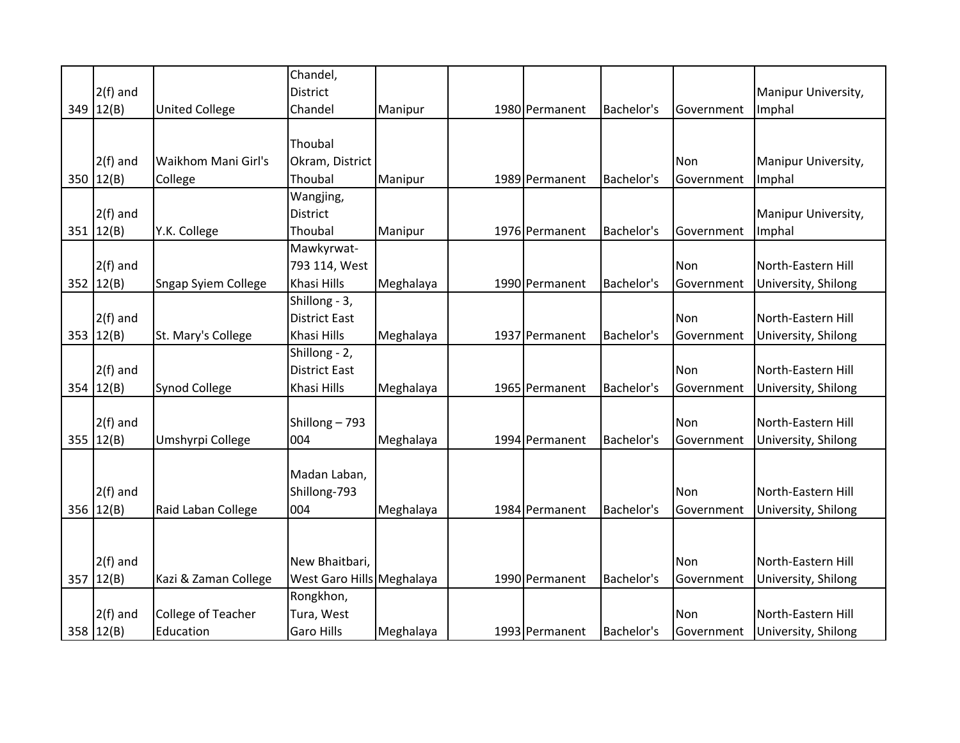|     |               |                            | Chandel,                  |           |                |            |            |                     |
|-----|---------------|----------------------------|---------------------------|-----------|----------------|------------|------------|---------------------|
|     | $2(f)$ and    |                            | <b>District</b>           |           |                |            |            | Manipur University, |
| 349 | 12(B)         | <b>United College</b>      | Chandel                   | Manipur   | 1980 Permanent | Bachelor's | Government | Imphal              |
|     |               |                            |                           |           |                |            |            |                     |
|     |               |                            | Thoubal                   |           |                |            |            |                     |
|     | $2(f)$ and    | Waikhom Mani Girl's        | Okram, District           |           |                |            | Non        | Manipur University, |
| 350 | 12(B)         | College                    | Thoubal                   | Manipur   | 1989 Permanent | Bachelor's | Government | Imphal              |
|     |               |                            | Wangjing,                 |           |                |            |            |                     |
|     | $2(f)$ and    |                            | District                  |           |                |            |            | Manipur University, |
|     | 351   12(B)   | Y.K. College               | Thoubal                   | Manipur   | 1976 Permanent | Bachelor's | Government | Imphal              |
|     |               |                            | Mawkyrwat-                |           |                |            |            |                     |
|     | $2(f)$ and    |                            | 793 114, West             |           |                |            | Non        | North-Eastern Hill  |
|     | 352   12(B)   | <b>Sngap Syiem College</b> | Khasi Hills               | Meghalaya | 1990 Permanent | Bachelor's | Government | University, Shilong |
|     |               |                            | Shillong - 3,             |           |                |            |            |                     |
|     | $2(f)$ and    |                            | <b>District East</b>      |           |                |            | Non        | North-Eastern Hill  |
|     | 353 $ 12(B) $ | St. Mary's College         | Khasi Hills               | Meghalaya | 1937 Permanent | Bachelor's | Government | University, Shilong |
|     |               |                            | Shillong - 2,             |           |                |            |            |                     |
|     | $2(f)$ and    |                            | <b>District East</b>      |           |                |            | Non        | North-Eastern Hill  |
| 354 | 12(B)         | Synod College              | Khasi Hills               | Meghalaya | 1965 Permanent | Bachelor's | Government | University, Shilong |
|     |               |                            |                           |           |                |            |            |                     |
|     | $2(f)$ and    |                            | Shillong-793              |           |                |            | Non        | North-Eastern Hill  |
| 355 | 12(B)         | Umshyrpi College           | 004                       | Meghalaya | 1994 Permanent | Bachelor's | Government | University, Shilong |
|     |               |                            |                           |           |                |            |            |                     |
|     |               |                            | Madan Laban,              |           |                |            |            |                     |
|     | $2(f)$ and    |                            | Shillong-793              |           |                |            | Non        | North-Eastern Hill  |
| 356 | 12(B)         | Raid Laban College         | 004                       | Meghalaya | 1984 Permanent | Bachelor's | Government | University, Shilong |
|     |               |                            |                           |           |                |            |            |                     |
|     |               |                            |                           |           |                |            |            |                     |
|     | $2(f)$ and    |                            | New Bhaitbari,            |           |                |            | Non        | North-Eastern Hill  |
| 357 | 12(B)         | Kazi & Zaman College       | West Garo Hills Meghalaya |           | 1990 Permanent | Bachelor's | Government | University, Shilong |
|     |               |                            | Rongkhon,                 |           |                |            |            |                     |
|     | $2(f)$ and    | College of Teacher         | Tura, West                |           |                |            | Non        | North-Eastern Hill  |
|     | 358 $12(B)$   | Education                  | Garo Hills                | Meghalaya | 1993 Permanent | Bachelor's | Government | University, Shilong |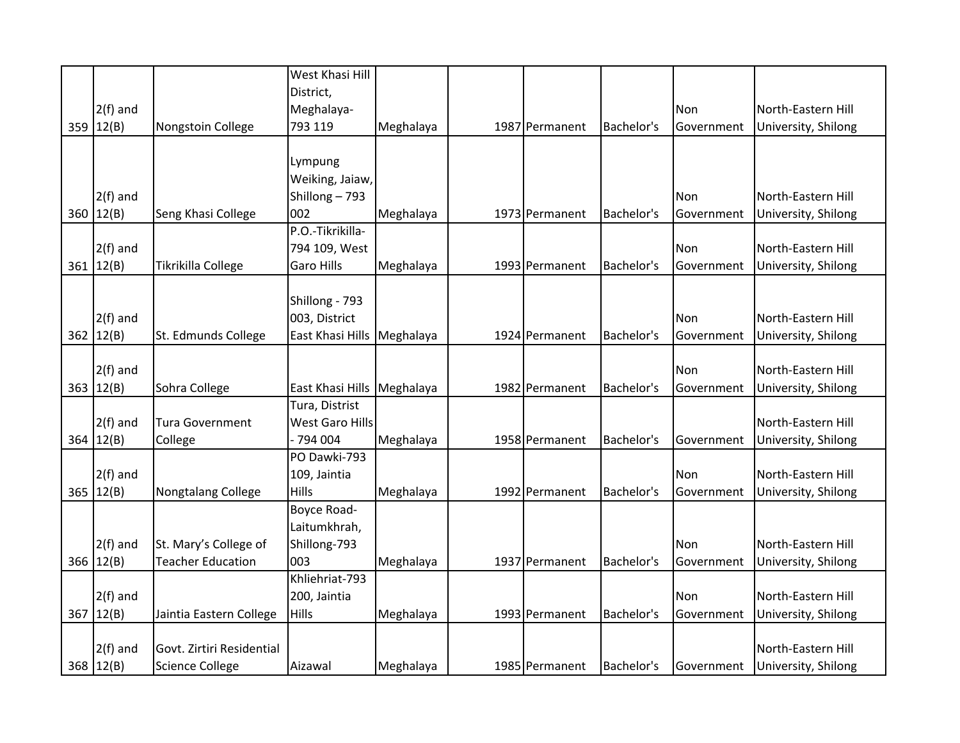|     |            |                           | West Khasi Hill        |           |                |            |            |                     |
|-----|------------|---------------------------|------------------------|-----------|----------------|------------|------------|---------------------|
|     |            |                           | District,              |           |                |            |            |                     |
|     | $2(f)$ and |                           | Meghalaya-             |           |                |            | Non        | North-Eastern Hill  |
| 359 | 12(B)      | Nongstoin College         | 793 119                | Meghalaya | 1987 Permanent | Bachelor's | Government | University, Shilong |
|     |            |                           |                        |           |                |            |            |                     |
|     |            |                           | Lympung                |           |                |            |            |                     |
|     |            |                           | Weiking, Jaiaw,        |           |                |            |            |                     |
|     | $2(f)$ and |                           | Shillong-793           |           |                |            | Non        | North-Eastern Hill  |
| 360 | 12(B)      | Seng Khasi College        | 002                    | Meghalaya | 1973 Permanent | Bachelor's | Government | University, Shilong |
|     |            |                           | P.O.-Tikrikilla-       |           |                |            |            |                     |
|     | $2(f)$ and |                           | 794 109, West          |           |                |            | Non        | North-Eastern Hill  |
| 361 | 12(B)      | Tikrikilla College        | <b>Garo Hills</b>      | Meghalaya | 1993 Permanent | Bachelor's | Government | University, Shilong |
|     |            |                           |                        |           |                |            |            |                     |
|     |            |                           | Shillong - 793         |           |                |            |            |                     |
|     | $2(f)$ and |                           | 003, District          |           |                |            | Non        | North-Eastern Hill  |
| 362 | 12(B)      | St. Edmunds College       | East Khasi Hills       | Meghalaya | 1924 Permanent | Bachelor's | Government | University, Shilong |
|     |            |                           |                        |           |                |            |            |                     |
|     | $2(f)$ and |                           |                        |           |                |            | Non        | North-Eastern Hill  |
| 363 | 12(B)      | Sohra College             | East Khasi Hills       | Meghalaya | 1982 Permanent | Bachelor's | Government | University, Shilong |
|     |            |                           | Tura, Distrist         |           |                |            |            |                     |
|     | $2(f)$ and | <b>Tura Government</b>    | <b>West Garo Hills</b> |           |                |            |            | North-Eastern Hill  |
| 364 | 12(B)      | College                   | - 794 004              | Meghalaya | 1958 Permanent | Bachelor's | Government | University, Shilong |
|     |            |                           | PO Dawki-793           |           |                |            |            |                     |
|     | $2(f)$ and |                           | 109, Jaintia           |           |                |            | Non        | North-Eastern Hill  |
| 365 | 12(B)      | Nongtalang College        | Hills                  | Meghalaya | 1992 Permanent | Bachelor's | Government | University, Shilong |
|     |            |                           | Boyce Road-            |           |                |            |            |                     |
|     |            |                           | Laitumkhrah,           |           |                |            |            |                     |
|     | $2(f)$ and | St. Mary's College of     | Shillong-793           |           |                |            | <b>Non</b> | North-Eastern Hill  |
| 366 | 12(B)      | <b>Teacher Education</b>  | 003                    | Meghalaya | 1937 Permanent | Bachelor's | Government | University, Shilong |
|     |            |                           | Khliehriat-793         |           |                |            |            |                     |
|     | $2(f)$ and |                           | 200, Jaintia           |           |                |            | Non        | North-Eastern Hill  |
| 367 | 12(B)      | Jaintia Eastern College   | Hills                  | Meghalaya | 1993 Permanent | Bachelor's | Government | University, Shilong |
|     |            |                           |                        |           |                |            |            |                     |
|     | $2(f)$ and | Govt. Zirtiri Residential |                        |           |                |            |            | North-Eastern Hill  |
|     | 368 12(B)  | <b>Science College</b>    | Aizawal                | Meghalaya | 1985 Permanent | Bachelor's | Government | University, Shilong |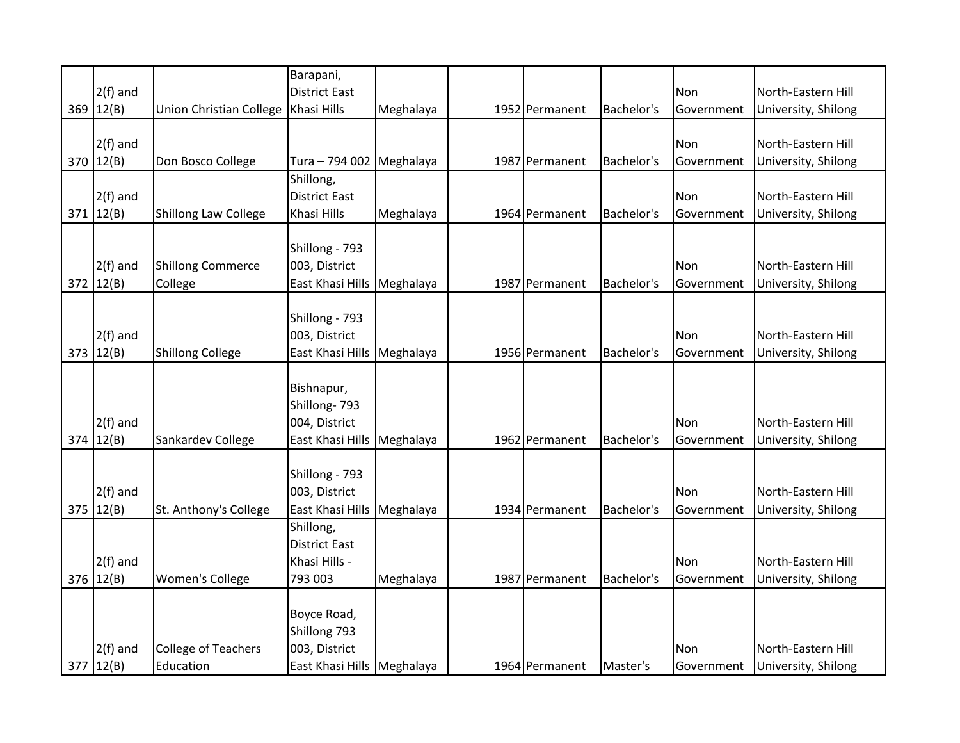|     |             |                                | Barapani,                  |           |                |            |            |                     |
|-----|-------------|--------------------------------|----------------------------|-----------|----------------|------------|------------|---------------------|
|     | $2(f)$ and  |                                | <b>District East</b>       |           |                |            | Non        | North-Eastern Hill  |
| 369 | 12(B)       | <b>Union Christian College</b> | Khasi Hills                | Meghalaya | 1952 Permanent | Bachelor's | Government | University, Shilong |
|     |             |                                |                            |           |                |            |            |                     |
|     | $2(f)$ and  |                                |                            |           |                |            | Non        | North-Eastern Hill  |
| 370 | 12(B)       | Don Bosco College              | Tura - 794 002 Meghalaya   |           | 1987 Permanent | Bachelor's | Government | University, Shilong |
|     |             |                                | Shillong,                  |           |                |            |            |                     |
|     | $2(f)$ and  |                                | <b>District East</b>       |           |                |            | Non        | North-Eastern Hill  |
|     | 371   12(B) | <b>Shillong Law College</b>    | Khasi Hills                | Meghalaya | 1964 Permanent | Bachelor's | Government | University, Shilong |
|     |             |                                |                            |           |                |            |            |                     |
|     |             |                                | Shillong - 793             |           |                |            |            |                     |
|     | $2(f)$ and  | <b>Shillong Commerce</b>       | 003, District              |           |                |            | Non        | North-Eastern Hill  |
| 372 | 12(B)       | College                        | East Khasi Hills           | Meghalaya | 1987 Permanent | Bachelor's | Government | University, Shilong |
|     |             |                                |                            |           |                |            |            |                     |
|     |             |                                | Shillong - 793             |           |                |            |            |                     |
|     | $2(f)$ and  |                                | 003, District              |           |                |            | Non        | North-Eastern Hill  |
| 373 | 12(B)       | <b>Shillong College</b>        | East Khasi Hills           | Meghalaya | 1956 Permanent | Bachelor's | Government | University, Shilong |
|     |             |                                |                            |           |                |            |            |                     |
|     |             |                                | Bishnapur,                 |           |                |            |            |                     |
|     |             |                                | Shillong-793               |           |                |            |            |                     |
|     | $2(f)$ and  |                                | 004, District              |           |                |            | Non        | North-Eastern Hill  |
| 374 | 12(B)       | Sankardev College              | East Khasi Hills           | Meghalaya | 1962 Permanent | Bachelor's | Government | University, Shilong |
|     |             |                                |                            |           |                |            |            |                     |
|     |             |                                | Shillong - 793             |           |                |            |            |                     |
|     | $2(f)$ and  |                                | 003, District              |           |                |            | Non        | North-Eastern Hill  |
| 375 | 12(B)       | St. Anthony's College          | East Khasi Hills           | Meghalaya | 1934 Permanent | Bachelor's | Government | University, Shilong |
|     |             |                                | Shillong,                  |           |                |            |            |                     |
|     |             |                                | <b>District East</b>       |           |                |            |            |                     |
|     | $2(f)$ and  |                                | Khasi Hills -              |           |                |            | Non        | North-Eastern Hill  |
| 376 | 12(B)       | <b>Women's College</b>         | 793 003                    | Meghalaya | 1987 Permanent | Bachelor's | Government | University, Shilong |
|     |             |                                |                            |           |                |            |            |                     |
|     |             |                                | Boyce Road,                |           |                |            |            |                     |
|     |             |                                | Shillong 793               |           |                |            |            |                     |
|     | $2(f)$ and  | <b>College of Teachers</b>     | 003, District              |           |                |            | Non        | North-Eastern Hill  |
|     | 377   12(B) | Education                      | East Khasi Hills Meghalaya |           | 1964 Permanent | Master's   | Government | University, Shilong |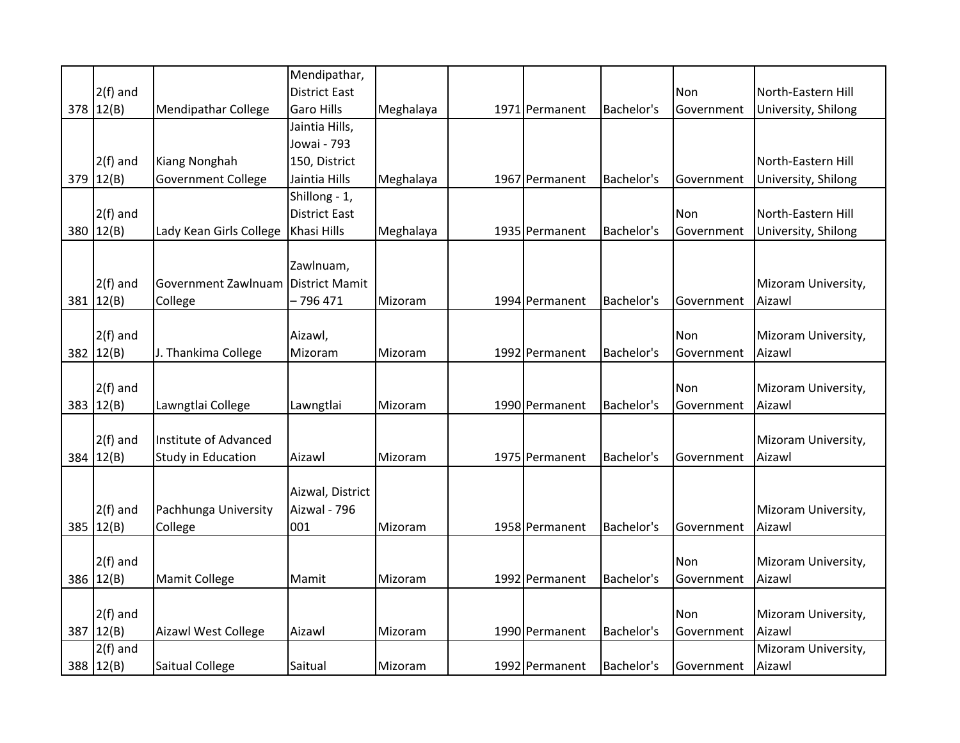|     |            |                            | Mendipathar,          |           |                |            |            |                     |
|-----|------------|----------------------------|-----------------------|-----------|----------------|------------|------------|---------------------|
|     | $2(f)$ and |                            | <b>District East</b>  |           |                |            | Non        | North-Eastern Hill  |
|     | 378 12(B)  | <b>Mendipathar College</b> | <b>Garo Hills</b>     | Meghalaya | 1971 Permanent | Bachelor's | Government | University, Shilong |
|     |            |                            | Jaintia Hills,        |           |                |            |            |                     |
|     |            |                            | Jowai - 793           |           |                |            |            |                     |
|     | $2(f)$ and | Kiang Nonghah              | 150, District         |           |                |            |            | North-Eastern Hill  |
| 379 | 12(B)      | <b>Government College</b>  | Jaintia Hills         | Meghalaya | 1967 Permanent | Bachelor's | Government | University, Shilong |
|     |            |                            | Shillong - 1,         |           |                |            |            |                     |
|     | $2(f)$ and |                            | <b>District East</b>  |           |                |            | Non        | North-Eastern Hill  |
| 380 | 12(B)      | Lady Kean Girls College    | Khasi Hills           | Meghalaya | 1935 Permanent | Bachelor's | Government | University, Shilong |
|     |            |                            |                       |           |                |            |            |                     |
|     |            |                            | Zawlnuam,             |           |                |            |            |                     |
|     | $2(f)$ and | Government Zawlnuam        | <b>District Mamit</b> |           |                |            |            | Mizoram University, |
|     | 381 12(B)  | College                    | - 796 471             | Mizoram   | 1994 Permanent | Bachelor's | Government | Aizawl              |
|     |            |                            |                       |           |                |            |            |                     |
|     | $2(f)$ and |                            | Aizawl,               |           |                |            | Non        | Mizoram University, |
| 382 | 12(B)      | J. Thankima College        | Mizoram               | Mizoram   | 1992 Permanent | Bachelor's | Government | Aizawl              |
|     |            |                            |                       |           |                |            |            |                     |
|     | $2(f)$ and |                            |                       |           |                |            | Non        | Mizoram University, |
| 383 | 12(B)      | Lawngtlai College          | Lawngtlai             | Mizoram   | 1990 Permanent | Bachelor's | Government | Aizawl              |
|     |            |                            |                       |           |                |            |            |                     |
|     | $2(f)$ and | Institute of Advanced      |                       |           |                |            |            | Mizoram University, |
|     | 384 12(B)  | Study in Education         | Aizawl                | Mizoram   | 1975 Permanent | Bachelor's | Government | Aizawl              |
|     |            |                            |                       |           |                |            |            |                     |
|     |            |                            | Aizwal, District      |           |                |            |            |                     |
|     | $2(f)$ and | Pachhunga University       | Aizwal - 796          |           |                |            |            | Mizoram University, |
| 385 | 12(B)      | College                    | 001                   | Mizoram   | 1958 Permanent | Bachelor's | Government | Aizawl              |
|     |            |                            |                       |           |                |            |            |                     |
|     | $2(f)$ and |                            |                       |           |                |            | Non        | Mizoram University, |
| 386 | 12(B)      | Mamit College              | Mamit                 | Mizoram   | 1992 Permanent | Bachelor's | Government | Aizawl              |
|     |            |                            |                       |           |                |            |            |                     |
|     | $2(f)$ and |                            |                       |           |                |            | Non        | Mizoram University, |
| 387 | 12(B)      | Aizawl West College        | Aizawl                | Mizoram   | 1990 Permanent | Bachelor's | Government | Aizawl              |
|     | $2(f)$ and |                            |                       |           |                |            |            | Mizoram University, |
|     | 388 12(B)  | Saitual College            | Saitual               | Mizoram   | 1992 Permanent | Bachelor's | Government | Aizawl              |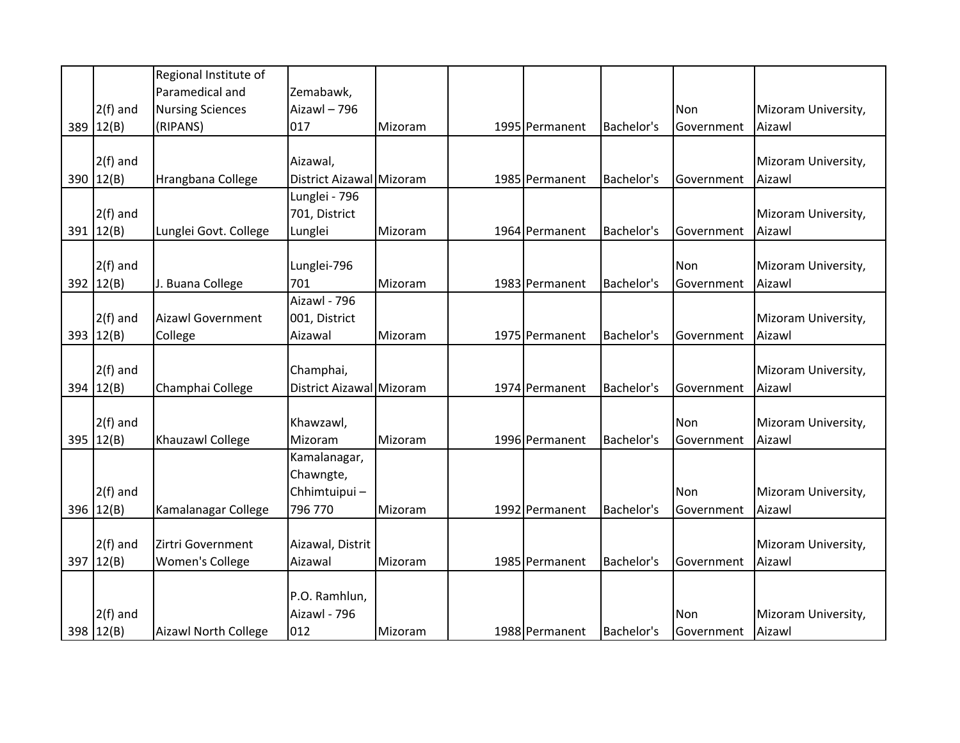|             | Regional Institute of       |                          |         |                |            |            |                     |
|-------------|-----------------------------|--------------------------|---------|----------------|------------|------------|---------------------|
|             | Paramedical and             | Zemabawk,                |         |                |            |            |                     |
| $2(f)$ and  | <b>Nursing Sciences</b>     | Aizawl - 796             |         |                |            | Non        | Mizoram University, |
| 389 12(B)   | (RIPANS)                    | 017                      | Mizoram | 1995 Permanent | Bachelor's | Government | Aizawl              |
|             |                             |                          |         |                |            |            |                     |
| $2(f)$ and  |                             | Aizawal,                 |         |                |            |            | Mizoram University, |
| 390 $12(B)$ | Hrangbana College           | District Aizawal Mizoram |         | 1985 Permanent | Bachelor's | Government | Aizawl              |
|             |                             | Lunglei - 796            |         |                |            |            |                     |
| $2(f)$ and  |                             | 701, District            |         |                |            |            | Mizoram University, |
| 391   12(B) | Lunglei Govt. College       | Lunglei                  | Mizoram | 1964 Permanent | Bachelor's | Government | Aizawl              |
|             |                             |                          |         |                |            |            |                     |
| $2(f)$ and  |                             | Lunglei-796              |         |                |            | Non        | Mizoram University, |
| 392 12(B)   | J. Buana College            | 701                      | Mizoram | 1983 Permanent | Bachelor's | Government | Aizawl              |
|             |                             | Aizawl - 796             |         |                |            |            |                     |
| $2(f)$ and  | <b>Aizawl Government</b>    | 001, District            |         |                |            |            | Mizoram University, |
| 393 $12(B)$ | College                     | Aizawal                  | Mizoram | 1975 Permanent | Bachelor's | Government | Aizawl              |
|             |                             |                          |         |                |            |            |                     |
| $2(f)$ and  |                             | Champhai,                |         |                |            |            | Mizoram University, |
| 394 12(B)   | Champhai College            | District Aizawal Mizoram |         | 1974 Permanent | Bachelor's | Government | Aizawl              |
|             |                             |                          |         |                |            |            |                     |
| $2(f)$ and  |                             | Khawzawl,                |         |                |            | Non        | Mizoram University, |
| 395 $12(B)$ | Khauzawl College            | Mizoram                  | Mizoram | 1996 Permanent | Bachelor's | Government | Aizawl              |
|             |                             | Kamalanagar,             |         |                |            |            |                     |
|             |                             | Chawngte,                |         |                |            |            |                     |
| $2(f)$ and  |                             | Chhimtuipui-             |         |                |            | Non        | Mizoram University, |
| 396 12(B)   | Kamalanagar College         | 796 770                  | Mizoram | 1992 Permanent | Bachelor's | Government | Aizawl              |
|             |                             |                          |         |                |            |            |                     |
| $2(f)$ and  | Zirtri Government           | Aizawal, Distrit         |         |                |            |            | Mizoram University, |
| 397 $12(B)$ | Women's College             | Aizawal                  | Mizoram | 1985 Permanent | Bachelor's | Government | Aizawl              |
|             |                             |                          |         |                |            |            |                     |
|             |                             | P.O. Ramhlun,            |         |                |            |            |                     |
| $2(f)$ and  |                             | Aizawl - 796             |         |                |            | Non        | Mizoram University, |
| 398 12(B)   | <b>Aizawl North College</b> | 012                      | Mizoram | 1988 Permanent | Bachelor's | Government | Aizawl              |
|             |                             |                          |         |                |            |            |                     |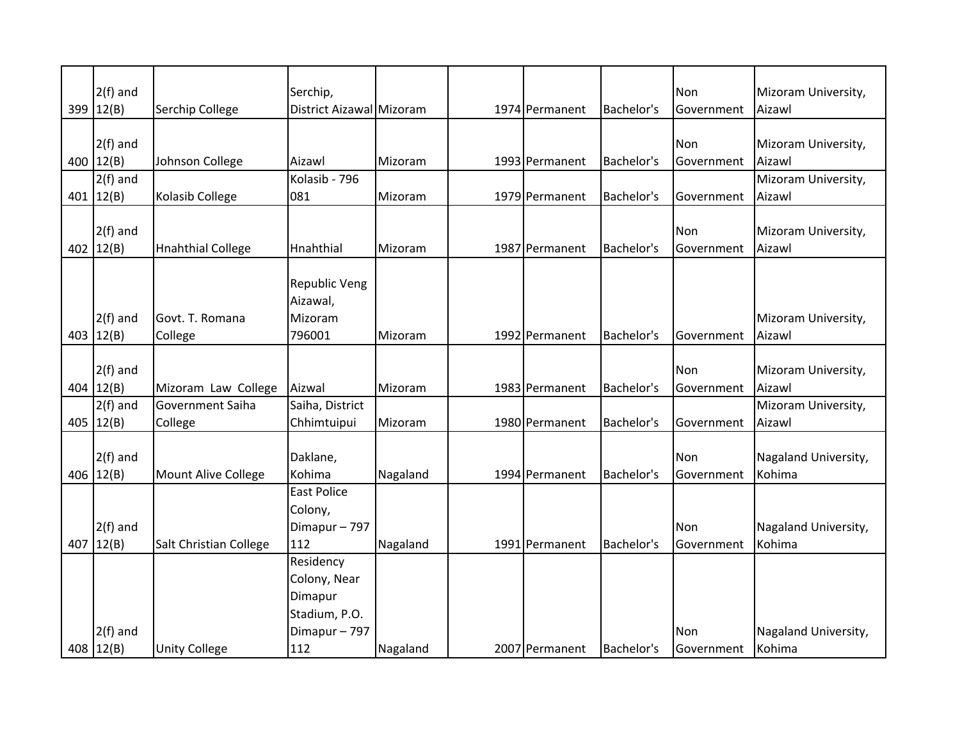|     | $2(f)$ and    |                            | Serchip,                 |          |                |            | Non        | Mizoram University,  |
|-----|---------------|----------------------------|--------------------------|----------|----------------|------------|------------|----------------------|
|     | 399 12(B)     | Serchip College            | District Aizawal Mizoram |          | 1974 Permanent | Bachelor's | Government | Aizawl               |
|     |               |                            |                          |          |                |            |            |                      |
|     | $2(f)$ and    |                            |                          |          |                |            | Non        | Mizoram University,  |
|     | 400 $12(B)$   | Johnson College            | Aizawl                   | Mizoram  | 1993 Permanent | Bachelor's | Government | Aizawl               |
|     | $2(f)$ and    |                            | Kolasib - 796            |          |                |            |            | Mizoram University,  |
|     | 401 $12(B)$   | Kolasib College            | 081                      | Mizoram  | 1979 Permanent | Bachelor's | Government | Aizawl               |
|     |               |                            |                          |          |                |            |            |                      |
|     | $2(f)$ and    |                            |                          |          |                |            | Non        | Mizoram University,  |
|     | 402 $12(B)$   | <b>Hnahthial College</b>   | Hnahthial                | Mizoram  | 1987 Permanent | Bachelor's | Government | Aizawl               |
|     |               |                            |                          |          |                |            |            |                      |
|     |               |                            | <b>Republic Veng</b>     |          |                |            |            |                      |
|     |               |                            | Aizawal,                 |          |                |            |            |                      |
|     | $2(f)$ and    | Govt. T. Romana            | Mizoram                  |          |                |            |            | Mizoram University,  |
|     | 403 $ 12(B) $ | College                    | 796001                   | Mizoram  | 1992 Permanent | Bachelor's | Government | Aizawl               |
|     |               |                            |                          |          |                |            |            |                      |
|     | $2(f)$ and    |                            |                          |          |                |            | Non        | Mizoram University,  |
|     | 404 $ 12(B)$  | Mizoram Law College        | Aizwal                   | Mizoram  | 1983 Permanent | Bachelor's | Government | Aizawl               |
|     | $2(f)$ and    | Government Saiha           | Saiha, District          |          |                |            |            | Mizoram University,  |
|     | 405 $12(B)$   | College                    | Chhimtuipui              | Mizoram  | 1980 Permanent | Bachelor's | Government | Aizawl               |
|     |               |                            |                          |          |                |            |            |                      |
|     | $2(f)$ and    |                            | Daklane,                 |          |                |            | Non        | Nagaland University, |
|     | 406 $12(B)$   | <b>Mount Alive College</b> | Kohima                   | Nagaland | 1994 Permanent | Bachelor's |            | Kohima               |
|     |               |                            | <b>East Police</b>       |          |                |            | Government |                      |
|     |               |                            |                          |          |                |            |            |                      |
|     |               |                            | Colony,                  |          |                |            |            |                      |
|     | $2(f)$ and    |                            | Dimapur-797              |          |                |            | Non        | Nagaland University, |
| 407 | 12(B)         | Salt Christian College     | 112                      | Nagaland | 1991 Permanent | Bachelor's | Government | Kohima               |
|     |               |                            | Residency                |          |                |            |            |                      |
|     |               |                            | Colony, Near             |          |                |            |            |                      |
|     |               |                            | Dimapur                  |          |                |            |            |                      |
|     |               |                            | Stadium, P.O.            |          |                |            |            |                      |
|     | $2(f)$ and    |                            | Dimapur-797              |          |                |            | Non        | Nagaland University, |
|     | 408   12(B)   | <b>Unity College</b>       | 112                      | Nagaland | 2007 Permanent | Bachelor's | Government | Kohima               |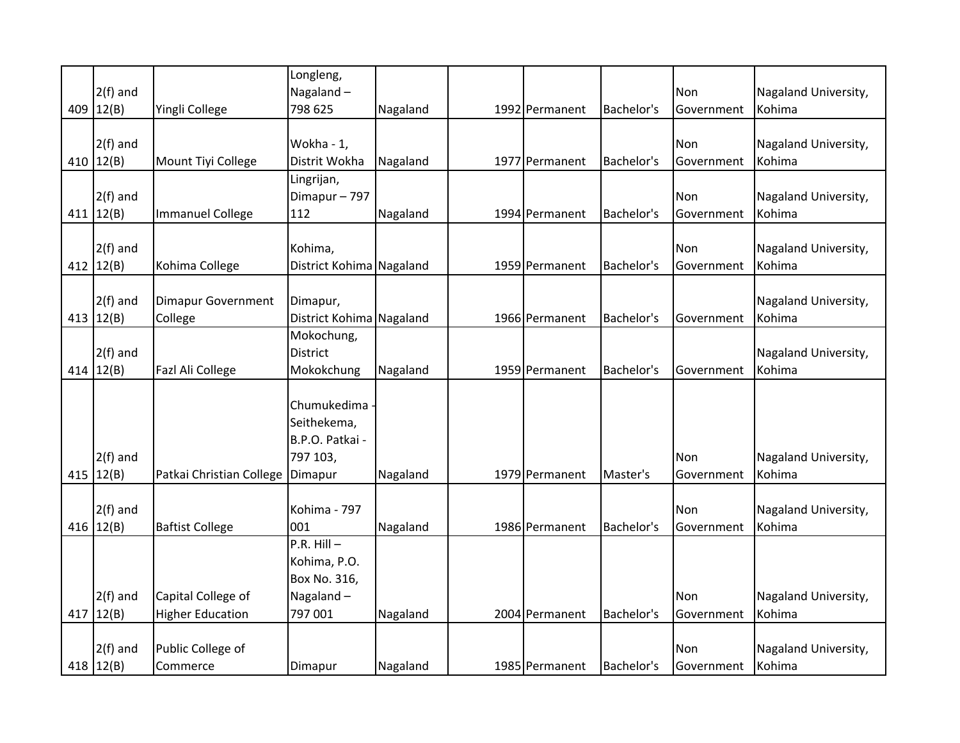|               |                           | Longleng,                |          |                |            |            |                      |
|---------------|---------------------------|--------------------------|----------|----------------|------------|------------|----------------------|
| $2(f)$ and    |                           | Nagaland-                |          |                |            | <b>Non</b> | Nagaland University, |
| 409 12(B)     | Yingli College            | 798 625                  | Nagaland | 1992 Permanent | Bachelor's | Government | Kohima               |
|               |                           |                          |          |                |            |            |                      |
| $2(f)$ and    |                           | Wokha - 1,               |          |                |            | Non        | Nagaland University, |
| 410 $12(B)$   | Mount Tiyi College        | Distrit Wokha            | Nagaland | 1977 Permanent | Bachelor's | Government | Kohima               |
|               |                           | Lingrijan,               |          |                |            |            |                      |
| $2(f)$ and    |                           | Dimapur-797              |          |                |            | Non        | Nagaland University, |
| 411 $ 12(B) $ | <b>Immanuel College</b>   | 112                      | Nagaland | 1994 Permanent | Bachelor's | Government | Kohima               |
|               |                           |                          |          |                |            |            |                      |
| $2(f)$ and    |                           | Kohima,                  |          |                |            | Non        | Nagaland University, |
| 412 $ 12(B) $ | Kohima College            | District Kohima Nagaland |          | 1959 Permanent | Bachelor's | Government | Kohima               |
|               |                           |                          |          |                |            |            |                      |
| $2(f)$ and    | <b>Dimapur Government</b> | Dimapur,                 |          |                |            |            | Nagaland University, |
| 413 $ 12(B) $ | College                   | District Kohima Nagaland |          | 1966 Permanent | Bachelor's | Government | Kohima               |
|               |                           | Mokochung,               |          |                |            |            |                      |
| $2(f)$ and    |                           | District                 |          |                |            |            | Nagaland University, |
| 414 $12(B)$   | Fazl Ali College          | Mokokchung               | Nagaland | 1959 Permanent | Bachelor's | Government | Kohima               |
|               |                           |                          |          |                |            |            |                      |
|               |                           | Chumukedima              |          |                |            |            |                      |
|               |                           | Seithekema,              |          |                |            |            |                      |
|               |                           | B.P.O. Patkai -          |          |                |            |            |                      |
| $2(f)$ and    |                           | 797 103,                 |          |                |            | Non        | Nagaland University, |
| 415 $12(B)$   | Patkai Christian College  | Dimapur                  | Nagaland | 1979 Permanent | Master's   | Government | Kohima               |
|               |                           |                          |          |                |            |            |                      |
| $2(f)$ and    |                           | Kohima - 797             |          |                |            | Non        | Nagaland University, |
| 416 $12(B)$   | <b>Baftist College</b>    | 001                      | Nagaland | 1986 Permanent | Bachelor's | Government | Kohima               |
|               |                           | $P.R.$ Hill $-$          |          |                |            |            |                      |
|               |                           | Kohima, P.O.             |          |                |            |            |                      |
|               |                           | Box No. 316,             |          |                |            |            |                      |
| $2(f)$ and    | Capital College of        | Nagaland-                |          |                |            | Non        | Nagaland University, |
| 417 $12(B)$   | <b>Higher Education</b>   | 797 001                  | Nagaland | 2004 Permanent | Bachelor's | Government | Kohima               |
|               |                           |                          |          |                |            |            |                      |
| $2(f)$ and    | Public College of         |                          |          |                |            | Non        | Nagaland University, |
| 418 $12(B)$   | Commerce                  | Dimapur                  | Nagaland | 1985 Permanent | Bachelor's | Government | Kohima               |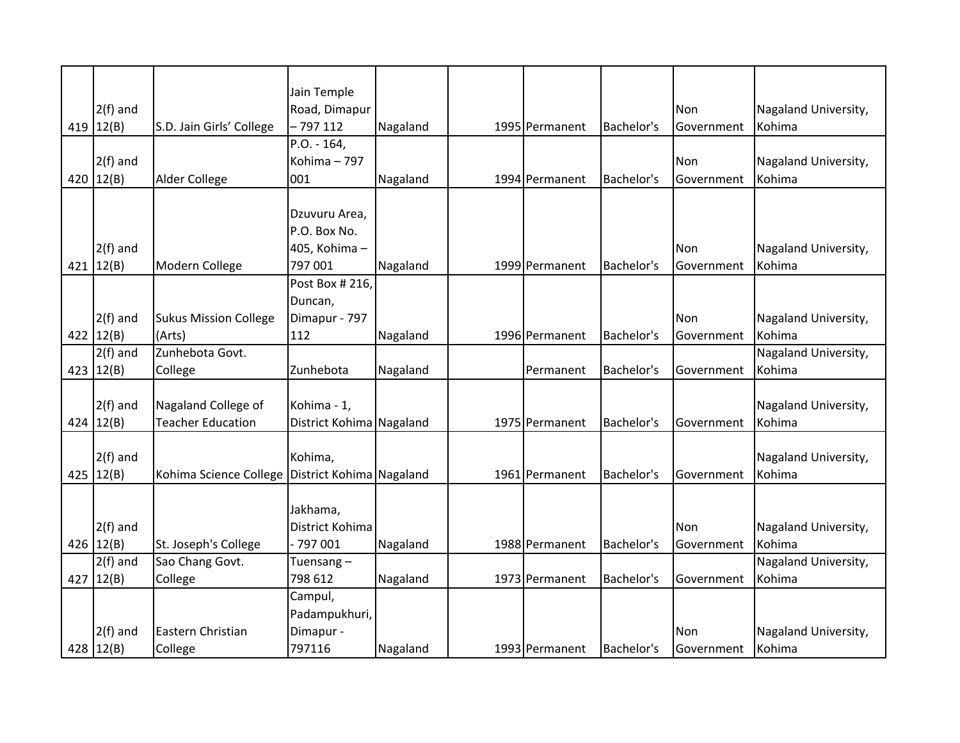|               |                              | Jain Temple              |          |                |            |                   |                      |
|---------------|------------------------------|--------------------------|----------|----------------|------------|-------------------|----------------------|
| $2(f)$ and    |                              | Road, Dimapur            |          |                |            | Non               | Nagaland University, |
| 419 $12(B)$   | S.D. Jain Girls' College     | - 797 112                | Nagaland | 1995 Permanent | Bachelor's | Government        | Kohima               |
|               |                              | P.O. - 164,              |          |                |            |                   |                      |
| $2(f)$ and    |                              | Kohima - 797             |          |                |            | Non               | Nagaland University, |
| 420 $12(B)$   | Alder College                | 001                      | Nagaland | 1994 Permanent | Bachelor's | Government        | Kohima               |
|               |                              |                          |          |                |            |                   |                      |
|               |                              | Dzuvuru Area,            |          |                |            |                   |                      |
|               |                              | P.O. Box No.             |          |                |            |                   |                      |
| $2(f)$ and    |                              | 405, Kohima-             |          |                |            | Non               | Nagaland University, |
| 421 $ 12(B) $ | Modern College               | 797 001                  | Nagaland | 1999 Permanent | Bachelor's | Government        | Kohima               |
|               |                              | Post Box # 216,          |          |                |            |                   |                      |
|               |                              | Duncan,                  |          |                |            |                   |                      |
| $2(f)$ and    | <b>Sukus Mission College</b> | Dimapur - 797            |          |                |            | Non               | Nagaland University, |
| 422 $ 12(B) $ | (Arts)                       | 112                      | Nagaland | 1996 Permanent | Bachelor's | Government        | Kohima               |
| $2(f)$ and    | Zunhebota Govt.              |                          |          |                |            |                   | Nagaland University, |
| 423 $12(B)$   | College                      | Zunhebota                | Nagaland | Permanent      | Bachelor's | Government        | Kohima               |
|               |                              |                          |          |                |            |                   |                      |
| $2(f)$ and    | Nagaland College of          | Kohima - 1,              |          |                |            |                   | Nagaland University, |
| 424 $12(B)$   | <b>Teacher Education</b>     | District Kohima Nagaland |          | 1975 Permanent | Bachelor's | Government        | Kohima               |
|               |                              |                          |          |                |            |                   |                      |
| $2(f)$ and    |                              | Kohima,                  |          |                |            |                   | Nagaland University, |
| 425 $ 12(B) $ | Kohima Science College       | District Kohima Nagaland |          | 1961 Permanent | Bachelor's | <b>Government</b> | Kohima               |
|               |                              |                          |          |                |            |                   |                      |
|               |                              | Jakhama,                 |          |                |            |                   |                      |
| $2(f)$ and    |                              | District Kohima          |          |                |            | Non               | Nagaland University, |
| 426 $12(B)$   | St. Joseph's College         | 797 001                  | Nagaland | 1988 Permanent | Bachelor's | Government        | Kohima               |
| $2(f)$ and    | Sao Chang Govt.              | Tuensang $-$             |          |                |            |                   | Nagaland University, |
| 427   12(B)   | College                      | 798 612                  | Nagaland | 1973 Permanent | Bachelor's | Government        | Kohima               |
|               |                              | Campul,                  |          |                |            |                   |                      |
|               |                              | Padampukhuri,            |          |                |            |                   |                      |
| $2(f)$ and    | Eastern Christian            | Dimapur -                |          |                |            | Non               | Nagaland University, |
| 428 $12(B)$   | College                      | 797116                   | Nagaland | 1993 Permanent | Bachelor's | Government        | Kohima               |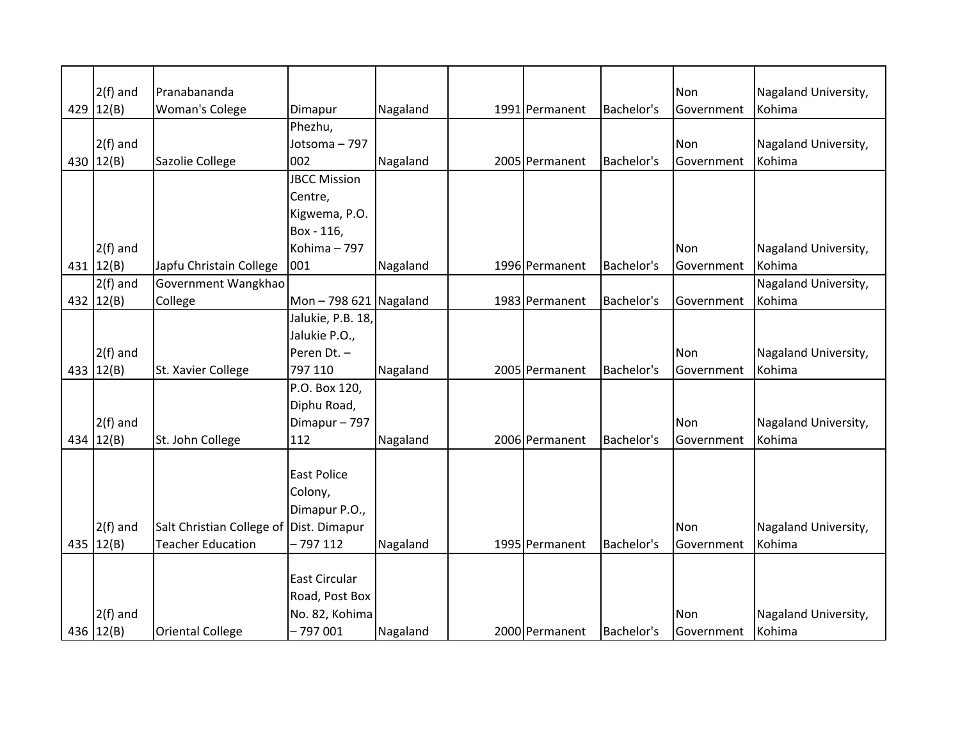| $2(f)$ and   | Pranabananda              |                        |          |                |            | Non        | Nagaland University, |
|--------------|---------------------------|------------------------|----------|----------------|------------|------------|----------------------|
| 429 $12(B)$  | <b>Woman's Colege</b>     | Dimapur                | Nagaland | 1991 Permanent | Bachelor's | Government | Kohima               |
|              |                           | Phezhu,                |          |                |            |            |                      |
| $2(f)$ and   |                           | Jotsoma - 797          |          |                |            | Non        | Nagaland University, |
| 430 12(B)    | Sazolie College           | 002                    | Nagaland | 2005 Permanent | Bachelor's | Government | Kohima               |
|              |                           | <b>JBCC Mission</b>    |          |                |            |            |                      |
|              |                           | Centre,                |          |                |            |            |                      |
|              |                           | Kigwema, P.O.          |          |                |            |            |                      |
|              |                           | Box - 116,             |          |                |            |            |                      |
| $2(f)$ and   |                           | Kohima - 797           |          |                |            | Non        | Nagaland University, |
| 431 $12(B)$  | Japfu Christain College   | 001                    | Nagaland | 1996 Permanent | Bachelor's | Government | Kohima               |
| $2(f)$ and   | Government Wangkhao       |                        |          |                |            |            | Nagaland University, |
| 432 $12(B)$  | College                   | Mon $-798621$ Nagaland |          | 1983 Permanent | Bachelor's | Government | Kohima               |
|              |                           | Jalukie, P.B. 18,      |          |                |            |            |                      |
|              |                           | Jalukie P.O.,          |          |                |            |            |                      |
| $2(f)$ and   |                           | Peren Dt. -            |          |                |            | Non        | Nagaland University, |
| 433 $12(B)$  | St. Xavier College        | 797 110                | Nagaland | 2005 Permanent | Bachelor's | Government | Kohima               |
|              |                           | P.O. Box 120,          |          |                |            |            |                      |
|              |                           | Diphu Road,            |          |                |            |            |                      |
| $2(f)$ and   |                           | Dimapur-797            |          |                |            | Non        | Nagaland University, |
| 434 $ 12(B)$ | St. John College          | 112                    | Nagaland | 2006 Permanent | Bachelor's | Government | Kohima               |
|              |                           |                        |          |                |            |            |                      |
|              |                           | <b>East Police</b>     |          |                |            |            |                      |
|              |                           | Colony,                |          |                |            |            |                      |
|              |                           | Dimapur P.O.,          |          |                |            |            |                      |
| $2(f)$ and   | Salt Christian College of | Dist. Dimapur          |          |                |            | <b>Non</b> | Nagaland University, |
| 435 $12(B)$  | <b>Teacher Education</b>  | $-797112$              | Nagaland | 1995 Permanent | Bachelor's | Government | Kohima               |
|              |                           |                        |          |                |            |            |                      |
|              |                           | East Circular          |          |                |            |            |                      |
|              |                           | Road, Post Box         |          |                |            |            |                      |
| $2(f)$ and   |                           | No. 82, Kohima         |          |                |            | Non        | Nagaland University, |
| 436 $12(B)$  | <b>Oriental College</b>   | $-797001$              | Nagaland | 2000 Permanent | Bachelor's | Government | Kohima               |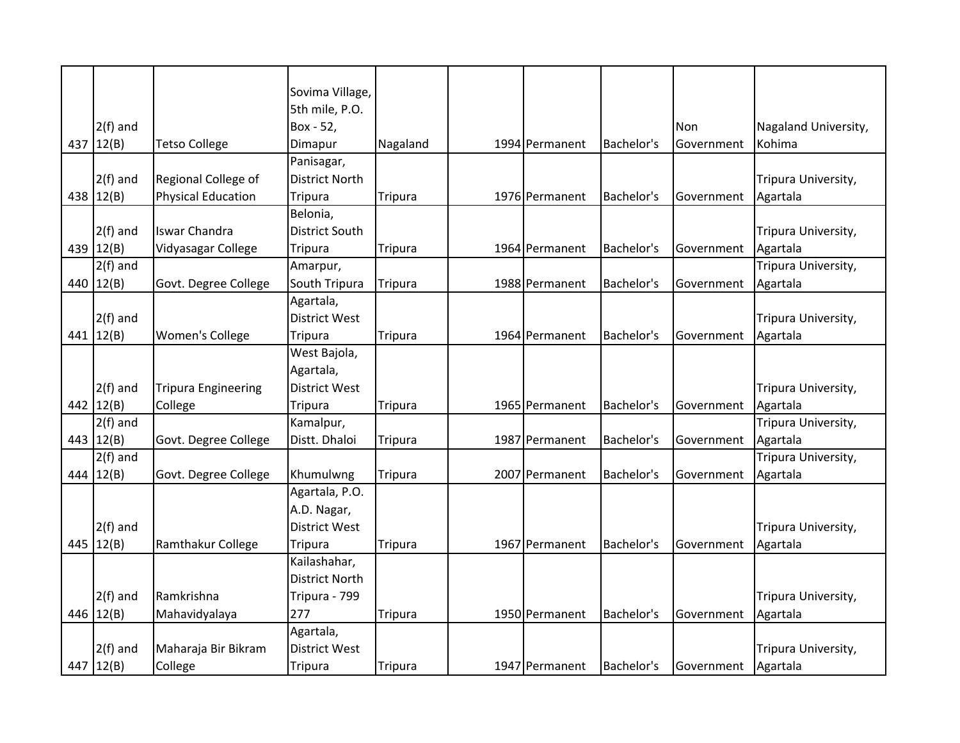|     |               |                            | Sovima Village,       |                |                |            |                   |                      |
|-----|---------------|----------------------------|-----------------------|----------------|----------------|------------|-------------------|----------------------|
|     |               |                            | 5th mile, P.O.        |                |                |            |                   |                      |
|     | $2(f)$ and    |                            | Box - 52,             |                |                |            | Non               | Nagaland University, |
| 437 | 12(B)         | <b>Tetso College</b>       | Dimapur               | Nagaland       | 1994 Permanent | Bachelor's | Government        | Kohima               |
|     |               |                            | Panisagar,            |                |                |            |                   |                      |
|     | $2(f)$ and    | Regional College of        | <b>District North</b> |                |                |            |                   | Tripura University,  |
|     | 438 $12(B)$   | <b>Physical Education</b>  | <b>Tripura</b>        | <b>Tripura</b> | 1976 Permanent | Bachelor's | Government        | Agartala             |
|     |               |                            | Belonia,              |                |                |            |                   |                      |
|     | $2(f)$ and    | <b>Iswar Chandra</b>       | <b>District South</b> |                |                |            |                   | Tripura University,  |
| 439 | 12(B)         | Vidyasagar College         | <b>Tripura</b>        | <b>Tripura</b> | 1964 Permanent | Bachelor's | Government        | Agartala             |
|     | $2(f)$ and    |                            | Amarpur,              |                |                |            |                   | Tripura University,  |
| 440 | 12(B)         | Govt. Degree College       | South Tripura         | <b>Tripura</b> | 1988 Permanent | Bachelor's | Government        | Agartala             |
|     |               |                            | Agartala,             |                |                |            |                   |                      |
|     | $2(f)$ and    |                            | <b>District West</b>  |                |                |            |                   | Tripura University,  |
|     | 441 $ 12(B) $ | <b>Women's College</b>     | Tripura               | <b>Tripura</b> | 1964 Permanent | Bachelor's | Government        | Agartala             |
|     |               |                            | West Bajola,          |                |                |            |                   |                      |
|     |               |                            | Agartala,             |                |                |            |                   |                      |
|     | $2(f)$ and    | <b>Tripura Engineering</b> | <b>District West</b>  |                |                |            |                   | Tripura University,  |
|     | 442 12(B)     | College                    | Tripura               | <b>Tripura</b> | 1965 Permanent | Bachelor's | Government        | Agartala             |
|     | $2(f)$ and    |                            | Kamalpur,             |                |                |            |                   | Tripura University,  |
|     | 443 12(B)     | Govt. Degree College       | Distt. Dhaloi         | <b>Tripura</b> | 1987 Permanent | Bachelor's | Government        | Agartala             |
|     | $2(f)$ and    |                            |                       |                |                |            |                   | Tripura University,  |
| 444 | 12(B)         | Govt. Degree College       | Khumulwng             | <b>Tripura</b> | 2007 Permanent | Bachelor's | Government        | Agartala             |
|     |               |                            | Agartala, P.O.        |                |                |            |                   |                      |
|     |               |                            | A.D. Nagar,           |                |                |            |                   |                      |
|     | $2(f)$ and    |                            | <b>District West</b>  |                |                |            |                   | Tripura University,  |
| 445 | 12(B)         | Ramthakur College          | Tripura               | <b>Tripura</b> | 1967 Permanent | Bachelor's | Government        | Agartala             |
|     |               |                            | Kailashahar,          |                |                |            |                   |                      |
|     |               |                            | <b>District North</b> |                |                |            |                   |                      |
|     |               |                            |                       |                |                |            |                   |                      |
|     | $2(f)$ and    | Ramkrishna                 | Tripura - 799         |                |                |            |                   | Tripura University,  |
|     | 446 $12(B)$   | Mahavidyalaya              | 277                   | <b>Tripura</b> | 1950 Permanent | Bachelor's | Government        | Agartala             |
|     |               |                            | Agartala,             |                |                |            |                   |                      |
|     | $2(f)$ and    | Maharaja Bir Bikram        | <b>District West</b>  |                |                |            |                   | Tripura University,  |
|     | 447 $ 12(B)$  | College                    | <b>Tripura</b>        | <b>Tripura</b> | 1947 Permanent | Bachelor's | <b>Government</b> | Agartala             |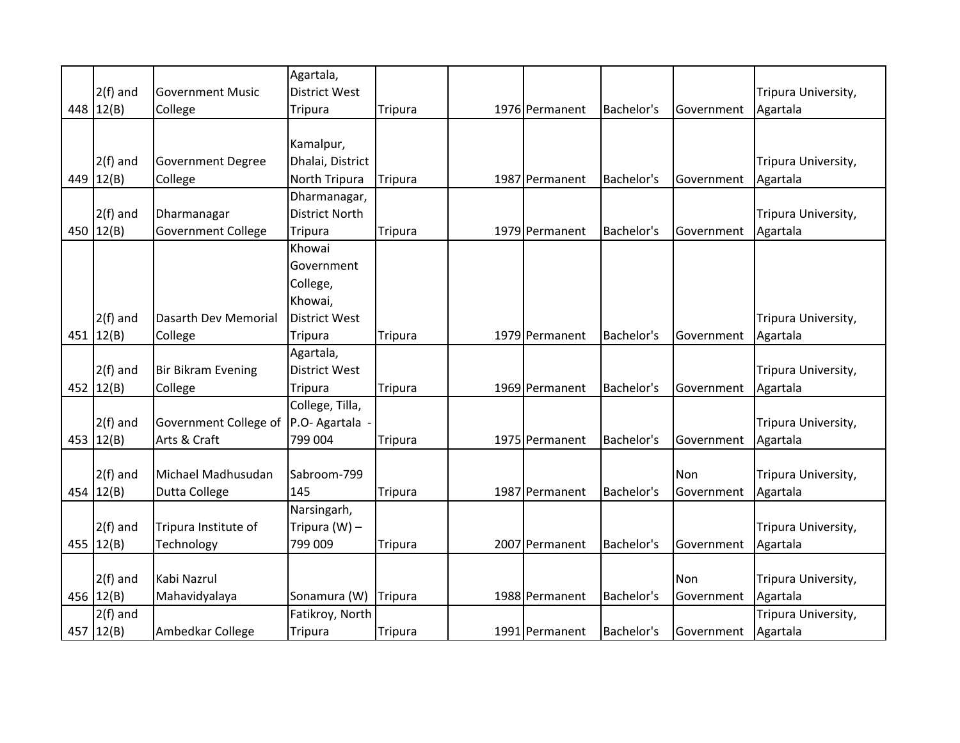|     |               |                           | Agartala,             |                |                |            |            |                     |
|-----|---------------|---------------------------|-----------------------|----------------|----------------|------------|------------|---------------------|
|     | $2(f)$ and    | <b>Government Music</b>   | <b>District West</b>  |                |                |            |            | Tripura University, |
| 448 | 12(B)         | College                   | <b>Tripura</b>        | Tripura        | 1976 Permanent | Bachelor's | Government | Agartala            |
|     |               |                           |                       |                |                |            |            |                     |
|     |               |                           | Kamalpur,             |                |                |            |            |                     |
|     | $2(f)$ and    | <b>Government Degree</b>  | Dhalai, District      |                |                |            |            | Tripura University, |
| 449 | 12(B)         | College                   | North Tripura         | <b>Tripura</b> | 1987 Permanent | Bachelor's | Government | Agartala            |
|     |               |                           | Dharmanagar,          |                |                |            |            |                     |
|     | $2(f)$ and    | Dharmanagar               | <b>District North</b> |                |                |            |            | Tripura University, |
| 450 | 12(B)         | <b>Government College</b> | <b>Tripura</b>        | <b>Tripura</b> | 1979 Permanent | Bachelor's | Government | Agartala            |
|     |               |                           | Khowai                |                |                |            |            |                     |
|     |               |                           | Government            |                |                |            |            |                     |
|     |               |                           | College,              |                |                |            |            |                     |
|     |               |                           | Khowai,               |                |                |            |            |                     |
|     | $2(f)$ and    | Dasarth Dev Memorial      | <b>District West</b>  |                |                |            |            | Tripura University, |
|     | 451 $12(B)$   | College                   | <b>Tripura</b>        | <b>Tripura</b> | 1979 Permanent | Bachelor's | Government | Agartala            |
|     |               |                           | Agartala,             |                |                |            |            |                     |
|     | $2(f)$ and    | <b>Bir Bikram Evening</b> | <b>District West</b>  |                |                |            |            | Tripura University, |
| 452 | 12(B)         | College                   | <b>Tripura</b>        | <b>Tripura</b> | 1969 Permanent | Bachelor's | Government | Agartala            |
|     |               |                           | College, Tilla,       |                |                |            |            |                     |
|     | $2(f)$ and    | Government College of     | P.O- Agartala         |                |                |            |            | Tripura University, |
| 453 | 12(B)         | Arts & Craft              | 799 004               | <b>Tripura</b> | 1975 Permanent | Bachelor's | Government | Agartala            |
|     |               |                           |                       |                |                |            |            |                     |
|     | $2(f)$ and    | Michael Madhusudan        | Sabroom-799           |                |                |            | Non        | Tripura University, |
| 454 | 12(B)         | Dutta College             | 145                   | <b>Tripura</b> | 1987 Permanent | Bachelor's | Government | Agartala            |
|     |               |                           | Narsingarh,           |                |                |            |            |                     |
|     | $2(f)$ and    | Tripura Institute of      | Tripura $(W)$ –       |                |                |            |            | Tripura University, |
|     | 455 $12(B)$   | Technology                | 799 009               | <b>Tripura</b> | 2007 Permanent | Bachelor's | Government | Agartala            |
|     |               |                           |                       |                |                |            |            |                     |
|     | $2(f)$ and    | Kabi Nazrul               |                       |                |                |            | Non        | Tripura University, |
|     | 456 12(B)     | Mahavidyalaya             | Sonamura (W)          | <b>Tripura</b> | 1988 Permanent | Bachelor's | Government | Agartala            |
|     | $2(f)$ and    |                           | Fatikroy, North       |                |                |            |            | Tripura University, |
|     | 457 $ 12(B) $ | Ambedkar College          | <b>Tripura</b>        | Tripura        | 1991 Permanent | Bachelor's | Government | Agartala            |